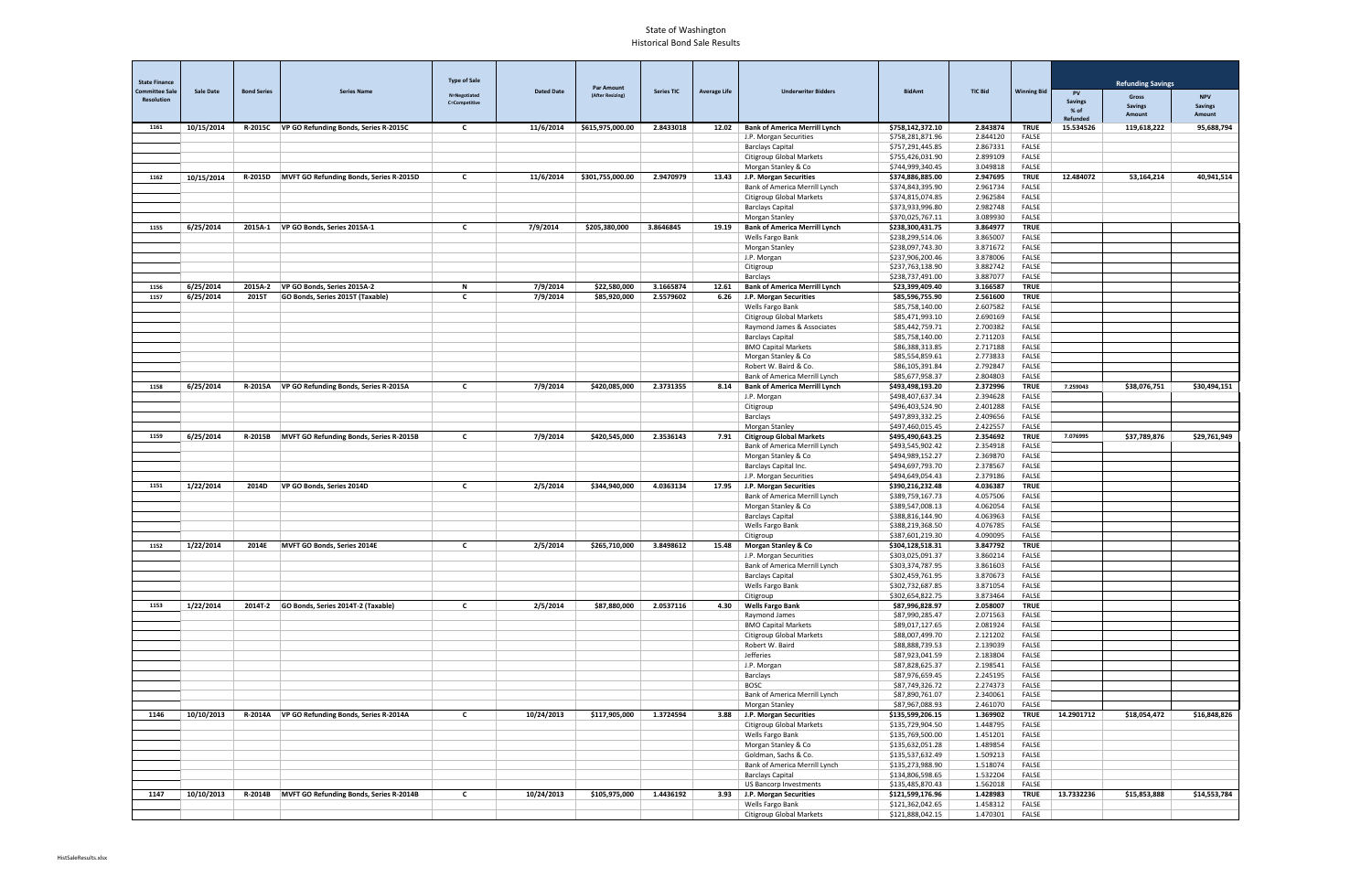| <b>State Finance</b><br><b>Committee Sale</b> | <b>Sale Date</b> | <b>Bond Series</b> | <b>Series Name</b>                             | <b>Type of Sale</b>                  | <b>Dated Date</b> | <b>Par Amount</b> | <b>Series TIC</b> | <b>Average Life</b> | <b>Underwriter Bidders</b>                                      | <b>BidAmt</b>                        | <b>TIC Bid</b>       | <b>Winning Bid</b>          |                             | <b>Refunding Savings</b> |                              |
|-----------------------------------------------|------------------|--------------------|------------------------------------------------|--------------------------------------|-------------------|-------------------|-------------------|---------------------|-----------------------------------------------------------------|--------------------------------------|----------------------|-----------------------------|-----------------------------|--------------------------|------------------------------|
| <b>Resolution</b>                             |                  |                    |                                                | N=Negotiated<br><b>C=Competitive</b> |                   | (After Resizing)  |                   |                     |                                                                 |                                      |                      |                             | <b>PV</b><br><b>Savings</b> | Gross<br><b>Savings</b>  | <b>NPV</b><br><b>Savings</b> |
|                                               |                  |                    |                                                |                                      |                   |                   |                   |                     |                                                                 |                                      |                      |                             | % of<br>Refunded            | Amount                   | Amount                       |
| 1161                                          | 10/15/2014       | <b>R-2015C</b>     | VP GO Refunding Bonds, Series R-2015C          | C                                    | 11/6/2014         | \$615,975,000.00  | 2.8433018         |                     | 12.02   Bank of America Merrill Lynch<br>J.P. Morgan Securities | \$758,142,372.10<br>\$758,281,871.96 | 2.843874<br>2.844120 | <b>TRUE</b><br><b>FALSE</b> | 15.534526                   | 119,618,222              | 95,688,794                   |
|                                               |                  |                    |                                                |                                      |                   |                   |                   |                     | <b>Barclays Capital</b>                                         | \$757,291,445.85                     | 2.867331             | FALSE                       |                             |                          |                              |
|                                               |                  |                    |                                                |                                      |                   |                   |                   |                     | Citigroup Global Markets                                        | \$755,426,031.90                     | 2.899109             | FALSE                       |                             |                          |                              |
| 1162                                          | 10/15/2014       | <b>R-2015D</b>     | <b>MVFT GO Refunding Bonds, Series R-2015D</b> | C                                    | 11/6/2014         | \$301,755,000.00  | 2.9470979         |                     | Morgan Stanley & Co<br>13.43 J.P. Morgan Securities             | \$744,999,340.45<br>\$374,886,885.00 | 3.049818<br>2.947695 | <b>FALSE</b><br><b>TRUE</b> | 12.484072                   | 53,164,214               | 40,941,514                   |
|                                               |                  |                    |                                                |                                      |                   |                   |                   |                     | Bank of America Merrill Lynch                                   | \$374,843,395.90                     | 2.961734             | <b>FALSE</b>                |                             |                          |                              |
|                                               |                  |                    |                                                |                                      |                   |                   |                   |                     | <b>Citigroup Global Markets</b>                                 | \$374,815,074.85                     | 2.962584             | FALSE                       |                             |                          |                              |
|                                               |                  |                    |                                                |                                      |                   |                   |                   |                     | <b>Barclays Capital</b>                                         | \$373,933,996.80                     | 2.982748             | FALSE                       |                             |                          |                              |
| 1155                                          | 6/25/2014        | 2015A-1            | VP GO Bonds, Series 2015A-1                    | $\mathbf{C}$                         | 7/9/2014          | \$205,380,000     | 3.8646845         | 19.19               | Morgan Stanley<br><b>Bank of America Merrill Lynch</b>          | \$370,025,767.11<br>\$238,300,431.75 | 3.089930<br>3.864977 | <b>FALSE</b><br><b>TRUE</b> |                             |                          |                              |
|                                               |                  |                    |                                                |                                      |                   |                   |                   |                     | Wells Fargo Bank                                                | \$238,299,514.06                     | 3.865007             | FALSE                       |                             |                          |                              |
|                                               |                  |                    |                                                |                                      |                   |                   |                   |                     | Morgan Stanley                                                  | \$238,097,743.30                     | 3.871672             | FALSE                       |                             |                          |                              |
|                                               |                  |                    |                                                |                                      |                   |                   |                   |                     | J.P. Morgan<br>Citigroup                                        | \$237,906,200.46<br>\$237,763,138.90 | 3.878006<br>3.882742 | FALSE<br>FALSE              |                             |                          |                              |
|                                               |                  |                    |                                                |                                      |                   |                   |                   |                     | Barclays                                                        | \$238,737,491.00                     | 3.887077             | FALSE                       |                             |                          |                              |
| 1156                                          | 6/25/2014        | 2015A-2            | VP GO Bonds, Series 2015A-2                    | N                                    | 7/9/2014          | \$22,580,000      | 3.1665874         | 12.61               | <b>Bank of America Merrill Lynch</b>                            | \$23,399,409.40                      | 3.166587             | <b>TRUE</b>                 |                             |                          |                              |
| 1157                                          | 6/25/2014        | 2015T              | GO Bonds, Series 2015T (Taxable)               | $\mathsf{C}$                         | 7/9/2014          | \$85,920,000      | 2.5579602         | 6.26                | J.P. Morgan Securities                                          | \$85,596,755.90                      | 2.561600             | <b>TRUE</b>                 |                             |                          |                              |
|                                               |                  |                    |                                                |                                      |                   |                   |                   |                     | Wells Fargo Bank<br>Citigroup Global Markets                    | \$85,758,140.00<br>\$85,471,993.10   | 2.607582<br>2.690169 | FALSE<br>FALSE              |                             |                          |                              |
|                                               |                  |                    |                                                |                                      |                   |                   |                   |                     | Raymond James & Associates                                      | \$85,442,759.71                      | 2.700382             | FALSE                       |                             |                          |                              |
|                                               |                  |                    |                                                |                                      |                   |                   |                   |                     | <b>Barclays Capital</b>                                         | \$85,758,140.00                      | 2.711203             | FALSE                       |                             |                          |                              |
|                                               |                  |                    |                                                |                                      |                   |                   |                   |                     | <b>BMO Capital Markets</b>                                      | \$86,388,313.85                      | 2.717188             | FALSE                       |                             |                          |                              |
|                                               |                  |                    |                                                |                                      |                   |                   |                   |                     | Morgan Stanley & Co<br>Robert W. Baird & Co.                    | \$85,554,859.61<br>\$86,105,391.84   | 2.773833<br>2.792847 | FALSE<br>FALSE              |                             |                          |                              |
|                                               |                  |                    |                                                |                                      |                   |                   |                   |                     | Bank of America Merrill Lynch                                   | \$85,677,958.37                      | 2.804803             | <b>FALSE</b>                |                             |                          |                              |
| 1158                                          | 6/25/2014        | R-2015A            | VP GO Refunding Bonds, Series R-2015A          | C                                    | 7/9/2014          | \$420,085,000     | 2.3731355         |                     | 8.14   Bank of America Merrill Lynch                            | \$493,498,193.20                     | 2.372996             | <b>TRUE</b>                 | 7.259043                    | \$38,076,751             | \$30,494,151                 |
|                                               |                  |                    |                                                |                                      |                   |                   |                   |                     | J.P. Morgan                                                     | \$498,407,637.34                     | 2.394628             | FALSE                       |                             |                          |                              |
|                                               |                  |                    |                                                |                                      |                   |                   |                   |                     | Citigroup<br>Barclays                                           | \$496,403,524.90<br>\$497,893,332.25 | 2.401288<br>2.409656 | FALSE<br>FALSE              |                             |                          |                              |
|                                               |                  |                    |                                                |                                      |                   |                   |                   |                     | Morgan Stanley                                                  | \$497,460,015.45                     | 2.422557             | FALSE                       |                             |                          |                              |
| 1159                                          | 6/25/2014        | R-2015B            | MVFT GO Refunding Bonds, Series R-2015B        | C                                    | 7/9/2014          | \$420,545,000     | 2.3536143         | 7.91                | <b>Citigroup Global Markets</b>                                 | \$495,490,643.25                     | 2.354692             | <b>TRUE</b>                 | 7.076995                    | \$37,789,876             | \$29,761,949                 |
|                                               |                  |                    |                                                |                                      |                   |                   |                   |                     | Bank of America Merrill Lynch                                   | \$493,545,902.42                     | 2.354918             | FALSE                       |                             |                          |                              |
|                                               |                  |                    |                                                |                                      |                   |                   |                   |                     | Morgan Stanley & Co                                             | \$494,989,152.27                     | 2.369870<br>2.378567 | FALSE<br>FALSE              |                             |                          |                              |
|                                               |                  |                    |                                                |                                      |                   |                   |                   |                     | Barclays Capital Inc.<br>J.P. Morgan Securities                 | \$494,697,793.70<br>\$494,649,054.43 | 2.379186             | FALSE                       |                             |                          |                              |
| 1151                                          | 1/22/2014        | 2014D              | VP GO Bonds, Series 2014D                      | C                                    | 2/5/2014          | \$344,940,000     | 4.0363134         |                     | 17.95 J.P. Morgan Securities                                    | \$390,216,232.48                     | 4.036387             | <b>TRUE</b>                 |                             |                          |                              |
|                                               |                  |                    |                                                |                                      |                   |                   |                   |                     | Bank of America Merrill Lynch                                   | \$389,759,167.73                     | 4.057506             | FALSE                       |                             |                          |                              |
|                                               |                  |                    |                                                |                                      |                   |                   |                   |                     | Morgan Stanley & Co<br><b>Barclays Capital</b>                  | \$389,547,008.13<br>\$388,816,144.90 | 4.062054<br>4.063963 | FALSE<br>FALSE              |                             |                          |                              |
|                                               |                  |                    |                                                |                                      |                   |                   |                   |                     | Wells Fargo Bank                                                | \$388,219,368.50                     | 4.076785             | FALSE                       |                             |                          |                              |
|                                               |                  |                    |                                                |                                      |                   |                   |                   |                     | Citigroup                                                       | \$387,601,219.30                     | 4.090095             | FALSE                       |                             |                          |                              |
| 1152                                          | 1/22/2014        | 2014E              | MVFT GO Bonds, Series 2014E                    | $\mathbf{c}$                         | 2/5/2014          | \$265,710,000     | 3.8498612         | 15.48               | <b>Morgan Stanley &amp; Co</b>                                  | \$304,128,518.31                     | 3.847792             | <b>TRUE</b>                 |                             |                          |                              |
|                                               |                  |                    |                                                |                                      |                   |                   |                   |                     | J.P. Morgan Securities<br>Bank of America Merrill Lynch         | \$303,025,091.37<br>\$303,374,787.95 | 3.860214<br>3.861603 | <b>FALSE</b><br>FALSE       |                             |                          |                              |
|                                               |                  |                    |                                                |                                      |                   |                   |                   |                     | <b>Barclays Capital</b>                                         | \$302,459,761.95                     | 3.870673             | FALSE                       |                             |                          |                              |
|                                               |                  |                    |                                                |                                      |                   |                   |                   |                     | Wells Fargo Bank                                                | \$302,732,687.85                     | 3.871054             | FALSE                       |                             |                          |                              |
|                                               |                  |                    |                                                |                                      |                   |                   |                   |                     | Citigroup                                                       | \$302,654,822.75                     | 3.873464             | FALSE                       |                             |                          |                              |
| 1153                                          | 1/22/2014        | 2014T-2            | GO Bonds, Series 2014T-2 (Taxable)             | c                                    | 2/5/2014          | \$87,880,000      | 2.0537116         | 4.30                | <b>Wells Fargo Bank</b><br>Raymond James                        | \$87,996,828.97<br>\$87,990,285.47   | 2.058007<br>2.071563 | <b>TRUE</b><br>FALSE        |                             |                          |                              |
|                                               |                  |                    |                                                |                                      |                   |                   |                   |                     | <b>BMO Capital Markets</b>                                      | \$89,017,127.65                      | 2.081924             | FALSE                       |                             |                          |                              |
|                                               |                  |                    |                                                |                                      |                   |                   |                   |                     | Citigroup Global Markets                                        | \$88,007,499.70                      | 2.121202             | FALSE                       |                             |                          |                              |
|                                               |                  |                    |                                                |                                      |                   |                   |                   |                     | Robert W. Baird                                                 | \$88,888,739.53                      | 2.139039             | FALSE                       |                             |                          |                              |
|                                               |                  |                    |                                                |                                      |                   |                   |                   |                     | Jefferies<br>J.P. Morgan                                        | \$87,923,041.59<br>\$87,828,625.37   | 2.183804<br>2.198541 | FALSE<br>FALSE              |                             |                          |                              |
|                                               |                  |                    |                                                |                                      |                   |                   |                   |                     | Barclays                                                        | \$87,976,659.45                      | 2.245195             | FALSE                       |                             |                          |                              |
|                                               |                  |                    |                                                |                                      |                   |                   |                   |                     | <b>BOSC</b>                                                     | \$87,749,326.72                      | 2.274373             | FALSE                       |                             |                          |                              |
|                                               |                  |                    |                                                |                                      |                   |                   |                   |                     | Bank of America Merrill Lynch                                   | \$87,890,761.07                      | 2.340061             | FALSE                       |                             |                          |                              |
| 1146                                          | 10/10/2013       | R-2014A            | VP GO Refunding Bonds, Series R-2014A          | $\mathbf{c}$                         | 10/24/2013        | \$117,905,000     | 1.3724594         |                     | Morgan Stanley<br>3.88 J.P. Morgan Securities                   | \$87,967,088.93<br>\$135,599,206.15  | 2.461070<br>1.369902 | FALSE<br><b>TRUE</b>        | 14.2901712                  | \$18,054,472             | \$16,848,826                 |
|                                               |                  |                    |                                                |                                      |                   |                   |                   |                     | Citigroup Global Markets                                        | \$135,729,904.50                     | 1.448795             | <b>FALSE</b>                |                             |                          |                              |
|                                               |                  |                    |                                                |                                      |                   |                   |                   |                     | Wells Fargo Bank                                                | \$135,769,500.00                     | 1.451201             | <b>FALSE</b>                |                             |                          |                              |
|                                               |                  |                    |                                                |                                      |                   |                   |                   |                     | Morgan Stanley & Co                                             | \$135,632,051.28                     | 1.489854             | FALSE                       |                             |                          |                              |
|                                               |                  |                    |                                                |                                      |                   |                   |                   |                     | Goldman, Sachs & Co.<br>Bank of America Merrill Lynch           | \$135,537,632.49<br>\$135,273,988.90 | 1.509213<br>1.518074 | FALSE<br>FALSE              |                             |                          |                              |
|                                               |                  |                    |                                                |                                      |                   |                   |                   |                     | <b>Barclays Capital</b>                                         | \$134,806,598.65                     | 1.532204             | FALSE                       |                             |                          |                              |
|                                               |                  |                    |                                                |                                      |                   |                   |                   |                     | <b>US Bancorp Investments</b>                                   | \$135,485,870.43                     | 1.562018             | FALSE                       |                             |                          |                              |
| 1147                                          | 10/10/2013       | R-2014B            | MVFT GO Refunding Bonds, Series R-2014B        | $\mathbf{C}$                         | 10/24/2013        | \$105,975,000     | 1.4436192         |                     | 3.93 J.P. Morgan Securities                                     | \$121,599,176.96                     | 1.428983             | <b>TRUE</b>                 | 13.7332236                  | \$15,853,888             | \$14,553,784                 |
|                                               |                  |                    |                                                |                                      |                   |                   |                   |                     | Wells Fargo Bank<br>Citigroup Global Markets                    | \$121,362,042.65<br>\$121,888,042.15 | 1.458312<br>1.470301 | FALSE<br>FALSE              |                             |                          |                              |
|                                               |                  |                    |                                                |                                      |                   |                   |                   |                     |                                                                 |                                      |                      |                             |                             |                          |                              |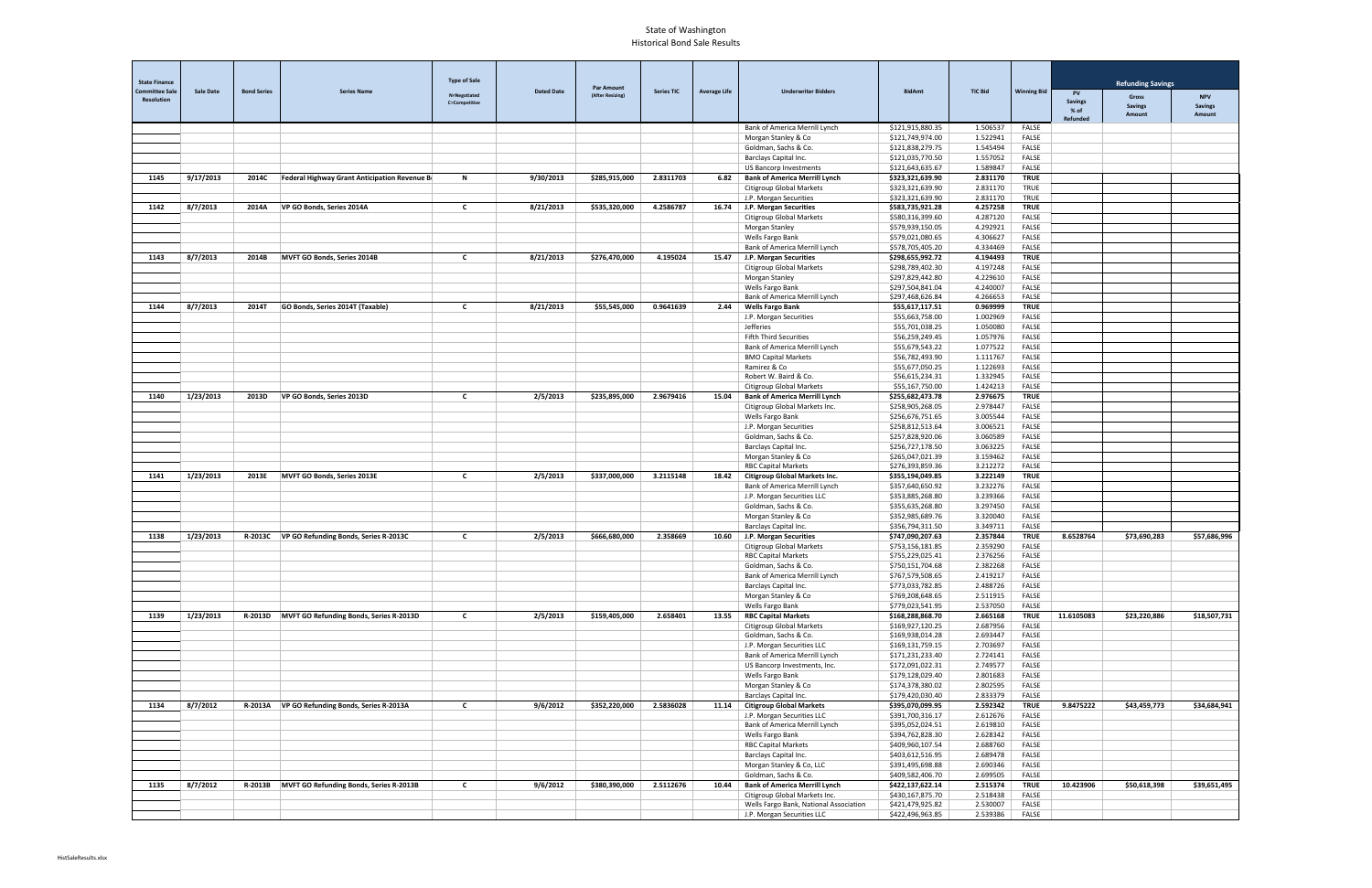| <b>State Finance</b><br><b>Committee Sale</b> | <b>Sale Date</b> | <b>Bond Series</b> | <b>Series Name</b>                              | <b>Type of Sale</b>                  | <b>Dated Date</b> | <b>Par Amount</b> | <b>Series TIC</b> | <b>Average Life</b> | <b>Underwriter Bidders</b>                                              | <b>BidAmt</b>                        | <b>TIC Bid</b>       | <b>Winning Bid</b>           | <b>PV</b>                | <b>Refunding Savings</b>       |                              |
|-----------------------------------------------|------------------|--------------------|-------------------------------------------------|--------------------------------------|-------------------|-------------------|-------------------|---------------------|-------------------------------------------------------------------------|--------------------------------------|----------------------|------------------------------|--------------------------|--------------------------------|------------------------------|
| <b>Resolution</b>                             |                  |                    |                                                 | N=Negotiated<br><b>C=Competitive</b> |                   | (After Resizing)  |                   |                     |                                                                         |                                      |                      |                              | <b>Savings</b><br>$%$ of | <b>Gross</b><br><b>Savings</b> | <b>NPV</b><br><b>Savings</b> |
|                                               |                  |                    |                                                 |                                      |                   |                   |                   |                     |                                                                         |                                      |                      |                              | <b>Refunded</b>          | Amount                         | Amount                       |
|                                               |                  |                    |                                                 |                                      |                   |                   |                   |                     | Bank of America Merrill Lynch<br>Morgan Stanley & Co                    | \$121,915,880.35<br>\$121,749,974.00 | 1.506537<br>1.522941 | FALSE<br><b>FALSE</b>        |                          |                                |                              |
|                                               |                  |                    |                                                 |                                      |                   |                   |                   |                     | Goldman, Sachs & Co                                                     | \$121,838,279.75                     | 1.545494             | FALSE                        |                          |                                |                              |
|                                               |                  |                    |                                                 |                                      |                   |                   |                   |                     | Barclays Capital Inc.                                                   | \$121,035,770.50                     | 1.557052             | FALSE                        |                          |                                |                              |
|                                               |                  |                    |                                                 |                                      |                   |                   |                   |                     | <b>US Bancorp Investments</b>                                           | \$121,643,635.67                     | 1.589847             | <b>FALSE</b>                 |                          |                                |                              |
| 1145                                          | 9/17/2013        | 2014C              | Federal Highway Grant Anticipation Revenue Bo   | N                                    | 9/30/2013         | \$285,915,000     | 2.8311703         | 6.82                | <b>Bank of America Merrill Lynch</b><br><b>Citigroup Global Markets</b> | \$323,321,639.90<br>\$323,321,639.90 | 2.831170<br>2.831170 | <b>TRUE</b><br><b>TRUE</b>   |                          |                                |                              |
|                                               |                  |                    |                                                 |                                      |                   |                   |                   |                     | J.P. Morgan Securities                                                  | \$323,321,639.90                     | 2.831170             | TRUE                         |                          |                                |                              |
| 1142                                          | 8/7/2013         | 2014A              | VP GO Bonds, Series 2014A                       | $\mathsf{c}$                         | 8/21/2013         | \$535,320,000     | 4.2586787         |                     | 16.74 J.P. Morgan Securities                                            | \$583,735,921.28                     | 4.257258             | <b>TRUE</b>                  |                          |                                |                              |
|                                               |                  |                    |                                                 |                                      |                   |                   |                   |                     | Citigroup Global Markets                                                | \$580,316,399.60                     | 4.287120             | <b>FALSE</b>                 |                          |                                |                              |
|                                               |                  |                    |                                                 |                                      |                   |                   |                   |                     | Morgan Stanley                                                          | \$579,939,150.05<br>\$579,021,080.65 | 4.292921<br>4.306627 | <b>FALSE</b><br><b>FALSE</b> |                          |                                |                              |
|                                               |                  |                    |                                                 |                                      |                   |                   |                   |                     | Wells Fargo Bank<br>Bank of America Merrill Lynch                       | \$578,705,405.20                     | 4.334469             | FALSE                        |                          |                                |                              |
| 1143                                          | 8/7/2013         | 2014B              | MVFT GO Bonds, Series 2014B                     | $\mathsf{C}$                         | 8/21/2013         | \$276,470,000     | 4.195024          |                     | 15.47 J.P. Morgan Securities                                            | \$298,655,992.72                     | 4.194493             | <b>TRUE</b>                  |                          |                                |                              |
|                                               |                  |                    |                                                 |                                      |                   |                   |                   |                     | <b>Citigroup Global Markets</b>                                         | \$298,789,402.30                     | 4.197248             | <b>FALSE</b>                 |                          |                                |                              |
|                                               |                  |                    |                                                 |                                      |                   |                   |                   |                     | Morgan Stanley                                                          | \$297,829,442.80                     | 4.229610             | FALSE                        |                          |                                |                              |
|                                               |                  |                    |                                                 |                                      |                   |                   |                   |                     | Wells Fargo Bank<br>Bank of America Merrill Lynch                       | \$297,504,841.04<br>\$297,468,626.84 | 4.240007<br>4.266653 | <b>FALSE</b><br>FALSE        |                          |                                |                              |
| 1144                                          | 8/7/2013         | 2014T              | GO Bonds, Series 2014T (Taxable)                | C                                    | 8/21/2013         | \$55,545,000      | 0.9641639         | 2.44                | <b>Wells Fargo Bank</b>                                                 | \$55,617,117.51                      | 0.969999             | <b>TRUE</b>                  |                          |                                |                              |
|                                               |                  |                    |                                                 |                                      |                   |                   |                   |                     | J.P. Morgan Securities                                                  | \$55,663,758.00                      | 1.002969             | <b>FALSE</b>                 |                          |                                |                              |
|                                               |                  |                    |                                                 |                                      |                   |                   |                   |                     | Jefferies                                                               | \$55,701,038.25                      | 1.050080             | FALSE                        |                          |                                |                              |
|                                               |                  |                    |                                                 |                                      |                   |                   |                   |                     | Fifth Third Securities                                                  | \$56,259,249.45                      | 1.057976             | <b>FALSE</b>                 |                          |                                |                              |
|                                               |                  |                    |                                                 |                                      |                   |                   |                   |                     | Bank of America Merrill Lynch<br><b>BMO Capital Markets</b>             | \$55,679,543.22<br>\$56,782,493.90   | 1.077522<br>1.111767 | <b>FALSE</b><br>FALSE        |                          |                                |                              |
|                                               |                  |                    |                                                 |                                      |                   |                   |                   |                     | Ramirez & Co                                                            | \$55,677,050.25                      | 1.122693             | <b>FALSE</b>                 |                          |                                |                              |
|                                               |                  |                    |                                                 |                                      |                   |                   |                   |                     | Robert W. Baird & Co.                                                   | \$56,615,234.31                      | 1.332945             | <b>FALSE</b>                 |                          |                                |                              |
|                                               |                  |                    |                                                 |                                      |                   |                   |                   |                     | <b>Citigroup Global Markets</b>                                         | \$55,167,750.00                      | 1.424213             | <b>FALSE</b>                 |                          |                                |                              |
| 1140                                          | 1/23/2013        | 2013D              | VP GO Bonds, Series 2013D                       | C                                    | 2/5/2013          | \$235,895,000     | 2.9679416         | 15.04               | <b>Bank of America Merrill Lynch</b>                                    | \$255,682,473.78                     | 2.976675             | <b>TRUE</b>                  |                          |                                |                              |
|                                               |                  |                    |                                                 |                                      |                   |                   |                   |                     | Citigroup Global Markets Inc.<br>Wells Fargo Bank                       | \$258,905,268.05<br>\$256,676,751.65 | 2.978447<br>3.005544 | <b>FALSE</b><br><b>FALSE</b> |                          |                                |                              |
|                                               |                  |                    |                                                 |                                      |                   |                   |                   |                     | J.P. Morgan Securities                                                  | \$258,812,513.64                     | 3.006521             | FALSE                        |                          |                                |                              |
|                                               |                  |                    |                                                 |                                      |                   |                   |                   |                     | Goldman, Sachs & Co                                                     | \$257,828,920.06                     | 3.060589             | FALSE                        |                          |                                |                              |
|                                               |                  |                    |                                                 |                                      |                   |                   |                   |                     | Barclays Capital Inc.                                                   | \$256,727,178.50                     | 3.063225             | FALSE                        |                          |                                |                              |
|                                               |                  |                    |                                                 |                                      |                   |                   |                   |                     | Morgan Stanley & Co                                                     | \$265,047,021.39                     | 3.159462             | FALSE                        |                          |                                |                              |
| 1141                                          | 1/23/2013        | 2013E              | MVFT GO Bonds, Series 2013E                     | $\mathsf{c}$                         | 2/5/2013          | \$337,000,000     | 3.2115148         | 18.42               | <b>RBC Capital Markets</b><br><b>Citigroup Global Markets Inc.</b>      | \$276,393,859.36<br>\$355,194,049.85 | 3.212272<br>3.222149 | FALSE<br><b>TRUE</b>         |                          |                                |                              |
|                                               |                  |                    |                                                 |                                      |                   |                   |                   |                     | Bank of America Merrill Lynch                                           | \$357,640,650.92                     | 3.232276             | FALSE                        |                          |                                |                              |
|                                               |                  |                    |                                                 |                                      |                   |                   |                   |                     | J.P. Morgan Securities LLC                                              | \$353,885,268.80                     | 3.239366             | FALSE                        |                          |                                |                              |
|                                               |                  |                    |                                                 |                                      |                   |                   |                   |                     | Goldman, Sachs & Co.                                                    | \$355,635,268.80                     | 3.297450             | FALSE                        |                          |                                |                              |
|                                               |                  |                    |                                                 |                                      |                   |                   |                   |                     | Morgan Stanley & Co                                                     | \$352,985,689.76                     | 3.320040             | FALSE                        |                          |                                |                              |
| 1138                                          | 1/23/2013        |                    | R-2013C   VP GO Refunding Bonds, Series R-2013C | $\mathsf{c}$                         | 2/5/2013          | \$666,680,000     | 2.358669          |                     | Barclays Capital Inc.<br>10.60 J.P. Morgan Securities                   | \$356,794,311.50<br>\$747,090,207.63 | 3.349711<br>2.357844 | <b>FALSE</b><br><b>TRUE</b>  | 8.6528764                | \$73,690,283                   | \$57,686,996                 |
|                                               |                  |                    |                                                 |                                      |                   |                   |                   |                     | Citigroup Global Markets                                                | \$753,156,181.85                     | 2.359290             | <b>FALSE</b>                 |                          |                                |                              |
|                                               |                  |                    |                                                 |                                      |                   |                   |                   |                     | <b>RBC Capital Markets</b>                                              | \$755,229,025.41                     | 2.376256             | <b>FALSE</b>                 |                          |                                |                              |
|                                               |                  |                    |                                                 |                                      |                   |                   |                   |                     | Goldman, Sachs & Co.                                                    | \$750,151,704.68                     | 2.382268             | FALSE                        |                          |                                |                              |
|                                               |                  |                    |                                                 |                                      |                   |                   |                   |                     | Bank of America Merrill Lynch                                           | \$767,579,508.65                     | 2.419217             | FALSE                        |                          |                                |                              |
|                                               |                  |                    |                                                 |                                      |                   |                   |                   |                     | Barclays Capital Inc.<br>Morgan Stanley & Co                            | \$773,033,782.85<br>\$769,208,648.65 | 2.488726<br>2.511915 | FALSE<br>FALSE               |                          |                                |                              |
|                                               |                  |                    |                                                 |                                      |                   |                   |                   |                     | Wells Fargo Bank                                                        | \$779,023,541.95                     | 2.537050             | FALSE                        |                          |                                |                              |
| 1139                                          | 1/23/2013        |                    | R-2013D MVFT GO Refunding Bonds, Series R-2013D | $\mathsf{C}$                         | 2/5/2013          | \$159,405,000     | 2.658401          | 13.55               | <b>RBC Capital Markets</b>                                              | \$168,288,868.70                     | 2.665168             | <b>TRUE</b>                  | 11.6105083               | \$23,220,886                   | \$18,507,731                 |
|                                               |                  |                    |                                                 |                                      |                   |                   |                   |                     | Citigroup Global Markets                                                | \$169,927,120.25                     | 2.687956             | FALSE                        |                          |                                |                              |
|                                               |                  |                    |                                                 |                                      |                   |                   |                   |                     | Goldman, Sachs & Co.<br>J.P. Morgan Securities LLC                      | \$169,938,014.28<br>\$169,131,759.15 | 2.693447<br>2.703697 | FALSE<br>FALSE               |                          |                                |                              |
|                                               |                  |                    |                                                 |                                      |                   |                   |                   |                     | Bank of America Merrill Lynch                                           | \$171,231,233.40                     | 2.724141             | FALSE                        |                          |                                |                              |
|                                               |                  |                    |                                                 |                                      |                   |                   |                   |                     | US Bancorp Investments, Inc.                                            | \$172,091,022.31                     | 2.749577             | FALSE                        |                          |                                |                              |
|                                               |                  |                    |                                                 |                                      |                   |                   |                   |                     | Wells Fargo Bank                                                        | \$179,128,029.40                     | 2.801683             | FALSE                        |                          |                                |                              |
|                                               |                  |                    |                                                 |                                      |                   |                   |                   |                     | Morgan Stanley & Co                                                     | \$174,378,380.02                     | 2.802595             | FALSE                        |                          |                                |                              |
| 1134                                          | 8/7/2012         |                    | R-2013A   VP GO Refunding Bonds, Series R-2013A | $\mathbf{C}$                         | 9/6/2012          | \$352,220,000     | 2.5836028         | 11.14               | Barclays Capital Inc.<br><b>Citigroup Global Markets</b>                | \$179,420,030.40<br>\$395,070,099.95 | 2.833379<br>2.592342 | FALSE<br><b>TRUE</b>         | 9.8475222                | \$43,459,773                   | \$34,684,941                 |
|                                               |                  |                    |                                                 |                                      |                   |                   |                   |                     | J.P. Morgan Securities LLC                                              | \$391,700,316.17                     | 2.612676             | FALSE                        |                          |                                |                              |
|                                               |                  |                    |                                                 |                                      |                   |                   |                   |                     | Bank of America Merrill Lynch                                           | \$395,052,024.51                     | 2.619810             | FALSE                        |                          |                                |                              |
|                                               |                  |                    |                                                 |                                      |                   |                   |                   |                     | Wells Fargo Bank                                                        | \$394,762,828.30                     | 2.628342             | FALSE                        |                          |                                |                              |
|                                               |                  |                    |                                                 |                                      |                   |                   |                   |                     | <b>RBC Capital Markets</b>                                              | \$409,960,107.54                     | 2.688760             | FALSE                        |                          |                                |                              |
|                                               |                  |                    |                                                 |                                      |                   |                   |                   |                     | Barclays Capital Inc.<br>Morgan Stanley & Co, LLC                       | \$403,612,516.95<br>\$391,495,698.88 | 2.689478<br>2.690346 | FALSE<br>FALSE               |                          |                                |                              |
|                                               |                  |                    |                                                 |                                      |                   |                   |                   |                     | Goldman, Sachs & Co.                                                    | \$409,582,406.70                     | 2.699505             | FALSE                        |                          |                                |                              |
| 1135                                          | 8/7/2012         |                    | R-2013B MVFT GO Refunding Bonds, Series R-2013B | $\mathsf{C}$                         | 9/6/2012          | \$380,390,000     | 2.5112676         | 10.44               | <b>Bank of America Merrill Lynch</b>                                    | \$422,137,622.14                     | 2.515374             | <b>TRUE</b>                  | 10.423906                | \$50,618,398                   | \$39,651,495                 |
|                                               |                  |                    |                                                 |                                      |                   |                   |                   |                     | Citigroup Global Markets Inc.                                           | \$430,167,875.70                     | 2.518438             | FALSE                        |                          |                                |                              |
|                                               |                  |                    |                                                 |                                      |                   |                   |                   |                     | Wells Fargo Bank, National Association                                  | \$421,479,925.82                     | 2.530007             | FALSE                        |                          |                                |                              |
|                                               |                  |                    |                                                 |                                      |                   |                   |                   |                     | J.P. Morgan Securities LLC                                              | \$422,496,963.85                     | 2.539386             | FALSE                        |                          |                                |                              |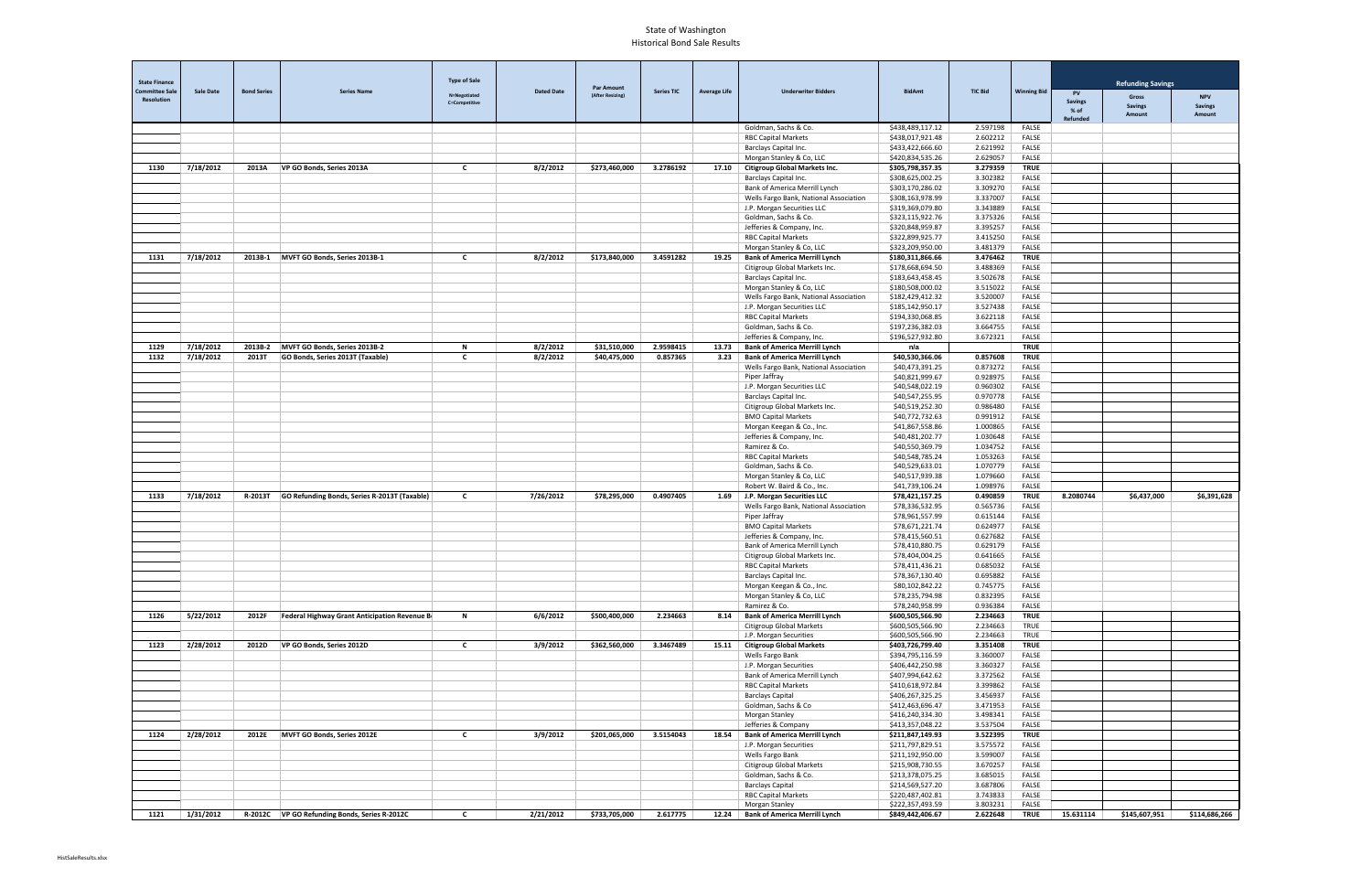| <b>State Finance</b>  |                  |                    |                                                                   | <b>Type of Sale</b>  |                   |                                       |                   |                     |                                                                              |                                      |                      |                             |                        | <b>Refunding Savings</b> |                |
|-----------------------|------------------|--------------------|-------------------------------------------------------------------|----------------------|-------------------|---------------------------------------|-------------------|---------------------|------------------------------------------------------------------------------|--------------------------------------|----------------------|-----------------------------|------------------------|--------------------------|----------------|
| <b>Committee Sale</b> | <b>Sale Date</b> | <b>Bond Series</b> | <b>Series Name</b>                                                | N=Negotiated         | <b>Dated Date</b> | <b>Par Amount</b><br>(After Resizing) | <b>Series TIC</b> | <b>Average Life</b> | <b>Underwriter Bidders</b>                                                   | <b>BidAmt</b>                        | <b>TIC Bid</b>       | <b>Winning Bid</b>          | PV                     | Gross                    | <b>NPV</b>     |
| <b>Resolution</b>     |                  |                    |                                                                   | <b>C=Competitive</b> |                   |                                       |                   |                     |                                                                              |                                      |                      |                             | <b>Savings</b><br>% of | <b>Savings</b>           | <b>Savings</b> |
|                       |                  |                    |                                                                   |                      |                   |                                       |                   |                     | Goldman, Sachs & Co.                                                         | \$438,489,117.12                     | 2.597198             | FALSE                       | Refunded               | Amount                   | Amount         |
|                       |                  |                    |                                                                   |                      |                   |                                       |                   |                     | <b>RBC Capital Markets</b>                                                   | \$438,017,921.48                     | 2.602212             | <b>FALSE</b>                |                        |                          |                |
|                       |                  |                    |                                                                   |                      |                   |                                       |                   |                     | Barclays Capital Inc.                                                        | \$433,422,666.60                     | 2.621992             | <b>FALSE</b>                |                        |                          |                |
|                       |                  |                    |                                                                   |                      |                   |                                       |                   |                     | Morgan Stanley & Co, LLC                                                     | \$420,834,535.26                     | 2.629057             | <b>FALSE</b>                |                        |                          |                |
| 1130                  | 7/18/2012        | 2013A              | VP GO Bonds, Series 2013A                                         | $\mathbf{c}$         | 8/2/2012          | \$273,460,000                         | 3.2786192         |                     | 17.10   Citigroup Global Markets Inc.<br>Barclays Capital Inc.               | \$305,798,357.35<br>\$308,625,002.25 | 3.279359<br>3.302382 | <b>TRUE</b><br><b>FALSE</b> |                        |                          |                |
|                       |                  |                    |                                                                   |                      |                   |                                       |                   |                     | Bank of America Merrill Lynch                                                | \$303,170,286.02                     | 3.309270             | FALSE                       |                        |                          |                |
|                       |                  |                    |                                                                   |                      |                   |                                       |                   |                     | Wells Fargo Bank, National Association                                       | \$308,163,978.99                     | 3.337007             | <b>FALSE</b>                |                        |                          |                |
|                       |                  |                    |                                                                   |                      |                   |                                       |                   |                     | J.P. Morgan Securities LLC                                                   | \$319,369,079.80                     | 3.343889             | FALSE                       |                        |                          |                |
|                       |                  |                    |                                                                   |                      |                   |                                       |                   |                     | Goldman, Sachs & Co.                                                         | \$323,115,922.76                     | 3.375326             | <b>FALSE</b>                |                        |                          |                |
|                       |                  |                    |                                                                   |                      |                   |                                       |                   |                     | Jefferies & Company, Inc.<br><b>RBC Capital Markets</b>                      | \$320,848,959.87<br>\$322,899,925.77 | 3.395257<br>3.415250 | <b>FALSE</b><br>FALSE       |                        |                          |                |
|                       |                  |                    |                                                                   |                      |                   |                                       |                   |                     | Morgan Stanley & Co, LLC                                                     | \$323,209,950.00                     | 3.481379             | FALSE                       |                        |                          |                |
| 1131                  | 7/18/2012        | 2013B-1            | MVFT GO Bonds, Series 2013B-1                                     | $\mathbf{c}$         | 8/2/2012          | \$173,840,000                         | 3.4591282         | 19.25               | <b>Bank of America Merrill Lynch</b>                                         | \$180,311,866.66                     | 3.476462             | <b>TRUE</b>                 |                        |                          |                |
|                       |                  |                    |                                                                   |                      |                   |                                       |                   |                     | Citigroup Global Markets Inc.                                                | \$178,668,694.50                     | 3.488369             | FALSE                       |                        |                          |                |
|                       |                  |                    |                                                                   |                      |                   |                                       |                   |                     | Barclays Capital Inc.                                                        | \$183,643,458.45                     | 3.502678             | FALSE                       |                        |                          |                |
|                       |                  |                    |                                                                   |                      |                   |                                       |                   |                     | Morgan Stanley & Co, LLC                                                     | \$180,508,000.02<br>\$182,429,412.32 | 3.515022<br>3.520007 | <b>FALSE</b><br>FALSE       |                        |                          |                |
|                       |                  |                    |                                                                   |                      |                   |                                       |                   |                     | Wells Fargo Bank, National Association<br>J.P. Morgan Securities LLC         | \$185,142,950.17                     | 3.527438             | FALSE                       |                        |                          |                |
|                       |                  |                    |                                                                   |                      |                   |                                       |                   |                     | <b>RBC Capital Markets</b>                                                   | \$194,330,068.85                     | 3.622118             | FALSE                       |                        |                          |                |
|                       |                  |                    |                                                                   |                      |                   |                                       |                   |                     | Goldman, Sachs & Co.                                                         | \$197,236,382.03                     | 3.664755             | FALSE                       |                        |                          |                |
|                       |                  |                    |                                                                   |                      |                   |                                       |                   |                     | Jefferies & Company, Inc.                                                    | \$196,527,932.80                     | 3.672321             | FALSE                       |                        |                          |                |
| 1129                  | 7/18/2012        | 2013B-2            | MVFT GO Bonds, Series 2013B-2<br>GO Bonds, Series 2013T (Taxable) | N                    | 8/2/2012          | \$31,510,000                          | 2.9598415         | 13.73               | <b>Bank of America Merrill Lynch</b><br><b>Bank of America Merrill Lynch</b> | n/a                                  |                      | <b>TRUE</b><br><b>TRUE</b>  |                        |                          |                |
| 1132                  | 7/18/2012        | 2013T              |                                                                   | $\mathbf{c}$         | 8/2/2012          | \$40,475,000                          | 0.857365          | 3.23                | Wells Fargo Bank, National Association                                       | \$40,530,366.06<br>\$40,473,391.25   | 0.857608<br>0.873272 | <b>FALSE</b>                |                        |                          |                |
|                       |                  |                    |                                                                   |                      |                   |                                       |                   |                     | Piper Jaffray                                                                | \$40,821,999.67                      | 0.928975             | FALSE                       |                        |                          |                |
|                       |                  |                    |                                                                   |                      |                   |                                       |                   |                     | J.P. Morgan Securities LLC                                                   | \$40,548,022.19                      | 0.960302             | FALSE                       |                        |                          |                |
|                       |                  |                    |                                                                   |                      |                   |                                       |                   |                     | Barclays Capital Inc.                                                        | \$40,547,255.95                      | 0.970778             | <b>FALSE</b>                |                        |                          |                |
|                       |                  |                    |                                                                   |                      |                   |                                       |                   |                     | Citigroup Global Markets Inc.                                                | \$40,519,252.30                      | 0.986480             | <b>FALSE</b>                |                        |                          |                |
|                       |                  |                    |                                                                   |                      |                   |                                       |                   |                     | <b>BMO Capital Markets</b><br>Morgan Keegan & Co., Inc.                      | \$40,772,732.63<br>\$41,867,558.86   | 0.991912<br>1.000865 | FALSE<br><b>FALSE</b>       |                        |                          |                |
|                       |                  |                    |                                                                   |                      |                   |                                       |                   |                     | Jefferies & Company, Inc.                                                    | \$40,481,202.77                      | 1.030648             | FALSE                       |                        |                          |                |
|                       |                  |                    |                                                                   |                      |                   |                                       |                   |                     | Ramirez & Co.                                                                | \$40,550,369.79                      | 1.034752             | FALSE                       |                        |                          |                |
|                       |                  |                    |                                                                   |                      |                   |                                       |                   |                     | <b>RBC Capital Markets</b>                                                   | \$40,548,785.24                      | 1.053263             | FALSE                       |                        |                          |                |
|                       |                  |                    |                                                                   |                      |                   |                                       |                   |                     | Goldman, Sachs & Co.                                                         | \$40,529,633.01                      | 1.070779             | <b>FALSE</b>                |                        |                          |                |
|                       |                  |                    |                                                                   |                      |                   |                                       |                   |                     | Morgan Stanley & Co, LLC<br>Robert W. Baird & Co., Inc.                      | \$40,517,939.38<br>\$41,739,106.24   | 1.079660<br>1.098976 | FALSE<br>FALSE              |                        |                          |                |
| 1133                  | 7/18/2012        | R-2013T            | GO Refunding Bonds, Series R-2013T (Taxable)                      | C                    | 7/26/2012         | \$78,295,000                          | 0.4907405         |                     | 1.69 J.P. Morgan Securities LLC                                              | \$78,421,157.25                      | 0.490859             | <b>TRUE</b>                 | 8.2080744              | \$6,437,000              | \$6,391,628    |
|                       |                  |                    |                                                                   |                      |                   |                                       |                   |                     | Wells Fargo Bank, National Association                                       | \$78,336,532.95                      | 0.565736             | FALSE                       |                        |                          |                |
|                       |                  |                    |                                                                   |                      |                   |                                       |                   |                     | Piper Jaffray                                                                | \$78,961,557.99                      | 0.615144             | FALSE                       |                        |                          |                |
|                       |                  |                    |                                                                   |                      |                   |                                       |                   |                     | <b>BMO Capital Markets</b>                                                   | \$78,671,221.74                      | 0.624977             | FALSE                       |                        |                          |                |
|                       |                  |                    |                                                                   |                      |                   |                                       |                   |                     | Jefferies & Company, Inc.<br>Bank of America Merrill Lynch                   | \$78,415,560.51<br>\$78,410,880.75   | 0.627682<br>0.629179 | FALSE<br>FALSE              |                        |                          |                |
|                       |                  |                    |                                                                   |                      |                   |                                       |                   |                     | Citigroup Global Markets Inc.                                                | \$78,404,004.25                      | 0.641665             | <b>FALSE</b>                |                        |                          |                |
|                       |                  |                    |                                                                   |                      |                   |                                       |                   |                     | <b>RBC Capital Markets</b>                                                   | \$78,411,436.21                      | 0.685032             | FALSE                       |                        |                          |                |
|                       |                  |                    |                                                                   |                      |                   |                                       |                   |                     | Barclays Capital Inc.                                                        | \$78,367,130.40                      | 0.695882             | FALSE                       |                        |                          |                |
|                       |                  |                    |                                                                   |                      |                   |                                       |                   |                     | Morgan Keegan & Co., Inc.                                                    | \$80,102,842.22                      | 0.745775             | FALSE                       |                        |                          |                |
|                       |                  |                    |                                                                   |                      |                   |                                       |                   |                     | Morgan Stanley & Co, LLC<br>Ramirez & Co.                                    | \$78,235,794.98<br>\$78,240,958.99   | 0.832395<br>0.936384 | FALSE<br>FALSE              |                        |                          |                |
| 1126                  | 5/22/2012        | 2012F              | Federal Highway Grant Anticipation Revenue Bo                     | N                    | 6/6/2012          | \$500,400,000                         | 2.234663          | 8.14                | <b>Bank of America Merrill Lynch</b>                                         | \$600,505,566.90                     | 2.234663             | <b>TRUE</b>                 |                        |                          |                |
|                       |                  |                    |                                                                   |                      |                   |                                       |                   |                     | Citigroup Global Markets                                                     | \$600,505,566.90                     | 2.234663             | <b>TRUE</b>                 |                        |                          |                |
|                       |                  |                    |                                                                   |                      |                   |                                       |                   |                     | J.P. Morgan Securities                                                       | \$600,505,566.90                     | 2.234663             | TRUE                        |                        |                          |                |
| 1123                  | 2/28/2012        | 2012D              | VP GO Bonds, Series 2012D                                         | C                    | 3/9/2012          | \$362,560,000                         | 3.3467489         |                     | 15.11   Citigroup Global Markets<br>Wells Fargo Bank                         | \$403,726,799.40<br>\$394,795,116.59 | 3.351408<br>3.360007 | <b>TRUE</b><br>FALSE        |                        |                          |                |
|                       |                  |                    |                                                                   |                      |                   |                                       |                   |                     | J.P. Morgan Securities                                                       | \$406,442,250.98                     | 3.360327             | FALSE                       |                        |                          |                |
|                       |                  |                    |                                                                   |                      |                   |                                       |                   |                     | Bank of America Merrill Lynch                                                | \$407,994,642.62                     | 3.372562             | FALSE                       |                        |                          |                |
|                       |                  |                    |                                                                   |                      |                   |                                       |                   |                     | <b>RBC Capital Markets</b>                                                   | \$410,618,972.84                     | 3.399862             | FALSE                       |                        |                          |                |
|                       |                  |                    |                                                                   |                      |                   |                                       |                   |                     | <b>Barclays Capital</b>                                                      | \$406,267,325.25                     | 3.456937             | FALSE                       |                        |                          |                |
|                       |                  |                    |                                                                   |                      |                   |                                       |                   |                     | Goldman, Sachs & Co                                                          | \$412,463,696.47                     | 3.471953             | FALSE                       |                        |                          |                |
|                       |                  |                    |                                                                   |                      |                   |                                       |                   |                     | Morgan Stanley<br>Jefferies & Company                                        | \$416,240,334.30<br>\$413,357,048.22 | 3.498341<br>3.537504 | FALSE<br>FALSE              |                        |                          |                |
| 1124                  | 2/28/2012        | 2012E              | MVFT GO Bonds, Series 2012E                                       | $\mathsf{C}$         | 3/9/2012          | \$201,065,000                         | 3.5154043         | 18.54               | <b>Bank of America Merrill Lynch</b>                                         | \$211,847,149.93                     | 3.522395             | <b>TRUE</b>                 |                        |                          |                |
|                       |                  |                    |                                                                   |                      |                   |                                       |                   |                     | J.P. Morgan Securities                                                       | \$211,797,829.51                     | 3.575572             | FALSE                       |                        |                          |                |
|                       |                  |                    |                                                                   |                      |                   |                                       |                   |                     | Wells Fargo Bank                                                             | \$211,192,950.00                     | 3.599007             | FALSE                       |                        |                          |                |
|                       |                  |                    |                                                                   |                      |                   |                                       |                   |                     | Citigroup Global Markets                                                     | \$215,908,730.55                     | 3.670257             | FALSE                       |                        |                          |                |
|                       |                  |                    |                                                                   |                      |                   |                                       |                   |                     | Goldman, Sachs & Co.<br><b>Barclays Capital</b>                              | \$213,378,075.25<br>\$214,569,527.20 | 3.685015<br>3.687806 | FALSE<br>FALSE              |                        |                          |                |
|                       |                  |                    |                                                                   |                      |                   |                                       |                   |                     | <b>RBC Capital Markets</b>                                                   | \$220,487,402.81                     | 3.743833             | FALSE                       |                        |                          |                |
|                       |                  |                    |                                                                   |                      |                   |                                       |                   |                     | Morgan Stanley                                                               | \$222,357,493.59                     | 3.803231             | FALSE                       |                        |                          |                |
| 1121                  | 1/31/2012        |                    | R-2012C VP GO Refunding Bonds, Series R-2012C                     | $\mathbf{c}$         | 2/21/2012         | \$733,705,000                         | 2.617775          |                     | 12.24   Bank of America Merrill Lynch                                        | \$849,442,406.67                     | 2.622648             | <b>TRUE</b>                 | 15.631114              | \$145,607,951            | \$114,686,266  |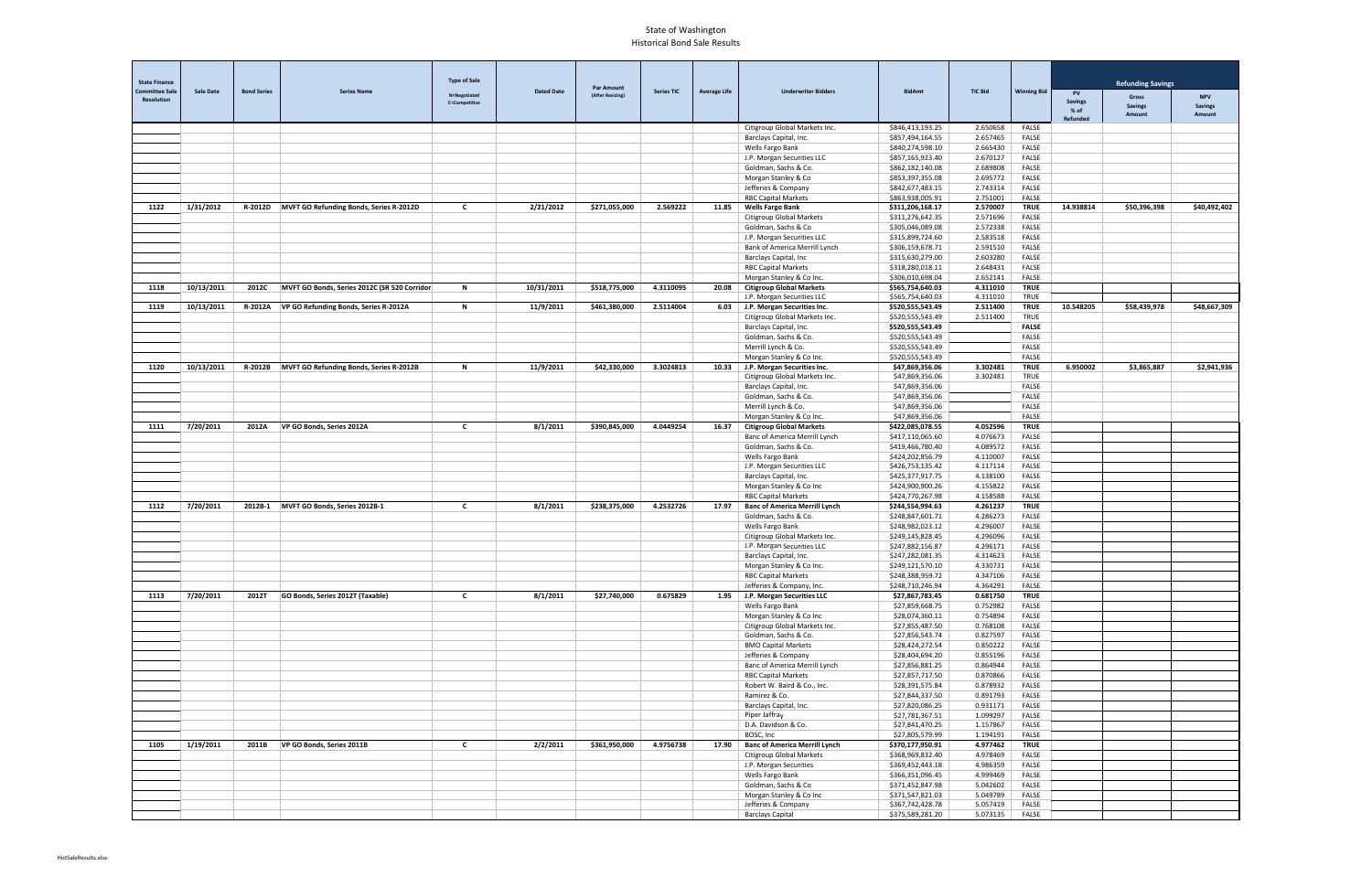| <b>State Finance</b><br><b>Refunding Savings</b><br><b>Par Amount</b><br><b>Committee Sale</b><br><b>Sale Date</b><br><b>Bond Series</b><br><b>Series Name</b><br><b>Dated Date</b><br><b>Series TIC</b><br><b>Average Life</b><br><b>Underwriter Bidders</b><br><b>BidAmt</b><br><b>TIC Bid</b><br><b>Winning Bid</b><br><b>PV</b><br>N=Negotiated<br>(After Resizing)<br><b>NPV</b><br>Gross<br><b>Resolution</b><br><b>Savings</b><br><b>C=Competitive</b><br><b>Savings</b><br><b>Savings</b><br>$%$ of<br>Amount<br>Amount<br>Refunded<br>2.650658<br>Citigroup Global Markets Inc.<br>\$846,413,193.25<br>FALSE<br><b>FALSE</b><br>\$857,494,164.55<br>2.657465<br>Barclays Capital, Inc.<br>\$840,274,598.10<br>2.665430<br>FALSE<br>Wells Fargo Bank<br>J.P. Morgan Securities LLC<br>\$857,165,923.40<br>2.670127<br><b>FALSE</b><br>Goldman, Sachs & Co.<br>\$862,182,140.08<br>2.689808<br>FALSE<br>2.695772<br>FALSE<br>Morgan Stanley & Co<br>\$853,397,355.08<br>\$842,677,483.15<br>2.743314<br>FALSE<br>Jefferies & Company<br><b>RBC Capital Markets</b><br>\$863,938,005.91<br>2.751001<br><b>FALSE</b><br>1/31/2012<br>R-2012D MVFT GO Refunding Bonds, Series R-2012D<br>2/21/2012<br>\$271,055,000<br>2.569222<br><b>Wells Fargo Bank</b><br>\$311,206,168.17<br>2.570007<br><b>TRUE</b><br>14.938814<br>\$50,396,398<br>\$40,492,402<br>1122<br>C<br>11.85<br>Citigroup Global Markets<br>\$311,276,642.35<br>2.571696<br>FALSE<br>\$305,046,089.08<br>2.572338<br>FALSE<br>Goldman, Sachs & Co<br>J.P. Morgan Securities LLC<br>\$315,899,724.60<br>2.583518<br>FALSE<br>2.591510<br>FALSE<br>Bank of America Merrill Lynch<br>\$306,159,678.71<br>2.603280<br>FALSE<br>Barclays Capital, Inc<br>\$315,630,279.00<br><b>RBC Capital Markets</b><br>\$318,280,018.11<br>2.648431<br>FALSE<br>\$306,010,698.04<br>2.652141<br>FALSE<br>Morgan Stanley & Co Inc.<br>10/13/2011<br>MVFT GO Bonds, Series 2012C (SR 520 Corridor<br>N<br>10/31/2011<br>\$518,775,000<br>4.3110095<br>20.08<br><b>Citigroup Global Markets</b><br>\$565,754,640.03<br>4.311010<br><b>TRUE</b><br>1118<br>2012C<br>J.P. Morgan Securities LLC<br>\$565,754,640.03<br>4.311010<br><b>TRUE</b><br>10/13/2011<br>R-2012A   VP GO Refunding Bonds, Series R-2012A<br>\$461,380,000<br>2.5114004<br>6.03 J.P. Morgan Securities Inc.<br>\$520,555,543.49<br>2.511400<br><b>TRUE</b><br>10.548205<br>\$48,667,309<br>1119<br>N<br>11/9/2011<br>\$58,439,978<br>Citigroup Global Markets Inc.<br>\$520,555,543.49<br>2.511400<br>TRUE<br>\$520,555,543.49<br><b>FALSE</b><br>Barclays Capital, Inc.<br>\$520,555,543.49<br><b>FALSE</b><br>Goldman, Sachs & Co.<br>Merrill Lynch & Co.<br>\$520,555,543.49<br><b>FALSE</b><br><b>FALSE</b><br>Morgan Stanley & Co Inc.<br>\$520,555,543.49<br><b>TRUE</b><br>10/13/2011<br>\$42,330,000<br>3.3024813<br>J.P. Morgan Securities Inc.<br>\$47,869,356.06<br>3.302481<br>6.950002<br>\$3,865,887<br>1120<br>R-2012B MVFT GO Refunding Bonds, Series R-2012B<br>N<br>11/9/2011<br>10.33<br>\$2,941,936<br>TRUE<br>Citigroup Global Markets Inc.<br>\$47,869,356.06<br>3.302481<br>\$47,869,356.06<br><b>FALSE</b><br>Barclays Capital, Inc.<br><b>FALSE</b><br>Goldman, Sachs & Co.<br>\$47,869,356.06<br>\$47,869,356.06<br><b>FALSE</b><br>Merrill Lynch & Co.<br>Morgan Stanley & Co Inc.<br>\$47,869,356.06<br>FALSE<br>7/20/2011<br>VP GO Bonds, Series 2012A<br>\$390,845,000<br>4.0449254<br><b>Citigroup Global Markets</b><br>\$422,085,078.55<br>4.052596<br><b>TRUE</b><br>1111<br>2012A<br>C<br>8/1/2011<br>16.37<br>\$417,110,065.60<br>FALSE<br>Banc of America Merrill Lynch<br>4.076673<br>Goldman, Sachs & Co.<br>\$419,466,780.40<br>4.089572<br>FALSE<br>4.110007<br>FALSE<br>Wells Fargo Bank<br>\$424,202,856.79<br>4.117114<br>FALSE<br>J.P. Morgan Securities LLC<br>\$426,753,135.42<br>\$425,377,917.75<br>4.138100<br>FALSE<br>Barclays Capital, Inc.<br>Morgan Stanley & Co Inc<br>\$424,900,900.26<br>4.155822<br>FALSE<br><b>RBC Capital Markets</b><br>\$424,770,267.98<br>4.158588<br>FALSE<br>4.2532726<br>$\overline{$}244,554,994.63$<br>4.261237<br><b>TRUE</b><br>7/20/2011<br>2012B-1<br>MVFT GO Bonds, Series 2012B-1<br>$\mathsf{C}$<br>8/1/2011<br>\$238,375,000<br><b>Banc of America Merrill Lynch</b><br>1112<br>17.97<br>Goldman, Sachs & Co.<br>\$248,847,601.71<br>4.286273<br>FALSE<br>Wells Fargo Bank<br>\$248,982,023.12<br>4.296007<br>FALSE<br>4.296096<br>FALSE<br>Citigroup Global Markets Inc.<br>\$249,145,828.45<br>J.P. Morgan Securities LLC<br>\$247,882,156.87<br>4.296171<br>FALSE<br>4.314623<br><b>FALSE</b><br>Barclays Capital, Inc.<br>\$247,282,081.35<br>Morgan Stanley & Co Inc.<br>\$249,121,570.10<br>4.330731<br>FALSE<br><b>RBC Capital Markets</b><br>\$248,388,959.72<br>4.347106<br>FALSE<br>Jefferies & Company, Inc.<br>\$248,710,246.94<br>4.364291<br>FALSE<br>7/20/2011<br>\$27,740,000<br>0.675829<br><b>TRUE</b><br>1113<br>2012T<br>GO Bonds, Series 2012T (Taxable)<br>$\mathsf{c}$<br>8/1/2011<br>1.95 J.P. Morgan Securities LLC<br>0.681750<br>\$27,867,783.45<br>Wells Fargo Bank<br>\$27,859,668.75<br>0.752982<br>FALSE<br>FALSE<br>Morgan Stanley & Co Inc<br>0.754894<br>\$28,074,360.11<br>FALSE<br>Citigroup Global Markets Inc.<br>\$27,855,487.50<br>0.768108<br>FALSE<br>Goldman, Sachs & Co.<br>\$27,856,543.74<br>0.827597<br><b>BMO Capital Markets</b><br>\$28,424,272.54<br>0.850222<br>FALSE<br>0.855196<br>FALSE<br>Jefferies & Company<br>\$28,404,694.20<br>Banc of America Merrill Lynch<br>\$27,856,881.25<br>0.864944<br>FALSE<br><b>RBC Capital Markets</b><br>0.870866<br>FALSE<br>\$27,857,717.50<br>Robert W. Baird & Co., Inc.<br>\$28,391,575.84<br>0.878932<br>FALSE<br>FALSE<br>Ramirez & Co.<br>\$27,844,337.50<br>0.891793<br>FALSE<br>Barclays Capital, Inc.<br>\$27,820,086.25<br>0.931171<br>FALSE<br>Piper Jaffray<br>1.099297<br>\$27,781,367.51<br>FALSE<br>D.A. Davidson & Co.<br>\$27,841,470.25<br>1.157867<br>BOSC, Inc<br>FALSE<br>\$27,805,579.99<br>1.194191<br>1/19/2011<br>$\mathbf{c}$<br>\$361,950,000<br>4.9756738<br><b>Banc of America Merrill Lynch</b><br><b>TRUE</b><br>1105<br>2011B<br>VP GO Bonds, Series 2011B<br>2/2/2011<br>17.90<br>\$370,177,950.91<br>4.977462<br>Citigroup Global Markets<br>FALSE<br>\$368,969,832.40<br>4.978469<br>J.P. Morgan Securities<br>FALSE<br>\$369,452,443.18<br>4.986359<br>Wells Fargo Bank<br>\$366,351,096.45<br>4.999469<br>FALSE<br>Goldman, Sachs & Co<br>\$371,452,847.98<br>5.042602<br>FALSE<br>Morgan Stanley & Co Inc<br>\$371,547,821.03<br>5.049789<br>FALSE<br>\$367,742,428.78<br>5.057419<br>FALSE<br>Jefferies & Company |  |  |                     |  |  |                         |                  |          |       |  |  |
|-----------------------------------------------------------------------------------------------------------------------------------------------------------------------------------------------------------------------------------------------------------------------------------------------------------------------------------------------------------------------------------------------------------------------------------------------------------------------------------------------------------------------------------------------------------------------------------------------------------------------------------------------------------------------------------------------------------------------------------------------------------------------------------------------------------------------------------------------------------------------------------------------------------------------------------------------------------------------------------------------------------------------------------------------------------------------------------------------------------------------------------------------------------------------------------------------------------------------------------------------------------------------------------------------------------------------------------------------------------------------------------------------------------------------------------------------------------------------------------------------------------------------------------------------------------------------------------------------------------------------------------------------------------------------------------------------------------------------------------------------------------------------------------------------------------------------------------------------------------------------------------------------------------------------------------------------------------------------------------------------------------------------------------------------------------------------------------------------------------------------------------------------------------------------------------------------------------------------------------------------------------------------------------------------------------------------------------------------------------------------------------------------------------------------------------------------------------------------------------------------------------------------------------------------------------------------------------------------------------------------------------------------------------------------------------------------------------------------------------------------------------------------------------------------------------------------------------------------------------------------------------------------------------------------------------------------------------------------------------------------------------------------------------------------------------------------------------------------------------------------------------------------------------------------------------------------------------------------------------------------------------------------------------------------------------------------------------------------------------------------------------------------------------------------------------------------------------------------------------------------------------------------------------------------------------------------------------------------------------------------------------------------------------------------------------------------------------------------------------------------------------------------------------------------------------------------------------------------------------------------------------------------------------------------------------------------------------------------------------------------------------------------------------------------------------------------------------------------------------------------------------------------------------------------------------------------------------------------------------------------------------------------------------------------------------------------------------------------------------------------------------------------------------------------------------------------------------------------------------------------------------------------------------------------------------------------------------------------------------------------------------------------------------------------------------------------------------------------------------------------------------------------------------------------------------------------------------------------------------------------------------------------------------------------------------------------------------------------------------------------------------------------------------------------------------------------------------------------------------------------------------------------------------------------------------------------------------------------------------------------------------------------------------------------------------------------------------------------------------------------------------------------------------------------------------------------------------------------------------------------------------------------------------------------------------------------------------------------------------------------------------------------------------------------------------------------------------------------------------------------------------------------------------------------------------------------------------------------------------------------------------------------------------------------------------------------------------------------------------------------------------------------------------------------------------------------------------------------------------------------------------------------------------------------------------------------------------------------------------------------------------------------------------------------------------------------------------------------------------------------------------------------------------------------------------------------------------------------------------------------------------------------------------------------------------------------------------------------------------------------------------------------------------------------|--|--|---------------------|--|--|-------------------------|------------------|----------|-------|--|--|
|                                                                                                                                                                                                                                                                                                                                                                                                                                                                                                                                                                                                                                                                                                                                                                                                                                                                                                                                                                                                                                                                                                                                                                                                                                                                                                                                                                                                                                                                                                                                                                                                                                                                                                                                                                                                                                                                                                                                                                                                                                                                                                                                                                                                                                                                                                                                                                                                                                                                                                                                                                                                                                                                                                                                                                                                                                                                                                                                                                                                                                                                                                                                                                                                                                                                                                                                                                                                                                                                                                                                                                                                                                                                                                                                                                                                                                                                                                                                                                                                                                                                                                                                                                                                                                                                                                                                                                                                                                                                                                                                                                                                                                                                                                                                                                                                                                                                                                                                                                                                                                                                                                                                                                                                                                                                                                                                                                                                                                                                                                                                                                                                                                                                                                                                                                                                                                                                                                                                                                                                                                                                                                                                                                                                                                                                                                                                                                                                                                                                                                                                                                                                                                                                       |  |  | <b>Type of Sale</b> |  |  |                         |                  |          |       |  |  |
|                                                                                                                                                                                                                                                                                                                                                                                                                                                                                                                                                                                                                                                                                                                                                                                                                                                                                                                                                                                                                                                                                                                                                                                                                                                                                                                                                                                                                                                                                                                                                                                                                                                                                                                                                                                                                                                                                                                                                                                                                                                                                                                                                                                                                                                                                                                                                                                                                                                                                                                                                                                                                                                                                                                                                                                                                                                                                                                                                                                                                                                                                                                                                                                                                                                                                                                                                                                                                                                                                                                                                                                                                                                                                                                                                                                                                                                                                                                                                                                                                                                                                                                                                                                                                                                                                                                                                                                                                                                                                                                                                                                                                                                                                                                                                                                                                                                                                                                                                                                                                                                                                                                                                                                                                                                                                                                                                                                                                                                                                                                                                                                                                                                                                                                                                                                                                                                                                                                                                                                                                                                                                                                                                                                                                                                                                                                                                                                                                                                                                                                                                                                                                                                                       |  |  |                     |  |  |                         |                  |          |       |  |  |
|                                                                                                                                                                                                                                                                                                                                                                                                                                                                                                                                                                                                                                                                                                                                                                                                                                                                                                                                                                                                                                                                                                                                                                                                                                                                                                                                                                                                                                                                                                                                                                                                                                                                                                                                                                                                                                                                                                                                                                                                                                                                                                                                                                                                                                                                                                                                                                                                                                                                                                                                                                                                                                                                                                                                                                                                                                                                                                                                                                                                                                                                                                                                                                                                                                                                                                                                                                                                                                                                                                                                                                                                                                                                                                                                                                                                                                                                                                                                                                                                                                                                                                                                                                                                                                                                                                                                                                                                                                                                                                                                                                                                                                                                                                                                                                                                                                                                                                                                                                                                                                                                                                                                                                                                                                                                                                                                                                                                                                                                                                                                                                                                                                                                                                                                                                                                                                                                                                                                                                                                                                                                                                                                                                                                                                                                                                                                                                                                                                                                                                                                                                                                                                                                       |  |  |                     |  |  |                         |                  |          |       |  |  |
|                                                                                                                                                                                                                                                                                                                                                                                                                                                                                                                                                                                                                                                                                                                                                                                                                                                                                                                                                                                                                                                                                                                                                                                                                                                                                                                                                                                                                                                                                                                                                                                                                                                                                                                                                                                                                                                                                                                                                                                                                                                                                                                                                                                                                                                                                                                                                                                                                                                                                                                                                                                                                                                                                                                                                                                                                                                                                                                                                                                                                                                                                                                                                                                                                                                                                                                                                                                                                                                                                                                                                                                                                                                                                                                                                                                                                                                                                                                                                                                                                                                                                                                                                                                                                                                                                                                                                                                                                                                                                                                                                                                                                                                                                                                                                                                                                                                                                                                                                                                                                                                                                                                                                                                                                                                                                                                                                                                                                                                                                                                                                                                                                                                                                                                                                                                                                                                                                                                                                                                                                                                                                                                                                                                                                                                                                                                                                                                                                                                                                                                                                                                                                                                                       |  |  |                     |  |  |                         |                  |          |       |  |  |
|                                                                                                                                                                                                                                                                                                                                                                                                                                                                                                                                                                                                                                                                                                                                                                                                                                                                                                                                                                                                                                                                                                                                                                                                                                                                                                                                                                                                                                                                                                                                                                                                                                                                                                                                                                                                                                                                                                                                                                                                                                                                                                                                                                                                                                                                                                                                                                                                                                                                                                                                                                                                                                                                                                                                                                                                                                                                                                                                                                                                                                                                                                                                                                                                                                                                                                                                                                                                                                                                                                                                                                                                                                                                                                                                                                                                                                                                                                                                                                                                                                                                                                                                                                                                                                                                                                                                                                                                                                                                                                                                                                                                                                                                                                                                                                                                                                                                                                                                                                                                                                                                                                                                                                                                                                                                                                                                                                                                                                                                                                                                                                                                                                                                                                                                                                                                                                                                                                                                                                                                                                                                                                                                                                                                                                                                                                                                                                                                                                                                                                                                                                                                                                                                       |  |  |                     |  |  |                         |                  |          |       |  |  |
|                                                                                                                                                                                                                                                                                                                                                                                                                                                                                                                                                                                                                                                                                                                                                                                                                                                                                                                                                                                                                                                                                                                                                                                                                                                                                                                                                                                                                                                                                                                                                                                                                                                                                                                                                                                                                                                                                                                                                                                                                                                                                                                                                                                                                                                                                                                                                                                                                                                                                                                                                                                                                                                                                                                                                                                                                                                                                                                                                                                                                                                                                                                                                                                                                                                                                                                                                                                                                                                                                                                                                                                                                                                                                                                                                                                                                                                                                                                                                                                                                                                                                                                                                                                                                                                                                                                                                                                                                                                                                                                                                                                                                                                                                                                                                                                                                                                                                                                                                                                                                                                                                                                                                                                                                                                                                                                                                                                                                                                                                                                                                                                                                                                                                                                                                                                                                                                                                                                                                                                                                                                                                                                                                                                                                                                                                                                                                                                                                                                                                                                                                                                                                                                                       |  |  |                     |  |  |                         |                  |          |       |  |  |
|                                                                                                                                                                                                                                                                                                                                                                                                                                                                                                                                                                                                                                                                                                                                                                                                                                                                                                                                                                                                                                                                                                                                                                                                                                                                                                                                                                                                                                                                                                                                                                                                                                                                                                                                                                                                                                                                                                                                                                                                                                                                                                                                                                                                                                                                                                                                                                                                                                                                                                                                                                                                                                                                                                                                                                                                                                                                                                                                                                                                                                                                                                                                                                                                                                                                                                                                                                                                                                                                                                                                                                                                                                                                                                                                                                                                                                                                                                                                                                                                                                                                                                                                                                                                                                                                                                                                                                                                                                                                                                                                                                                                                                                                                                                                                                                                                                                                                                                                                                                                                                                                                                                                                                                                                                                                                                                                                                                                                                                                                                                                                                                                                                                                                                                                                                                                                                                                                                                                                                                                                                                                                                                                                                                                                                                                                                                                                                                                                                                                                                                                                                                                                                                                       |  |  |                     |  |  |                         |                  |          |       |  |  |
|                                                                                                                                                                                                                                                                                                                                                                                                                                                                                                                                                                                                                                                                                                                                                                                                                                                                                                                                                                                                                                                                                                                                                                                                                                                                                                                                                                                                                                                                                                                                                                                                                                                                                                                                                                                                                                                                                                                                                                                                                                                                                                                                                                                                                                                                                                                                                                                                                                                                                                                                                                                                                                                                                                                                                                                                                                                                                                                                                                                                                                                                                                                                                                                                                                                                                                                                                                                                                                                                                                                                                                                                                                                                                                                                                                                                                                                                                                                                                                                                                                                                                                                                                                                                                                                                                                                                                                                                                                                                                                                                                                                                                                                                                                                                                                                                                                                                                                                                                                                                                                                                                                                                                                                                                                                                                                                                                                                                                                                                                                                                                                                                                                                                                                                                                                                                                                                                                                                                                                                                                                                                                                                                                                                                                                                                                                                                                                                                                                                                                                                                                                                                                                                                       |  |  |                     |  |  |                         |                  |          |       |  |  |
|                                                                                                                                                                                                                                                                                                                                                                                                                                                                                                                                                                                                                                                                                                                                                                                                                                                                                                                                                                                                                                                                                                                                                                                                                                                                                                                                                                                                                                                                                                                                                                                                                                                                                                                                                                                                                                                                                                                                                                                                                                                                                                                                                                                                                                                                                                                                                                                                                                                                                                                                                                                                                                                                                                                                                                                                                                                                                                                                                                                                                                                                                                                                                                                                                                                                                                                                                                                                                                                                                                                                                                                                                                                                                                                                                                                                                                                                                                                                                                                                                                                                                                                                                                                                                                                                                                                                                                                                                                                                                                                                                                                                                                                                                                                                                                                                                                                                                                                                                                                                                                                                                                                                                                                                                                                                                                                                                                                                                                                                                                                                                                                                                                                                                                                                                                                                                                                                                                                                                                                                                                                                                                                                                                                                                                                                                                                                                                                                                                                                                                                                                                                                                                                                       |  |  |                     |  |  |                         |                  |          |       |  |  |
|                                                                                                                                                                                                                                                                                                                                                                                                                                                                                                                                                                                                                                                                                                                                                                                                                                                                                                                                                                                                                                                                                                                                                                                                                                                                                                                                                                                                                                                                                                                                                                                                                                                                                                                                                                                                                                                                                                                                                                                                                                                                                                                                                                                                                                                                                                                                                                                                                                                                                                                                                                                                                                                                                                                                                                                                                                                                                                                                                                                                                                                                                                                                                                                                                                                                                                                                                                                                                                                                                                                                                                                                                                                                                                                                                                                                                                                                                                                                                                                                                                                                                                                                                                                                                                                                                                                                                                                                                                                                                                                                                                                                                                                                                                                                                                                                                                                                                                                                                                                                                                                                                                                                                                                                                                                                                                                                                                                                                                                                                                                                                                                                                                                                                                                                                                                                                                                                                                                                                                                                                                                                                                                                                                                                                                                                                                                                                                                                                                                                                                                                                                                                                                                                       |  |  |                     |  |  |                         |                  |          |       |  |  |
|                                                                                                                                                                                                                                                                                                                                                                                                                                                                                                                                                                                                                                                                                                                                                                                                                                                                                                                                                                                                                                                                                                                                                                                                                                                                                                                                                                                                                                                                                                                                                                                                                                                                                                                                                                                                                                                                                                                                                                                                                                                                                                                                                                                                                                                                                                                                                                                                                                                                                                                                                                                                                                                                                                                                                                                                                                                                                                                                                                                                                                                                                                                                                                                                                                                                                                                                                                                                                                                                                                                                                                                                                                                                                                                                                                                                                                                                                                                                                                                                                                                                                                                                                                                                                                                                                                                                                                                                                                                                                                                                                                                                                                                                                                                                                                                                                                                                                                                                                                                                                                                                                                                                                                                                                                                                                                                                                                                                                                                                                                                                                                                                                                                                                                                                                                                                                                                                                                                                                                                                                                                                                                                                                                                                                                                                                                                                                                                                                                                                                                                                                                                                                                                                       |  |  |                     |  |  |                         |                  |          |       |  |  |
|                                                                                                                                                                                                                                                                                                                                                                                                                                                                                                                                                                                                                                                                                                                                                                                                                                                                                                                                                                                                                                                                                                                                                                                                                                                                                                                                                                                                                                                                                                                                                                                                                                                                                                                                                                                                                                                                                                                                                                                                                                                                                                                                                                                                                                                                                                                                                                                                                                                                                                                                                                                                                                                                                                                                                                                                                                                                                                                                                                                                                                                                                                                                                                                                                                                                                                                                                                                                                                                                                                                                                                                                                                                                                                                                                                                                                                                                                                                                                                                                                                                                                                                                                                                                                                                                                                                                                                                                                                                                                                                                                                                                                                                                                                                                                                                                                                                                                                                                                                                                                                                                                                                                                                                                                                                                                                                                                                                                                                                                                                                                                                                                                                                                                                                                                                                                                                                                                                                                                                                                                                                                                                                                                                                                                                                                                                                                                                                                                                                                                                                                                                                                                                                                       |  |  |                     |  |  |                         |                  |          |       |  |  |
|                                                                                                                                                                                                                                                                                                                                                                                                                                                                                                                                                                                                                                                                                                                                                                                                                                                                                                                                                                                                                                                                                                                                                                                                                                                                                                                                                                                                                                                                                                                                                                                                                                                                                                                                                                                                                                                                                                                                                                                                                                                                                                                                                                                                                                                                                                                                                                                                                                                                                                                                                                                                                                                                                                                                                                                                                                                                                                                                                                                                                                                                                                                                                                                                                                                                                                                                                                                                                                                                                                                                                                                                                                                                                                                                                                                                                                                                                                                                                                                                                                                                                                                                                                                                                                                                                                                                                                                                                                                                                                                                                                                                                                                                                                                                                                                                                                                                                                                                                                                                                                                                                                                                                                                                                                                                                                                                                                                                                                                                                                                                                                                                                                                                                                                                                                                                                                                                                                                                                                                                                                                                                                                                                                                                                                                                                                                                                                                                                                                                                                                                                                                                                                                                       |  |  |                     |  |  |                         |                  |          |       |  |  |
|                                                                                                                                                                                                                                                                                                                                                                                                                                                                                                                                                                                                                                                                                                                                                                                                                                                                                                                                                                                                                                                                                                                                                                                                                                                                                                                                                                                                                                                                                                                                                                                                                                                                                                                                                                                                                                                                                                                                                                                                                                                                                                                                                                                                                                                                                                                                                                                                                                                                                                                                                                                                                                                                                                                                                                                                                                                                                                                                                                                                                                                                                                                                                                                                                                                                                                                                                                                                                                                                                                                                                                                                                                                                                                                                                                                                                                                                                                                                                                                                                                                                                                                                                                                                                                                                                                                                                                                                                                                                                                                                                                                                                                                                                                                                                                                                                                                                                                                                                                                                                                                                                                                                                                                                                                                                                                                                                                                                                                                                                                                                                                                                                                                                                                                                                                                                                                                                                                                                                                                                                                                                                                                                                                                                                                                                                                                                                                                                                                                                                                                                                                                                                                                                       |  |  |                     |  |  |                         |                  |          |       |  |  |
|                                                                                                                                                                                                                                                                                                                                                                                                                                                                                                                                                                                                                                                                                                                                                                                                                                                                                                                                                                                                                                                                                                                                                                                                                                                                                                                                                                                                                                                                                                                                                                                                                                                                                                                                                                                                                                                                                                                                                                                                                                                                                                                                                                                                                                                                                                                                                                                                                                                                                                                                                                                                                                                                                                                                                                                                                                                                                                                                                                                                                                                                                                                                                                                                                                                                                                                                                                                                                                                                                                                                                                                                                                                                                                                                                                                                                                                                                                                                                                                                                                                                                                                                                                                                                                                                                                                                                                                                                                                                                                                                                                                                                                                                                                                                                                                                                                                                                                                                                                                                                                                                                                                                                                                                                                                                                                                                                                                                                                                                                                                                                                                                                                                                                                                                                                                                                                                                                                                                                                                                                                                                                                                                                                                                                                                                                                                                                                                                                                                                                                                                                                                                                                                                       |  |  |                     |  |  |                         |                  |          |       |  |  |
|                                                                                                                                                                                                                                                                                                                                                                                                                                                                                                                                                                                                                                                                                                                                                                                                                                                                                                                                                                                                                                                                                                                                                                                                                                                                                                                                                                                                                                                                                                                                                                                                                                                                                                                                                                                                                                                                                                                                                                                                                                                                                                                                                                                                                                                                                                                                                                                                                                                                                                                                                                                                                                                                                                                                                                                                                                                                                                                                                                                                                                                                                                                                                                                                                                                                                                                                                                                                                                                                                                                                                                                                                                                                                                                                                                                                                                                                                                                                                                                                                                                                                                                                                                                                                                                                                                                                                                                                                                                                                                                                                                                                                                                                                                                                                                                                                                                                                                                                                                                                                                                                                                                                                                                                                                                                                                                                                                                                                                                                                                                                                                                                                                                                                                                                                                                                                                                                                                                                                                                                                                                                                                                                                                                                                                                                                                                                                                                                                                                                                                                                                                                                                                                                       |  |  |                     |  |  |                         |                  |          |       |  |  |
|                                                                                                                                                                                                                                                                                                                                                                                                                                                                                                                                                                                                                                                                                                                                                                                                                                                                                                                                                                                                                                                                                                                                                                                                                                                                                                                                                                                                                                                                                                                                                                                                                                                                                                                                                                                                                                                                                                                                                                                                                                                                                                                                                                                                                                                                                                                                                                                                                                                                                                                                                                                                                                                                                                                                                                                                                                                                                                                                                                                                                                                                                                                                                                                                                                                                                                                                                                                                                                                                                                                                                                                                                                                                                                                                                                                                                                                                                                                                                                                                                                                                                                                                                                                                                                                                                                                                                                                                                                                                                                                                                                                                                                                                                                                                                                                                                                                                                                                                                                                                                                                                                                                                                                                                                                                                                                                                                                                                                                                                                                                                                                                                                                                                                                                                                                                                                                                                                                                                                                                                                                                                                                                                                                                                                                                                                                                                                                                                                                                                                                                                                                                                                                                                       |  |  |                     |  |  |                         |                  |          |       |  |  |
|                                                                                                                                                                                                                                                                                                                                                                                                                                                                                                                                                                                                                                                                                                                                                                                                                                                                                                                                                                                                                                                                                                                                                                                                                                                                                                                                                                                                                                                                                                                                                                                                                                                                                                                                                                                                                                                                                                                                                                                                                                                                                                                                                                                                                                                                                                                                                                                                                                                                                                                                                                                                                                                                                                                                                                                                                                                                                                                                                                                                                                                                                                                                                                                                                                                                                                                                                                                                                                                                                                                                                                                                                                                                                                                                                                                                                                                                                                                                                                                                                                                                                                                                                                                                                                                                                                                                                                                                                                                                                                                                                                                                                                                                                                                                                                                                                                                                                                                                                                                                                                                                                                                                                                                                                                                                                                                                                                                                                                                                                                                                                                                                                                                                                                                                                                                                                                                                                                                                                                                                                                                                                                                                                                                                                                                                                                                                                                                                                                                                                                                                                                                                                                                                       |  |  |                     |  |  |                         |                  |          |       |  |  |
|                                                                                                                                                                                                                                                                                                                                                                                                                                                                                                                                                                                                                                                                                                                                                                                                                                                                                                                                                                                                                                                                                                                                                                                                                                                                                                                                                                                                                                                                                                                                                                                                                                                                                                                                                                                                                                                                                                                                                                                                                                                                                                                                                                                                                                                                                                                                                                                                                                                                                                                                                                                                                                                                                                                                                                                                                                                                                                                                                                                                                                                                                                                                                                                                                                                                                                                                                                                                                                                                                                                                                                                                                                                                                                                                                                                                                                                                                                                                                                                                                                                                                                                                                                                                                                                                                                                                                                                                                                                                                                                                                                                                                                                                                                                                                                                                                                                                                                                                                                                                                                                                                                                                                                                                                                                                                                                                                                                                                                                                                                                                                                                                                                                                                                                                                                                                                                                                                                                                                                                                                                                                                                                                                                                                                                                                                                                                                                                                                                                                                                                                                                                                                                                                       |  |  |                     |  |  |                         |                  |          |       |  |  |
|                                                                                                                                                                                                                                                                                                                                                                                                                                                                                                                                                                                                                                                                                                                                                                                                                                                                                                                                                                                                                                                                                                                                                                                                                                                                                                                                                                                                                                                                                                                                                                                                                                                                                                                                                                                                                                                                                                                                                                                                                                                                                                                                                                                                                                                                                                                                                                                                                                                                                                                                                                                                                                                                                                                                                                                                                                                                                                                                                                                                                                                                                                                                                                                                                                                                                                                                                                                                                                                                                                                                                                                                                                                                                                                                                                                                                                                                                                                                                                                                                                                                                                                                                                                                                                                                                                                                                                                                                                                                                                                                                                                                                                                                                                                                                                                                                                                                                                                                                                                                                                                                                                                                                                                                                                                                                                                                                                                                                                                                                                                                                                                                                                                                                                                                                                                                                                                                                                                                                                                                                                                                                                                                                                                                                                                                                                                                                                                                                                                                                                                                                                                                                                                                       |  |  |                     |  |  |                         |                  |          |       |  |  |
|                                                                                                                                                                                                                                                                                                                                                                                                                                                                                                                                                                                                                                                                                                                                                                                                                                                                                                                                                                                                                                                                                                                                                                                                                                                                                                                                                                                                                                                                                                                                                                                                                                                                                                                                                                                                                                                                                                                                                                                                                                                                                                                                                                                                                                                                                                                                                                                                                                                                                                                                                                                                                                                                                                                                                                                                                                                                                                                                                                                                                                                                                                                                                                                                                                                                                                                                                                                                                                                                                                                                                                                                                                                                                                                                                                                                                                                                                                                                                                                                                                                                                                                                                                                                                                                                                                                                                                                                                                                                                                                                                                                                                                                                                                                                                                                                                                                                                                                                                                                                                                                                                                                                                                                                                                                                                                                                                                                                                                                                                                                                                                                                                                                                                                                                                                                                                                                                                                                                                                                                                                                                                                                                                                                                                                                                                                                                                                                                                                                                                                                                                                                                                                                                       |  |  |                     |  |  |                         |                  |          |       |  |  |
|                                                                                                                                                                                                                                                                                                                                                                                                                                                                                                                                                                                                                                                                                                                                                                                                                                                                                                                                                                                                                                                                                                                                                                                                                                                                                                                                                                                                                                                                                                                                                                                                                                                                                                                                                                                                                                                                                                                                                                                                                                                                                                                                                                                                                                                                                                                                                                                                                                                                                                                                                                                                                                                                                                                                                                                                                                                                                                                                                                                                                                                                                                                                                                                                                                                                                                                                                                                                                                                                                                                                                                                                                                                                                                                                                                                                                                                                                                                                                                                                                                                                                                                                                                                                                                                                                                                                                                                                                                                                                                                                                                                                                                                                                                                                                                                                                                                                                                                                                                                                                                                                                                                                                                                                                                                                                                                                                                                                                                                                                                                                                                                                                                                                                                                                                                                                                                                                                                                                                                                                                                                                                                                                                                                                                                                                                                                                                                                                                                                                                                                                                                                                                                                                       |  |  |                     |  |  |                         |                  |          |       |  |  |
|                                                                                                                                                                                                                                                                                                                                                                                                                                                                                                                                                                                                                                                                                                                                                                                                                                                                                                                                                                                                                                                                                                                                                                                                                                                                                                                                                                                                                                                                                                                                                                                                                                                                                                                                                                                                                                                                                                                                                                                                                                                                                                                                                                                                                                                                                                                                                                                                                                                                                                                                                                                                                                                                                                                                                                                                                                                                                                                                                                                                                                                                                                                                                                                                                                                                                                                                                                                                                                                                                                                                                                                                                                                                                                                                                                                                                                                                                                                                                                                                                                                                                                                                                                                                                                                                                                                                                                                                                                                                                                                                                                                                                                                                                                                                                                                                                                                                                                                                                                                                                                                                                                                                                                                                                                                                                                                                                                                                                                                                                                                                                                                                                                                                                                                                                                                                                                                                                                                                                                                                                                                                                                                                                                                                                                                                                                                                                                                                                                                                                                                                                                                                                                                                       |  |  |                     |  |  |                         |                  |          |       |  |  |
|                                                                                                                                                                                                                                                                                                                                                                                                                                                                                                                                                                                                                                                                                                                                                                                                                                                                                                                                                                                                                                                                                                                                                                                                                                                                                                                                                                                                                                                                                                                                                                                                                                                                                                                                                                                                                                                                                                                                                                                                                                                                                                                                                                                                                                                                                                                                                                                                                                                                                                                                                                                                                                                                                                                                                                                                                                                                                                                                                                                                                                                                                                                                                                                                                                                                                                                                                                                                                                                                                                                                                                                                                                                                                                                                                                                                                                                                                                                                                                                                                                                                                                                                                                                                                                                                                                                                                                                                                                                                                                                                                                                                                                                                                                                                                                                                                                                                                                                                                                                                                                                                                                                                                                                                                                                                                                                                                                                                                                                                                                                                                                                                                                                                                                                                                                                                                                                                                                                                                                                                                                                                                                                                                                                                                                                                                                                                                                                                                                                                                                                                                                                                                                                                       |  |  |                     |  |  |                         |                  |          |       |  |  |
|                                                                                                                                                                                                                                                                                                                                                                                                                                                                                                                                                                                                                                                                                                                                                                                                                                                                                                                                                                                                                                                                                                                                                                                                                                                                                                                                                                                                                                                                                                                                                                                                                                                                                                                                                                                                                                                                                                                                                                                                                                                                                                                                                                                                                                                                                                                                                                                                                                                                                                                                                                                                                                                                                                                                                                                                                                                                                                                                                                                                                                                                                                                                                                                                                                                                                                                                                                                                                                                                                                                                                                                                                                                                                                                                                                                                                                                                                                                                                                                                                                                                                                                                                                                                                                                                                                                                                                                                                                                                                                                                                                                                                                                                                                                                                                                                                                                                                                                                                                                                                                                                                                                                                                                                                                                                                                                                                                                                                                                                                                                                                                                                                                                                                                                                                                                                                                                                                                                                                                                                                                                                                                                                                                                                                                                                                                                                                                                                                                                                                                                                                                                                                                                                       |  |  |                     |  |  |                         |                  |          |       |  |  |
|                                                                                                                                                                                                                                                                                                                                                                                                                                                                                                                                                                                                                                                                                                                                                                                                                                                                                                                                                                                                                                                                                                                                                                                                                                                                                                                                                                                                                                                                                                                                                                                                                                                                                                                                                                                                                                                                                                                                                                                                                                                                                                                                                                                                                                                                                                                                                                                                                                                                                                                                                                                                                                                                                                                                                                                                                                                                                                                                                                                                                                                                                                                                                                                                                                                                                                                                                                                                                                                                                                                                                                                                                                                                                                                                                                                                                                                                                                                                                                                                                                                                                                                                                                                                                                                                                                                                                                                                                                                                                                                                                                                                                                                                                                                                                                                                                                                                                                                                                                                                                                                                                                                                                                                                                                                                                                                                                                                                                                                                                                                                                                                                                                                                                                                                                                                                                                                                                                                                                                                                                                                                                                                                                                                                                                                                                                                                                                                                                                                                                                                                                                                                                                                                       |  |  |                     |  |  |                         |                  |          |       |  |  |
|                                                                                                                                                                                                                                                                                                                                                                                                                                                                                                                                                                                                                                                                                                                                                                                                                                                                                                                                                                                                                                                                                                                                                                                                                                                                                                                                                                                                                                                                                                                                                                                                                                                                                                                                                                                                                                                                                                                                                                                                                                                                                                                                                                                                                                                                                                                                                                                                                                                                                                                                                                                                                                                                                                                                                                                                                                                                                                                                                                                                                                                                                                                                                                                                                                                                                                                                                                                                                                                                                                                                                                                                                                                                                                                                                                                                                                                                                                                                                                                                                                                                                                                                                                                                                                                                                                                                                                                                                                                                                                                                                                                                                                                                                                                                                                                                                                                                                                                                                                                                                                                                                                                                                                                                                                                                                                                                                                                                                                                                                                                                                                                                                                                                                                                                                                                                                                                                                                                                                                                                                                                                                                                                                                                                                                                                                                                                                                                                                                                                                                                                                                                                                                                                       |  |  |                     |  |  |                         |                  |          |       |  |  |
|                                                                                                                                                                                                                                                                                                                                                                                                                                                                                                                                                                                                                                                                                                                                                                                                                                                                                                                                                                                                                                                                                                                                                                                                                                                                                                                                                                                                                                                                                                                                                                                                                                                                                                                                                                                                                                                                                                                                                                                                                                                                                                                                                                                                                                                                                                                                                                                                                                                                                                                                                                                                                                                                                                                                                                                                                                                                                                                                                                                                                                                                                                                                                                                                                                                                                                                                                                                                                                                                                                                                                                                                                                                                                                                                                                                                                                                                                                                                                                                                                                                                                                                                                                                                                                                                                                                                                                                                                                                                                                                                                                                                                                                                                                                                                                                                                                                                                                                                                                                                                                                                                                                                                                                                                                                                                                                                                                                                                                                                                                                                                                                                                                                                                                                                                                                                                                                                                                                                                                                                                                                                                                                                                                                                                                                                                                                                                                                                                                                                                                                                                                                                                                                                       |  |  |                     |  |  |                         |                  |          |       |  |  |
|                                                                                                                                                                                                                                                                                                                                                                                                                                                                                                                                                                                                                                                                                                                                                                                                                                                                                                                                                                                                                                                                                                                                                                                                                                                                                                                                                                                                                                                                                                                                                                                                                                                                                                                                                                                                                                                                                                                                                                                                                                                                                                                                                                                                                                                                                                                                                                                                                                                                                                                                                                                                                                                                                                                                                                                                                                                                                                                                                                                                                                                                                                                                                                                                                                                                                                                                                                                                                                                                                                                                                                                                                                                                                                                                                                                                                                                                                                                                                                                                                                                                                                                                                                                                                                                                                                                                                                                                                                                                                                                                                                                                                                                                                                                                                                                                                                                                                                                                                                                                                                                                                                                                                                                                                                                                                                                                                                                                                                                                                                                                                                                                                                                                                                                                                                                                                                                                                                                                                                                                                                                                                                                                                                                                                                                                                                                                                                                                                                                                                                                                                                                                                                                                       |  |  |                     |  |  |                         |                  |          |       |  |  |
|                                                                                                                                                                                                                                                                                                                                                                                                                                                                                                                                                                                                                                                                                                                                                                                                                                                                                                                                                                                                                                                                                                                                                                                                                                                                                                                                                                                                                                                                                                                                                                                                                                                                                                                                                                                                                                                                                                                                                                                                                                                                                                                                                                                                                                                                                                                                                                                                                                                                                                                                                                                                                                                                                                                                                                                                                                                                                                                                                                                                                                                                                                                                                                                                                                                                                                                                                                                                                                                                                                                                                                                                                                                                                                                                                                                                                                                                                                                                                                                                                                                                                                                                                                                                                                                                                                                                                                                                                                                                                                                                                                                                                                                                                                                                                                                                                                                                                                                                                                                                                                                                                                                                                                                                                                                                                                                                                                                                                                                                                                                                                                                                                                                                                                                                                                                                                                                                                                                                                                                                                                                                                                                                                                                                                                                                                                                                                                                                                                                                                                                                                                                                                                                                       |  |  |                     |  |  |                         |                  |          |       |  |  |
|                                                                                                                                                                                                                                                                                                                                                                                                                                                                                                                                                                                                                                                                                                                                                                                                                                                                                                                                                                                                                                                                                                                                                                                                                                                                                                                                                                                                                                                                                                                                                                                                                                                                                                                                                                                                                                                                                                                                                                                                                                                                                                                                                                                                                                                                                                                                                                                                                                                                                                                                                                                                                                                                                                                                                                                                                                                                                                                                                                                                                                                                                                                                                                                                                                                                                                                                                                                                                                                                                                                                                                                                                                                                                                                                                                                                                                                                                                                                                                                                                                                                                                                                                                                                                                                                                                                                                                                                                                                                                                                                                                                                                                                                                                                                                                                                                                                                                                                                                                                                                                                                                                                                                                                                                                                                                                                                                                                                                                                                                                                                                                                                                                                                                                                                                                                                                                                                                                                                                                                                                                                                                                                                                                                                                                                                                                                                                                                                                                                                                                                                                                                                                                                                       |  |  |                     |  |  |                         |                  |          |       |  |  |
|                                                                                                                                                                                                                                                                                                                                                                                                                                                                                                                                                                                                                                                                                                                                                                                                                                                                                                                                                                                                                                                                                                                                                                                                                                                                                                                                                                                                                                                                                                                                                                                                                                                                                                                                                                                                                                                                                                                                                                                                                                                                                                                                                                                                                                                                                                                                                                                                                                                                                                                                                                                                                                                                                                                                                                                                                                                                                                                                                                                                                                                                                                                                                                                                                                                                                                                                                                                                                                                                                                                                                                                                                                                                                                                                                                                                                                                                                                                                                                                                                                                                                                                                                                                                                                                                                                                                                                                                                                                                                                                                                                                                                                                                                                                                                                                                                                                                                                                                                                                                                                                                                                                                                                                                                                                                                                                                                                                                                                                                                                                                                                                                                                                                                                                                                                                                                                                                                                                                                                                                                                                                                                                                                                                                                                                                                                                                                                                                                                                                                                                                                                                                                                                                       |  |  |                     |  |  |                         |                  |          |       |  |  |
|                                                                                                                                                                                                                                                                                                                                                                                                                                                                                                                                                                                                                                                                                                                                                                                                                                                                                                                                                                                                                                                                                                                                                                                                                                                                                                                                                                                                                                                                                                                                                                                                                                                                                                                                                                                                                                                                                                                                                                                                                                                                                                                                                                                                                                                                                                                                                                                                                                                                                                                                                                                                                                                                                                                                                                                                                                                                                                                                                                                                                                                                                                                                                                                                                                                                                                                                                                                                                                                                                                                                                                                                                                                                                                                                                                                                                                                                                                                                                                                                                                                                                                                                                                                                                                                                                                                                                                                                                                                                                                                                                                                                                                                                                                                                                                                                                                                                                                                                                                                                                                                                                                                                                                                                                                                                                                                                                                                                                                                                                                                                                                                                                                                                                                                                                                                                                                                                                                                                                                                                                                                                                                                                                                                                                                                                                                                                                                                                                                                                                                                                                                                                                                                                       |  |  |                     |  |  |                         |                  |          |       |  |  |
|                                                                                                                                                                                                                                                                                                                                                                                                                                                                                                                                                                                                                                                                                                                                                                                                                                                                                                                                                                                                                                                                                                                                                                                                                                                                                                                                                                                                                                                                                                                                                                                                                                                                                                                                                                                                                                                                                                                                                                                                                                                                                                                                                                                                                                                                                                                                                                                                                                                                                                                                                                                                                                                                                                                                                                                                                                                                                                                                                                                                                                                                                                                                                                                                                                                                                                                                                                                                                                                                                                                                                                                                                                                                                                                                                                                                                                                                                                                                                                                                                                                                                                                                                                                                                                                                                                                                                                                                                                                                                                                                                                                                                                                                                                                                                                                                                                                                                                                                                                                                                                                                                                                                                                                                                                                                                                                                                                                                                                                                                                                                                                                                                                                                                                                                                                                                                                                                                                                                                                                                                                                                                                                                                                                                                                                                                                                                                                                                                                                                                                                                                                                                                                                                       |  |  |                     |  |  |                         |                  |          |       |  |  |
|                                                                                                                                                                                                                                                                                                                                                                                                                                                                                                                                                                                                                                                                                                                                                                                                                                                                                                                                                                                                                                                                                                                                                                                                                                                                                                                                                                                                                                                                                                                                                                                                                                                                                                                                                                                                                                                                                                                                                                                                                                                                                                                                                                                                                                                                                                                                                                                                                                                                                                                                                                                                                                                                                                                                                                                                                                                                                                                                                                                                                                                                                                                                                                                                                                                                                                                                                                                                                                                                                                                                                                                                                                                                                                                                                                                                                                                                                                                                                                                                                                                                                                                                                                                                                                                                                                                                                                                                                                                                                                                                                                                                                                                                                                                                                                                                                                                                                                                                                                                                                                                                                                                                                                                                                                                                                                                                                                                                                                                                                                                                                                                                                                                                                                                                                                                                                                                                                                                                                                                                                                                                                                                                                                                                                                                                                                                                                                                                                                                                                                                                                                                                                                                                       |  |  |                     |  |  |                         |                  |          |       |  |  |
|                                                                                                                                                                                                                                                                                                                                                                                                                                                                                                                                                                                                                                                                                                                                                                                                                                                                                                                                                                                                                                                                                                                                                                                                                                                                                                                                                                                                                                                                                                                                                                                                                                                                                                                                                                                                                                                                                                                                                                                                                                                                                                                                                                                                                                                                                                                                                                                                                                                                                                                                                                                                                                                                                                                                                                                                                                                                                                                                                                                                                                                                                                                                                                                                                                                                                                                                                                                                                                                                                                                                                                                                                                                                                                                                                                                                                                                                                                                                                                                                                                                                                                                                                                                                                                                                                                                                                                                                                                                                                                                                                                                                                                                                                                                                                                                                                                                                                                                                                                                                                                                                                                                                                                                                                                                                                                                                                                                                                                                                                                                                                                                                                                                                                                                                                                                                                                                                                                                                                                                                                                                                                                                                                                                                                                                                                                                                                                                                                                                                                                                                                                                                                                                                       |  |  |                     |  |  |                         |                  |          |       |  |  |
|                                                                                                                                                                                                                                                                                                                                                                                                                                                                                                                                                                                                                                                                                                                                                                                                                                                                                                                                                                                                                                                                                                                                                                                                                                                                                                                                                                                                                                                                                                                                                                                                                                                                                                                                                                                                                                                                                                                                                                                                                                                                                                                                                                                                                                                                                                                                                                                                                                                                                                                                                                                                                                                                                                                                                                                                                                                                                                                                                                                                                                                                                                                                                                                                                                                                                                                                                                                                                                                                                                                                                                                                                                                                                                                                                                                                                                                                                                                                                                                                                                                                                                                                                                                                                                                                                                                                                                                                                                                                                                                                                                                                                                                                                                                                                                                                                                                                                                                                                                                                                                                                                                                                                                                                                                                                                                                                                                                                                                                                                                                                                                                                                                                                                                                                                                                                                                                                                                                                                                                                                                                                                                                                                                                                                                                                                                                                                                                                                                                                                                                                                                                                                                                                       |  |  |                     |  |  |                         |                  |          |       |  |  |
|                                                                                                                                                                                                                                                                                                                                                                                                                                                                                                                                                                                                                                                                                                                                                                                                                                                                                                                                                                                                                                                                                                                                                                                                                                                                                                                                                                                                                                                                                                                                                                                                                                                                                                                                                                                                                                                                                                                                                                                                                                                                                                                                                                                                                                                                                                                                                                                                                                                                                                                                                                                                                                                                                                                                                                                                                                                                                                                                                                                                                                                                                                                                                                                                                                                                                                                                                                                                                                                                                                                                                                                                                                                                                                                                                                                                                                                                                                                                                                                                                                                                                                                                                                                                                                                                                                                                                                                                                                                                                                                                                                                                                                                                                                                                                                                                                                                                                                                                                                                                                                                                                                                                                                                                                                                                                                                                                                                                                                                                                                                                                                                                                                                                                                                                                                                                                                                                                                                                                                                                                                                                                                                                                                                                                                                                                                                                                                                                                                                                                                                                                                                                                                                                       |  |  |                     |  |  |                         |                  |          |       |  |  |
|                                                                                                                                                                                                                                                                                                                                                                                                                                                                                                                                                                                                                                                                                                                                                                                                                                                                                                                                                                                                                                                                                                                                                                                                                                                                                                                                                                                                                                                                                                                                                                                                                                                                                                                                                                                                                                                                                                                                                                                                                                                                                                                                                                                                                                                                                                                                                                                                                                                                                                                                                                                                                                                                                                                                                                                                                                                                                                                                                                                                                                                                                                                                                                                                                                                                                                                                                                                                                                                                                                                                                                                                                                                                                                                                                                                                                                                                                                                                                                                                                                                                                                                                                                                                                                                                                                                                                                                                                                                                                                                                                                                                                                                                                                                                                                                                                                                                                                                                                                                                                                                                                                                                                                                                                                                                                                                                                                                                                                                                                                                                                                                                                                                                                                                                                                                                                                                                                                                                                                                                                                                                                                                                                                                                                                                                                                                                                                                                                                                                                                                                                                                                                                                                       |  |  |                     |  |  |                         |                  |          |       |  |  |
|                                                                                                                                                                                                                                                                                                                                                                                                                                                                                                                                                                                                                                                                                                                                                                                                                                                                                                                                                                                                                                                                                                                                                                                                                                                                                                                                                                                                                                                                                                                                                                                                                                                                                                                                                                                                                                                                                                                                                                                                                                                                                                                                                                                                                                                                                                                                                                                                                                                                                                                                                                                                                                                                                                                                                                                                                                                                                                                                                                                                                                                                                                                                                                                                                                                                                                                                                                                                                                                                                                                                                                                                                                                                                                                                                                                                                                                                                                                                                                                                                                                                                                                                                                                                                                                                                                                                                                                                                                                                                                                                                                                                                                                                                                                                                                                                                                                                                                                                                                                                                                                                                                                                                                                                                                                                                                                                                                                                                                                                                                                                                                                                                                                                                                                                                                                                                                                                                                                                                                                                                                                                                                                                                                                                                                                                                                                                                                                                                                                                                                                                                                                                                                                                       |  |  |                     |  |  |                         |                  |          |       |  |  |
|                                                                                                                                                                                                                                                                                                                                                                                                                                                                                                                                                                                                                                                                                                                                                                                                                                                                                                                                                                                                                                                                                                                                                                                                                                                                                                                                                                                                                                                                                                                                                                                                                                                                                                                                                                                                                                                                                                                                                                                                                                                                                                                                                                                                                                                                                                                                                                                                                                                                                                                                                                                                                                                                                                                                                                                                                                                                                                                                                                                                                                                                                                                                                                                                                                                                                                                                                                                                                                                                                                                                                                                                                                                                                                                                                                                                                                                                                                                                                                                                                                                                                                                                                                                                                                                                                                                                                                                                                                                                                                                                                                                                                                                                                                                                                                                                                                                                                                                                                                                                                                                                                                                                                                                                                                                                                                                                                                                                                                                                                                                                                                                                                                                                                                                                                                                                                                                                                                                                                                                                                                                                                                                                                                                                                                                                                                                                                                                                                                                                                                                                                                                                                                                                       |  |  |                     |  |  |                         |                  |          |       |  |  |
|                                                                                                                                                                                                                                                                                                                                                                                                                                                                                                                                                                                                                                                                                                                                                                                                                                                                                                                                                                                                                                                                                                                                                                                                                                                                                                                                                                                                                                                                                                                                                                                                                                                                                                                                                                                                                                                                                                                                                                                                                                                                                                                                                                                                                                                                                                                                                                                                                                                                                                                                                                                                                                                                                                                                                                                                                                                                                                                                                                                                                                                                                                                                                                                                                                                                                                                                                                                                                                                                                                                                                                                                                                                                                                                                                                                                                                                                                                                                                                                                                                                                                                                                                                                                                                                                                                                                                                                                                                                                                                                                                                                                                                                                                                                                                                                                                                                                                                                                                                                                                                                                                                                                                                                                                                                                                                                                                                                                                                                                                                                                                                                                                                                                                                                                                                                                                                                                                                                                                                                                                                                                                                                                                                                                                                                                                                                                                                                                                                                                                                                                                                                                                                                                       |  |  |                     |  |  |                         |                  |          |       |  |  |
|                                                                                                                                                                                                                                                                                                                                                                                                                                                                                                                                                                                                                                                                                                                                                                                                                                                                                                                                                                                                                                                                                                                                                                                                                                                                                                                                                                                                                                                                                                                                                                                                                                                                                                                                                                                                                                                                                                                                                                                                                                                                                                                                                                                                                                                                                                                                                                                                                                                                                                                                                                                                                                                                                                                                                                                                                                                                                                                                                                                                                                                                                                                                                                                                                                                                                                                                                                                                                                                                                                                                                                                                                                                                                                                                                                                                                                                                                                                                                                                                                                                                                                                                                                                                                                                                                                                                                                                                                                                                                                                                                                                                                                                                                                                                                                                                                                                                                                                                                                                                                                                                                                                                                                                                                                                                                                                                                                                                                                                                                                                                                                                                                                                                                                                                                                                                                                                                                                                                                                                                                                                                                                                                                                                                                                                                                                                                                                                                                                                                                                                                                                                                                                                                       |  |  |                     |  |  |                         |                  |          |       |  |  |
|                                                                                                                                                                                                                                                                                                                                                                                                                                                                                                                                                                                                                                                                                                                                                                                                                                                                                                                                                                                                                                                                                                                                                                                                                                                                                                                                                                                                                                                                                                                                                                                                                                                                                                                                                                                                                                                                                                                                                                                                                                                                                                                                                                                                                                                                                                                                                                                                                                                                                                                                                                                                                                                                                                                                                                                                                                                                                                                                                                                                                                                                                                                                                                                                                                                                                                                                                                                                                                                                                                                                                                                                                                                                                                                                                                                                                                                                                                                                                                                                                                                                                                                                                                                                                                                                                                                                                                                                                                                                                                                                                                                                                                                                                                                                                                                                                                                                                                                                                                                                                                                                                                                                                                                                                                                                                                                                                                                                                                                                                                                                                                                                                                                                                                                                                                                                                                                                                                                                                                                                                                                                                                                                                                                                                                                                                                                                                                                                                                                                                                                                                                                                                                                                       |  |  |                     |  |  |                         |                  |          |       |  |  |
|                                                                                                                                                                                                                                                                                                                                                                                                                                                                                                                                                                                                                                                                                                                                                                                                                                                                                                                                                                                                                                                                                                                                                                                                                                                                                                                                                                                                                                                                                                                                                                                                                                                                                                                                                                                                                                                                                                                                                                                                                                                                                                                                                                                                                                                                                                                                                                                                                                                                                                                                                                                                                                                                                                                                                                                                                                                                                                                                                                                                                                                                                                                                                                                                                                                                                                                                                                                                                                                                                                                                                                                                                                                                                                                                                                                                                                                                                                                                                                                                                                                                                                                                                                                                                                                                                                                                                                                                                                                                                                                                                                                                                                                                                                                                                                                                                                                                                                                                                                                                                                                                                                                                                                                                                                                                                                                                                                                                                                                                                                                                                                                                                                                                                                                                                                                                                                                                                                                                                                                                                                                                                                                                                                                                                                                                                                                                                                                                                                                                                                                                                                                                                                                                       |  |  |                     |  |  |                         |                  |          |       |  |  |
|                                                                                                                                                                                                                                                                                                                                                                                                                                                                                                                                                                                                                                                                                                                                                                                                                                                                                                                                                                                                                                                                                                                                                                                                                                                                                                                                                                                                                                                                                                                                                                                                                                                                                                                                                                                                                                                                                                                                                                                                                                                                                                                                                                                                                                                                                                                                                                                                                                                                                                                                                                                                                                                                                                                                                                                                                                                                                                                                                                                                                                                                                                                                                                                                                                                                                                                                                                                                                                                                                                                                                                                                                                                                                                                                                                                                                                                                                                                                                                                                                                                                                                                                                                                                                                                                                                                                                                                                                                                                                                                                                                                                                                                                                                                                                                                                                                                                                                                                                                                                                                                                                                                                                                                                                                                                                                                                                                                                                                                                                                                                                                                                                                                                                                                                                                                                                                                                                                                                                                                                                                                                                                                                                                                                                                                                                                                                                                                                                                                                                                                                                                                                                                                                       |  |  |                     |  |  |                         |                  |          |       |  |  |
|                                                                                                                                                                                                                                                                                                                                                                                                                                                                                                                                                                                                                                                                                                                                                                                                                                                                                                                                                                                                                                                                                                                                                                                                                                                                                                                                                                                                                                                                                                                                                                                                                                                                                                                                                                                                                                                                                                                                                                                                                                                                                                                                                                                                                                                                                                                                                                                                                                                                                                                                                                                                                                                                                                                                                                                                                                                                                                                                                                                                                                                                                                                                                                                                                                                                                                                                                                                                                                                                                                                                                                                                                                                                                                                                                                                                                                                                                                                                                                                                                                                                                                                                                                                                                                                                                                                                                                                                                                                                                                                                                                                                                                                                                                                                                                                                                                                                                                                                                                                                                                                                                                                                                                                                                                                                                                                                                                                                                                                                                                                                                                                                                                                                                                                                                                                                                                                                                                                                                                                                                                                                                                                                                                                                                                                                                                                                                                                                                                                                                                                                                                                                                                                                       |  |  |                     |  |  |                         |                  |          |       |  |  |
|                                                                                                                                                                                                                                                                                                                                                                                                                                                                                                                                                                                                                                                                                                                                                                                                                                                                                                                                                                                                                                                                                                                                                                                                                                                                                                                                                                                                                                                                                                                                                                                                                                                                                                                                                                                                                                                                                                                                                                                                                                                                                                                                                                                                                                                                                                                                                                                                                                                                                                                                                                                                                                                                                                                                                                                                                                                                                                                                                                                                                                                                                                                                                                                                                                                                                                                                                                                                                                                                                                                                                                                                                                                                                                                                                                                                                                                                                                                                                                                                                                                                                                                                                                                                                                                                                                                                                                                                                                                                                                                                                                                                                                                                                                                                                                                                                                                                                                                                                                                                                                                                                                                                                                                                                                                                                                                                                                                                                                                                                                                                                                                                                                                                                                                                                                                                                                                                                                                                                                                                                                                                                                                                                                                                                                                                                                                                                                                                                                                                                                                                                                                                                                                                       |  |  |                     |  |  |                         |                  |          |       |  |  |
|                                                                                                                                                                                                                                                                                                                                                                                                                                                                                                                                                                                                                                                                                                                                                                                                                                                                                                                                                                                                                                                                                                                                                                                                                                                                                                                                                                                                                                                                                                                                                                                                                                                                                                                                                                                                                                                                                                                                                                                                                                                                                                                                                                                                                                                                                                                                                                                                                                                                                                                                                                                                                                                                                                                                                                                                                                                                                                                                                                                                                                                                                                                                                                                                                                                                                                                                                                                                                                                                                                                                                                                                                                                                                                                                                                                                                                                                                                                                                                                                                                                                                                                                                                                                                                                                                                                                                                                                                                                                                                                                                                                                                                                                                                                                                                                                                                                                                                                                                                                                                                                                                                                                                                                                                                                                                                                                                                                                                                                                                                                                                                                                                                                                                                                                                                                                                                                                                                                                                                                                                                                                                                                                                                                                                                                                                                                                                                                                                                                                                                                                                                                                                                                                       |  |  |                     |  |  |                         |                  |          |       |  |  |
|                                                                                                                                                                                                                                                                                                                                                                                                                                                                                                                                                                                                                                                                                                                                                                                                                                                                                                                                                                                                                                                                                                                                                                                                                                                                                                                                                                                                                                                                                                                                                                                                                                                                                                                                                                                                                                                                                                                                                                                                                                                                                                                                                                                                                                                                                                                                                                                                                                                                                                                                                                                                                                                                                                                                                                                                                                                                                                                                                                                                                                                                                                                                                                                                                                                                                                                                                                                                                                                                                                                                                                                                                                                                                                                                                                                                                                                                                                                                                                                                                                                                                                                                                                                                                                                                                                                                                                                                                                                                                                                                                                                                                                                                                                                                                                                                                                                                                                                                                                                                                                                                                                                                                                                                                                                                                                                                                                                                                                                                                                                                                                                                                                                                                                                                                                                                                                                                                                                                                                                                                                                                                                                                                                                                                                                                                                                                                                                                                                                                                                                                                                                                                                                                       |  |  |                     |  |  |                         |                  |          |       |  |  |
|                                                                                                                                                                                                                                                                                                                                                                                                                                                                                                                                                                                                                                                                                                                                                                                                                                                                                                                                                                                                                                                                                                                                                                                                                                                                                                                                                                                                                                                                                                                                                                                                                                                                                                                                                                                                                                                                                                                                                                                                                                                                                                                                                                                                                                                                                                                                                                                                                                                                                                                                                                                                                                                                                                                                                                                                                                                                                                                                                                                                                                                                                                                                                                                                                                                                                                                                                                                                                                                                                                                                                                                                                                                                                                                                                                                                                                                                                                                                                                                                                                                                                                                                                                                                                                                                                                                                                                                                                                                                                                                                                                                                                                                                                                                                                                                                                                                                                                                                                                                                                                                                                                                                                                                                                                                                                                                                                                                                                                                                                                                                                                                                                                                                                                                                                                                                                                                                                                                                                                                                                                                                                                                                                                                                                                                                                                                                                                                                                                                                                                                                                                                                                                                                       |  |  |                     |  |  |                         |                  |          |       |  |  |
|                                                                                                                                                                                                                                                                                                                                                                                                                                                                                                                                                                                                                                                                                                                                                                                                                                                                                                                                                                                                                                                                                                                                                                                                                                                                                                                                                                                                                                                                                                                                                                                                                                                                                                                                                                                                                                                                                                                                                                                                                                                                                                                                                                                                                                                                                                                                                                                                                                                                                                                                                                                                                                                                                                                                                                                                                                                                                                                                                                                                                                                                                                                                                                                                                                                                                                                                                                                                                                                                                                                                                                                                                                                                                                                                                                                                                                                                                                                                                                                                                                                                                                                                                                                                                                                                                                                                                                                                                                                                                                                                                                                                                                                                                                                                                                                                                                                                                                                                                                                                                                                                                                                                                                                                                                                                                                                                                                                                                                                                                                                                                                                                                                                                                                                                                                                                                                                                                                                                                                                                                                                                                                                                                                                                                                                                                                                                                                                                                                                                                                                                                                                                                                                                       |  |  |                     |  |  |                         |                  |          |       |  |  |
|                                                                                                                                                                                                                                                                                                                                                                                                                                                                                                                                                                                                                                                                                                                                                                                                                                                                                                                                                                                                                                                                                                                                                                                                                                                                                                                                                                                                                                                                                                                                                                                                                                                                                                                                                                                                                                                                                                                                                                                                                                                                                                                                                                                                                                                                                                                                                                                                                                                                                                                                                                                                                                                                                                                                                                                                                                                                                                                                                                                                                                                                                                                                                                                                                                                                                                                                                                                                                                                                                                                                                                                                                                                                                                                                                                                                                                                                                                                                                                                                                                                                                                                                                                                                                                                                                                                                                                                                                                                                                                                                                                                                                                                                                                                                                                                                                                                                                                                                                                                                                                                                                                                                                                                                                                                                                                                                                                                                                                                                                                                                                                                                                                                                                                                                                                                                                                                                                                                                                                                                                                                                                                                                                                                                                                                                                                                                                                                                                                                                                                                                                                                                                                                                       |  |  |                     |  |  |                         |                  |          |       |  |  |
|                                                                                                                                                                                                                                                                                                                                                                                                                                                                                                                                                                                                                                                                                                                                                                                                                                                                                                                                                                                                                                                                                                                                                                                                                                                                                                                                                                                                                                                                                                                                                                                                                                                                                                                                                                                                                                                                                                                                                                                                                                                                                                                                                                                                                                                                                                                                                                                                                                                                                                                                                                                                                                                                                                                                                                                                                                                                                                                                                                                                                                                                                                                                                                                                                                                                                                                                                                                                                                                                                                                                                                                                                                                                                                                                                                                                                                                                                                                                                                                                                                                                                                                                                                                                                                                                                                                                                                                                                                                                                                                                                                                                                                                                                                                                                                                                                                                                                                                                                                                                                                                                                                                                                                                                                                                                                                                                                                                                                                                                                                                                                                                                                                                                                                                                                                                                                                                                                                                                                                                                                                                                                                                                                                                                                                                                                                                                                                                                                                                                                                                                                                                                                                                                       |  |  |                     |  |  |                         |                  |          |       |  |  |
|                                                                                                                                                                                                                                                                                                                                                                                                                                                                                                                                                                                                                                                                                                                                                                                                                                                                                                                                                                                                                                                                                                                                                                                                                                                                                                                                                                                                                                                                                                                                                                                                                                                                                                                                                                                                                                                                                                                                                                                                                                                                                                                                                                                                                                                                                                                                                                                                                                                                                                                                                                                                                                                                                                                                                                                                                                                                                                                                                                                                                                                                                                                                                                                                                                                                                                                                                                                                                                                                                                                                                                                                                                                                                                                                                                                                                                                                                                                                                                                                                                                                                                                                                                                                                                                                                                                                                                                                                                                                                                                                                                                                                                                                                                                                                                                                                                                                                                                                                                                                                                                                                                                                                                                                                                                                                                                                                                                                                                                                                                                                                                                                                                                                                                                                                                                                                                                                                                                                                                                                                                                                                                                                                                                                                                                                                                                                                                                                                                                                                                                                                                                                                                                                       |  |  |                     |  |  |                         |                  |          |       |  |  |
|                                                                                                                                                                                                                                                                                                                                                                                                                                                                                                                                                                                                                                                                                                                                                                                                                                                                                                                                                                                                                                                                                                                                                                                                                                                                                                                                                                                                                                                                                                                                                                                                                                                                                                                                                                                                                                                                                                                                                                                                                                                                                                                                                                                                                                                                                                                                                                                                                                                                                                                                                                                                                                                                                                                                                                                                                                                                                                                                                                                                                                                                                                                                                                                                                                                                                                                                                                                                                                                                                                                                                                                                                                                                                                                                                                                                                                                                                                                                                                                                                                                                                                                                                                                                                                                                                                                                                                                                                                                                                                                                                                                                                                                                                                                                                                                                                                                                                                                                                                                                                                                                                                                                                                                                                                                                                                                                                                                                                                                                                                                                                                                                                                                                                                                                                                                                                                                                                                                                                                                                                                                                                                                                                                                                                                                                                                                                                                                                                                                                                                                                                                                                                                                                       |  |  |                     |  |  |                         |                  |          |       |  |  |
|                                                                                                                                                                                                                                                                                                                                                                                                                                                                                                                                                                                                                                                                                                                                                                                                                                                                                                                                                                                                                                                                                                                                                                                                                                                                                                                                                                                                                                                                                                                                                                                                                                                                                                                                                                                                                                                                                                                                                                                                                                                                                                                                                                                                                                                                                                                                                                                                                                                                                                                                                                                                                                                                                                                                                                                                                                                                                                                                                                                                                                                                                                                                                                                                                                                                                                                                                                                                                                                                                                                                                                                                                                                                                                                                                                                                                                                                                                                                                                                                                                                                                                                                                                                                                                                                                                                                                                                                                                                                                                                                                                                                                                                                                                                                                                                                                                                                                                                                                                                                                                                                                                                                                                                                                                                                                                                                                                                                                                                                                                                                                                                                                                                                                                                                                                                                                                                                                                                                                                                                                                                                                                                                                                                                                                                                                                                                                                                                                                                                                                                                                                                                                                                                       |  |  |                     |  |  |                         |                  |          |       |  |  |
|                                                                                                                                                                                                                                                                                                                                                                                                                                                                                                                                                                                                                                                                                                                                                                                                                                                                                                                                                                                                                                                                                                                                                                                                                                                                                                                                                                                                                                                                                                                                                                                                                                                                                                                                                                                                                                                                                                                                                                                                                                                                                                                                                                                                                                                                                                                                                                                                                                                                                                                                                                                                                                                                                                                                                                                                                                                                                                                                                                                                                                                                                                                                                                                                                                                                                                                                                                                                                                                                                                                                                                                                                                                                                                                                                                                                                                                                                                                                                                                                                                                                                                                                                                                                                                                                                                                                                                                                                                                                                                                                                                                                                                                                                                                                                                                                                                                                                                                                                                                                                                                                                                                                                                                                                                                                                                                                                                                                                                                                                                                                                                                                                                                                                                                                                                                                                                                                                                                                                                                                                                                                                                                                                                                                                                                                                                                                                                                                                                                                                                                                                                                                                                                                       |  |  |                     |  |  |                         |                  |          |       |  |  |
|                                                                                                                                                                                                                                                                                                                                                                                                                                                                                                                                                                                                                                                                                                                                                                                                                                                                                                                                                                                                                                                                                                                                                                                                                                                                                                                                                                                                                                                                                                                                                                                                                                                                                                                                                                                                                                                                                                                                                                                                                                                                                                                                                                                                                                                                                                                                                                                                                                                                                                                                                                                                                                                                                                                                                                                                                                                                                                                                                                                                                                                                                                                                                                                                                                                                                                                                                                                                                                                                                                                                                                                                                                                                                                                                                                                                                                                                                                                                                                                                                                                                                                                                                                                                                                                                                                                                                                                                                                                                                                                                                                                                                                                                                                                                                                                                                                                                                                                                                                                                                                                                                                                                                                                                                                                                                                                                                                                                                                                                                                                                                                                                                                                                                                                                                                                                                                                                                                                                                                                                                                                                                                                                                                                                                                                                                                                                                                                                                                                                                                                                                                                                                                                                       |  |  |                     |  |  | <b>Barclays Capital</b> | \$375,589,281.20 | 5.073135 | FALSE |  |  |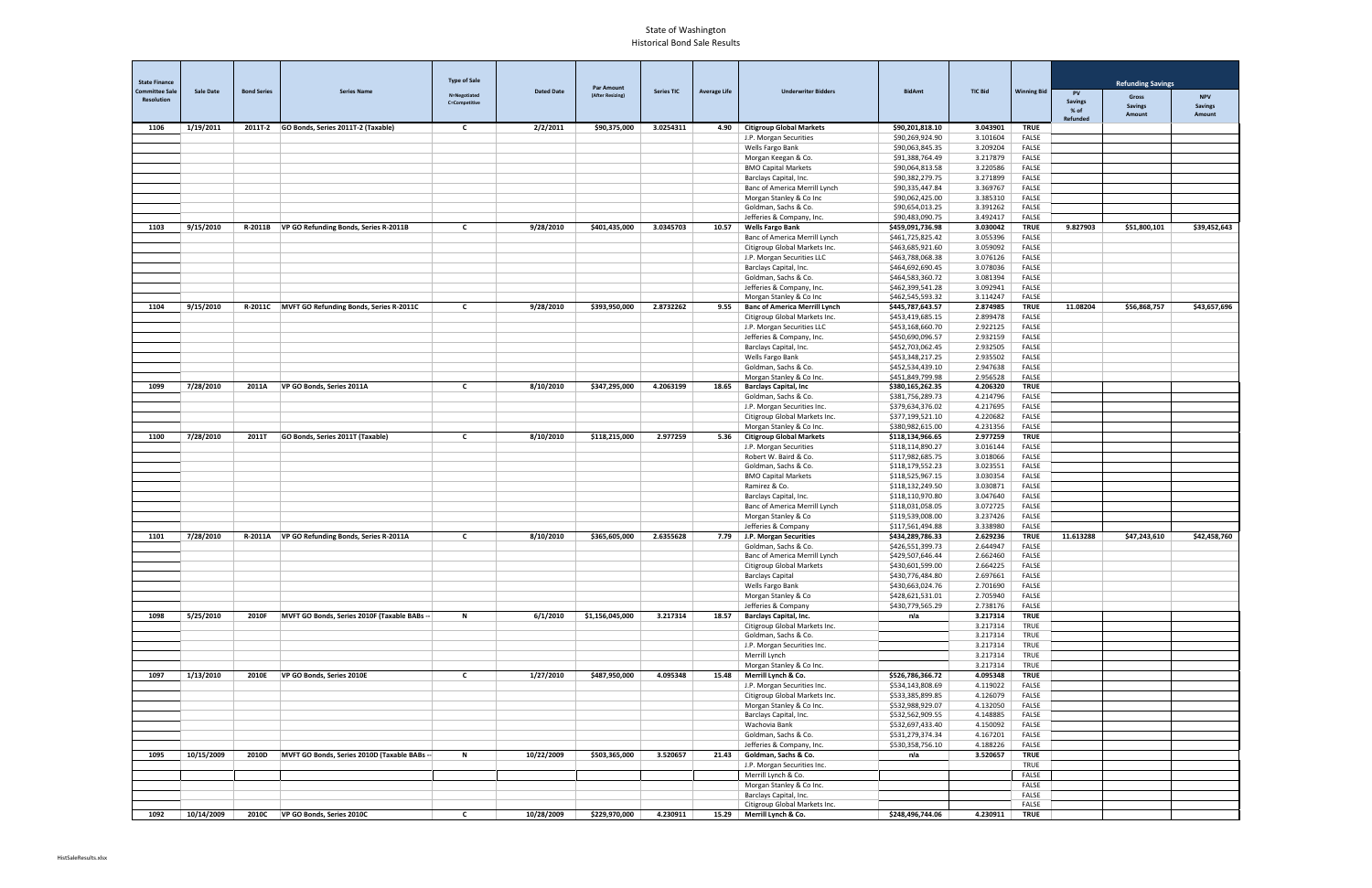| <b>State Finance</b><br><b>Committee Sale</b> | <b>Sale Date</b> | <b>Bond Series</b> | <b>Series Name</b>                              | <b>Type of Sale</b>                  | <b>Dated Date</b> | <b>Par Amount</b> | <b>Series TIC</b> | <b>Average Life</b> | <b>Underwriter Bidders</b>                                   | <b>BidAmt</b>                        | <b>TIC Bid</b>       | <b>Winning Bid</b>   | PV                      | <b>Refunding Savings</b> |                              |
|-----------------------------------------------|------------------|--------------------|-------------------------------------------------|--------------------------------------|-------------------|-------------------|-------------------|---------------------|--------------------------------------------------------------|--------------------------------------|----------------------|----------------------|-------------------------|--------------------------|------------------------------|
| <b>Resolution</b>                             |                  |                    |                                                 | N=Negotiated<br><b>C=Competitive</b> |                   | (After Resizing)  |                   |                     |                                                              |                                      |                      |                      | <b>Savings</b>          | Gross<br><b>Savings</b>  | <b>NPV</b><br><b>Savings</b> |
|                                               |                  |                    |                                                 |                                      |                   |                   |                   |                     |                                                              |                                      |                      |                      | % of<br><b>Refunded</b> | Amount                   | Amount                       |
| 1106                                          | 1/19/2011        |                    | 2011T-2 GO Bonds, Series 2011T-2 (Taxable)      | $\mathbf{c}$                         | 2/2/2011          | \$90,375,000      | 3.0254311         |                     | 4.90 Citigroup Global Markets<br>J.P. Morgan Securities      | \$90,201,818.10<br>\$90,269,924.90   | 3.043901<br>3.101604 | <b>TRUE</b><br>FALSE |                         |                          |                              |
|                                               |                  |                    |                                                 |                                      |                   |                   |                   |                     | Wells Fargo Bank                                             | \$90,063,845.35                      | 3.209204             | FALSE                |                         |                          |                              |
|                                               |                  |                    |                                                 |                                      |                   |                   |                   |                     | Morgan Keegan & Co.                                          | \$91,388,764.49                      | 3.217879             | FALSE                |                         |                          |                              |
|                                               |                  |                    |                                                 |                                      |                   |                   |                   |                     | <b>BMO Capital Markets</b>                                   | \$90,064,813.58                      | 3.220586             | FALSE                |                         |                          |                              |
|                                               |                  |                    |                                                 |                                      |                   |                   |                   |                     | Barclays Capital, Inc.                                       | \$90,382,279.75                      | 3.271899             | FALSE                |                         |                          |                              |
|                                               |                  |                    |                                                 |                                      |                   |                   |                   |                     | Banc of America Merrill Lynch<br>Morgan Stanley & Co Inc     | \$90,335,447.84<br>\$90,062,425.00   | 3.369767<br>3.385310 | FALSE<br>FALSE       |                         |                          |                              |
|                                               |                  |                    |                                                 |                                      |                   |                   |                   |                     | Goldman, Sachs & Co.                                         | \$90,654,013.25                      | 3.391262             | FALSE                |                         |                          |                              |
|                                               |                  |                    |                                                 |                                      |                   |                   |                   |                     | Jefferies & Company, Inc.                                    | \$90,483,090.75                      | 3.492417             | FALSE                |                         |                          |                              |
| 1103                                          | 9/15/2010        | R-2011B            | VP GO Refunding Bonds, Series R-2011B           | $\mathbf{c}$                         | 9/28/2010         | \$401,435,000     | 3.0345703         | 10.57               | <b>Wells Fargo Bank</b>                                      | \$459,091,736.98                     | 3.030042             | <b>TRUE</b>          | 9.827903                | \$51,800,101             | \$39,452,643                 |
|                                               |                  |                    |                                                 |                                      |                   |                   |                   |                     | Banc of America Merrill Lynch                                | \$461,725,825.42                     | 3.055396             | FALSE                |                         |                          |                              |
|                                               |                  |                    |                                                 |                                      |                   |                   |                   |                     | Citigroup Global Markets Inc.<br>J.P. Morgan Securities LLC  | \$463,685,921.60<br>\$463,788,068.38 | 3.059092<br>3.076126 | FALSE<br>FALSE       |                         |                          |                              |
|                                               |                  |                    |                                                 |                                      |                   |                   |                   |                     | Barclays Capital, Inc.                                       | \$464,692,690.45                     | 3.078036             | FALSE                |                         |                          |                              |
|                                               |                  |                    |                                                 |                                      |                   |                   |                   |                     | Goldman, Sachs & Co.                                         | \$464,583,360.72                     | 3.081394             | FALSE                |                         |                          |                              |
|                                               |                  |                    |                                                 |                                      |                   |                   |                   |                     | Jefferies & Company, Inc.                                    | \$462,399,541.28                     | 3.092941             | FALSE                |                         |                          |                              |
|                                               |                  |                    |                                                 |                                      |                   |                   |                   |                     | Morgan Stanley & Co Inc                                      | \$462,545,593.32                     | 3.114247             | FALSE                |                         |                          |                              |
| 1104                                          | 9/15/2010        |                    | R-2011C MVFT GO Refunding Bonds, Series R-2011C | C                                    | 9/28/2010         | \$393,950,000     | 2.8732262         | 9.55                | <b>Banc of America Merrill Lynch</b>                         | \$445,787,643.57<br>\$453,419,685.15 | 2.874985<br>2.899478 | <b>TRUE</b><br>FALSE | 11.08204                | \$56,868,757             | \$43,657,696                 |
|                                               |                  |                    |                                                 |                                      |                   |                   |                   |                     | Citigroup Global Markets Inc.<br>J.P. Morgan Securities LLC  | \$453,168,660.70                     | 2.922125             | FALSE                |                         |                          |                              |
|                                               |                  |                    |                                                 |                                      |                   |                   |                   |                     | Jefferies & Company, Inc.                                    | \$450,690,096.57                     | 2.932159             | FALSE                |                         |                          |                              |
|                                               |                  |                    |                                                 |                                      |                   |                   |                   |                     | Barclays Capital, Inc.                                       | \$452,703,062.45                     | 2.932505             | FALSE                |                         |                          |                              |
|                                               |                  |                    |                                                 |                                      |                   |                   |                   |                     | Wells Fargo Bank                                             | \$453,348,217.25                     | 2.935502             | FALSE                |                         |                          |                              |
|                                               |                  |                    |                                                 |                                      |                   |                   |                   |                     | Goldman, Sachs & Co.                                         | \$452,534,439.10                     | 2.947638             | FALSE                |                         |                          |                              |
| 1099                                          | 7/28/2010        | 2011A              | VP GO Bonds, Series 2011A                       | $\mathbf{c}$                         | 8/10/2010         | \$347,295,000     | 4.2063199         | 18.65               | Morgan Stanley & Co Inc.<br><b>Barclays Capital, Inc</b>     | \$451,849,799.98<br>\$380,165,262.35 | 2.956528<br>4.206320 | FALSE<br><b>TRUE</b> |                         |                          |                              |
|                                               |                  |                    |                                                 |                                      |                   |                   |                   |                     | Goldman, Sachs & Co.                                         | \$381,756,289.73                     | 4.214796             | FALSE                |                         |                          |                              |
|                                               |                  |                    |                                                 |                                      |                   |                   |                   |                     | J.P. Morgan Securities Inc.                                  | \$379,634,376.02                     | 4.217695             | FALSE                |                         |                          |                              |
|                                               |                  |                    |                                                 |                                      |                   |                   |                   |                     | Citigroup Global Markets Inc.                                | \$377,199,521.10                     | 4.220682             | FALSE                |                         |                          |                              |
|                                               |                  |                    |                                                 |                                      |                   |                   |                   |                     | Morgan Stanley & Co Inc.                                     | \$380,982,615.00                     | 4.231356             | FALSE                |                         |                          |                              |
| 1100                                          | 7/28/2010        | 2011T              | GO Bonds, Series 2011T (Taxable)                | C                                    | 8/10/2010         | \$118,215,000     | 2.977259          |                     | 5.36   Citigroup Global Markets                              | \$118,134,966.65                     | 2.977259             | <b>TRUE</b>          |                         |                          |                              |
|                                               |                  |                    |                                                 |                                      |                   |                   |                   |                     | J.P. Morgan Securities<br>Robert W. Baird & Co.              | \$118,114,890.27<br>\$117,982,685.75 | 3.016144<br>3.018066 | FALSE<br>FALSE       |                         |                          |                              |
|                                               |                  |                    |                                                 |                                      |                   |                   |                   |                     | Goldman, Sachs & Co.                                         | \$118,179,552.23                     | 3.023551             | FALSE                |                         |                          |                              |
|                                               |                  |                    |                                                 |                                      |                   |                   |                   |                     | <b>BMO Capital Markets</b>                                   | \$118,525,967.15                     | 3.030354             | FALSE                |                         |                          |                              |
|                                               |                  |                    |                                                 |                                      |                   |                   |                   |                     | Ramirez & Co.                                                | \$118,132,249.50                     | 3.030871             | FALSE                |                         |                          |                              |
|                                               |                  |                    |                                                 |                                      |                   |                   |                   |                     | Barclays Capital, Inc.                                       | \$118,110,970.80                     | 3.047640             | FALSE                |                         |                          |                              |
|                                               |                  |                    |                                                 |                                      |                   |                   |                   |                     | Banc of America Merrill Lynch<br>Morgan Stanley & Co         | \$118,031,058.05<br>\$119,539,008.00 | 3.072725<br>3.237426 | FALSE<br>FALSE       |                         |                          |                              |
|                                               |                  |                    |                                                 |                                      |                   |                   |                   |                     | Jefferies & Company                                          | \$117,561,494.88                     | 3.338980             | FALSE                |                         |                          |                              |
| 1101                                          | 7/28/2010        | R-2011A            | VP GO Refunding Bonds, Series R-2011A           | $\mathbf{C}$                         | 8/10/2010         | \$365,605,000     | 2.6355628         |                     | 7.79 J.P. Morgan Securities                                  | \$434,289,786.33                     | 2.629236             | <b>TRUE</b>          | 11.613288               | \$47,243,610             | \$42,458,760                 |
|                                               |                  |                    |                                                 |                                      |                   |                   |                   |                     | Goldman, Sachs & Co.                                         | \$426,551,399.73                     | 2.644947             | FALSE                |                         |                          |                              |
|                                               |                  |                    |                                                 |                                      |                   |                   |                   |                     | Banc of America Merrill Lynch                                | \$429,507,646.44                     | 2.662460             | FALSE                |                         |                          |                              |
|                                               |                  |                    |                                                 |                                      |                   |                   |                   |                     | Citigroup Global Markets<br><b>Barclays Capital</b>          | \$430,601,599.00<br>\$430,776,484.80 | 2.664225<br>2.697661 | FALSE<br>FALSE       |                         |                          |                              |
|                                               |                  |                    |                                                 |                                      |                   |                   |                   |                     | Wells Fargo Bank                                             | \$430,663,024.76                     | 2.701690             | FALSE                |                         |                          |                              |
|                                               |                  |                    |                                                 |                                      |                   |                   |                   |                     | Morgan Stanley & Co                                          | \$428,621,531.01                     | 2.705940             | FALSE                |                         |                          |                              |
|                                               |                  |                    |                                                 |                                      |                   |                   |                   |                     | Jefferies & Company                                          | \$430,779,565.29                     | 2.738176             | FALSE                |                         |                          |                              |
| 1098                                          | 5/25/2010        | 2010F              | MVFT GO Bonds, Series 2010F (Taxable BABs --    | $\mathbf N$                          | 6/1/2010          | \$1,156,045,000   | 3.217314          | 18.57               | <b>Barclays Capital, Inc.</b>                                | n/a                                  | 3.217314             | <b>TRUE</b>          |                         |                          |                              |
|                                               |                  |                    |                                                 |                                      |                   |                   |                   |                     | Citigroup Global Markets Inc.<br>Goldman, Sachs & Co.        |                                      | 3.217314<br>3.217314 | TRUE<br>TRUE         |                         |                          |                              |
|                                               |                  |                    |                                                 |                                      |                   |                   |                   |                     | J.P. Morgan Securities Inc.                                  |                                      | 3.217314             | TRUE                 |                         |                          |                              |
|                                               |                  |                    |                                                 |                                      |                   |                   |                   |                     | Merrill Lynch                                                |                                      | 3.217314             | TRUE                 |                         |                          |                              |
|                                               |                  |                    |                                                 |                                      |                   |                   |                   |                     | Morgan Stanley & Co Inc.                                     |                                      | 3.217314             | TRUE                 |                         |                          |                              |
| 1097                                          | 1/13/2010        | 2010E              | VP GO Bonds, Series 2010E                       | $\mathbf{c}$                         | 1/27/2010         | \$487,950,000     | 4.095348          | 15.48               | Merrill Lynch & Co.                                          | \$526,786,366.72                     | 4.095348             | <b>TRUE</b>          |                         |                          |                              |
|                                               |                  |                    |                                                 |                                      |                   |                   |                   |                     | J.P. Morgan Securities Inc.<br>Citigroup Global Markets Inc. | \$534,143,808.69<br>\$533,385,899.85 | 4.119022<br>4.126079 | FALSE<br>FALSE       |                         |                          |                              |
|                                               |                  |                    |                                                 |                                      |                   |                   |                   |                     | Morgan Stanley & Co Inc.                                     | \$532,988,929.07                     | 4.132050             | FALSE                |                         |                          |                              |
|                                               |                  |                    |                                                 |                                      |                   |                   |                   |                     | Barclays Capital, Inc.                                       | \$532,562,909.55                     | 4.148885             | FALSE                |                         |                          |                              |
|                                               |                  |                    |                                                 |                                      |                   |                   |                   |                     | Wachovia Bank                                                | \$532,697,433.40                     | 4.150092             | FALSE                |                         |                          |                              |
|                                               |                  |                    |                                                 |                                      |                   |                   |                   |                     | Goldman, Sachs & Co.                                         | \$531,279,374.34                     | 4.167201             | FALSE                |                         |                          |                              |
| 1095                                          | 10/15/2009       | 2010D              | MVFT GO Bonds, Series 2010D (Taxable BABs --    | N                                    | 10/22/2009        | \$503,365,000     | 3.520657          |                     | Jefferies & Company, Inc.<br>21.43 Goldman, Sachs & Co.      | \$530,358,756.10<br>n/a              | 4.188226<br>3.520657 | FALSE<br><b>TRUE</b> |                         |                          |                              |
|                                               |                  |                    |                                                 |                                      |                   |                   |                   |                     | J.P. Morgan Securities Inc.                                  |                                      |                      | TRUE                 |                         |                          |                              |
|                                               |                  |                    |                                                 |                                      |                   |                   |                   |                     | Merrill Lynch & Co.                                          |                                      |                      | FALSE                |                         |                          |                              |
|                                               |                  |                    |                                                 |                                      |                   |                   |                   |                     | Morgan Stanley & Co Inc.                                     |                                      |                      | FALSE                |                         |                          |                              |
|                                               |                  |                    |                                                 |                                      |                   |                   |                   |                     | Barclays Capital, Inc.                                       |                                      |                      | FALSE                |                         |                          |                              |
| 1092                                          | 10/14/2009       | 2010C              | VP GO Bonds, Series 2010C                       | C                                    | 10/28/2009        | \$229,970,000     | 4.230911          |                     | Citigroup Global Markets Inc.<br>15.29 Merrill Lynch & Co.   | \$248,496,744.06                     | 4.230911             | FALSE<br><b>TRUE</b> |                         |                          |                              |
|                                               |                  |                    |                                                 |                                      |                   |                   |                   |                     |                                                              |                                      |                      |                      |                         |                          |                              |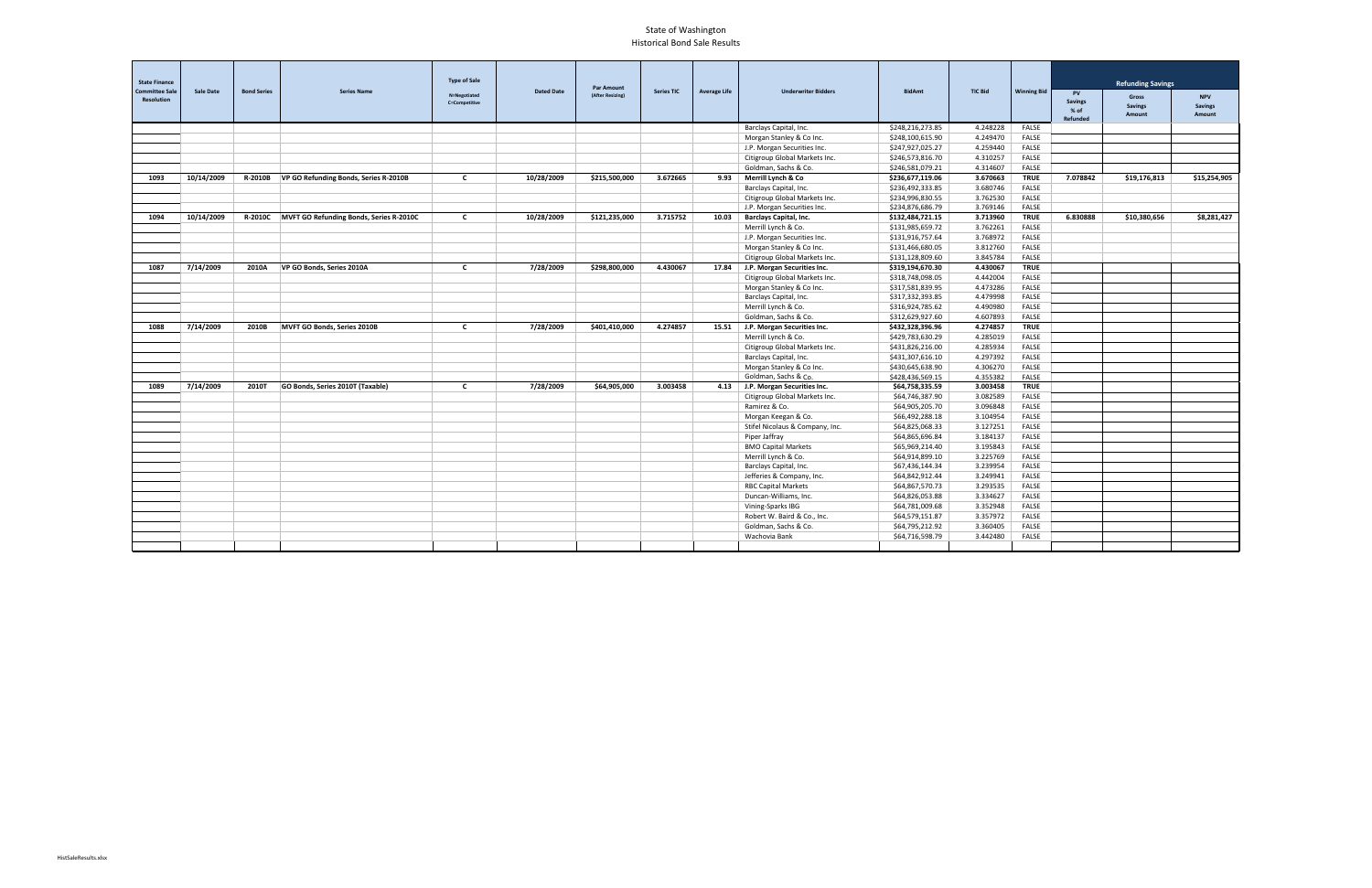| <b>State Finance</b><br><b>Sale Date</b><br><b>Committee Sale</b><br><b>Bond Series</b> |            | <b>Type of Sale</b> |                                         |                               |                   |                                       |                   |                     |                                   |                  |                | <b>Refunding Savings</b> |                                                        |                                   |                                        |
|-----------------------------------------------------------------------------------------|------------|---------------------|-----------------------------------------|-------------------------------|-------------------|---------------------------------------|-------------------|---------------------|-----------------------------------|------------------|----------------|--------------------------|--------------------------------------------------------|-----------------------------------|----------------------------------------|
| <b>Resolution</b>                                                                       |            |                     | <b>Series Name</b>                      | N=Negotiated<br>C=Competitive | <b>Dated Date</b> | <b>Par Amount</b><br>(After Resizing) | <b>Series TIC</b> | <b>Average Life</b> | <b>Underwriter Bidders</b>        | <b>BidAmt</b>    | <b>TIC Bid</b> | <b>Winning Bid</b>       | <b>PV</b><br><b>Savings</b><br>% of<br><b>Refunded</b> | Gross<br><b>Savings</b><br>Amount | <b>NPV</b><br><b>Savings</b><br>Amount |
|                                                                                         |            |                     |                                         |                               |                   |                                       |                   |                     | Barclays Capital, Inc.            | \$248,216,273.85 | 4.248228       | <b>FALSE</b>             |                                                        |                                   |                                        |
|                                                                                         |            |                     |                                         |                               |                   |                                       |                   |                     | Morgan Stanley & Co Inc.          | \$248,100,615.90 | 4.249470       | FALSE                    |                                                        |                                   |                                        |
|                                                                                         |            |                     |                                         |                               |                   |                                       |                   |                     | J.P. Morgan Securities Inc.       | \$247,927,025.27 | 4.259440       | <b>FALSE</b>             |                                                        |                                   |                                        |
|                                                                                         |            |                     |                                         |                               |                   |                                       |                   |                     | Citigroup Global Markets Inc.     | \$246,573,816.70 | 4.310257       | FALSE                    |                                                        |                                   |                                        |
|                                                                                         |            |                     |                                         |                               |                   |                                       |                   |                     | Goldman, Sachs & Co.              | \$246,581,079.21 | 4.314607       | FALSE                    |                                                        |                                   |                                        |
| 1093                                                                                    | 10/14/2009 | R-2010B             | VP GO Refunding Bonds, Series R-2010B   | $\mathbf{c}$                  | 10/28/2009        | \$215,500,000                         | 3.672665          |                     | 9.93 Merrill Lynch & Co           | \$236,677,119.06 | 3.670663       | <b>TRUE</b>              | 7.078842                                               | \$19,176,813                      | \$15,254,905                           |
|                                                                                         |            |                     |                                         |                               |                   |                                       |                   |                     | Barclays Capital, Inc.            | \$236,492,333.85 | 3.680746       | FALSE                    |                                                        |                                   |                                        |
|                                                                                         |            |                     |                                         |                               |                   |                                       |                   |                     | Citigroup Global Markets Inc.     | \$234,996,830.55 | 3.762530       | FALSE                    |                                                        |                                   |                                        |
|                                                                                         |            |                     |                                         |                               |                   |                                       |                   |                     | J.P. Morgan Securities Inc.       | \$234,876,686.79 | 3.769146       | FALSE                    |                                                        |                                   |                                        |
| 1094                                                                                    | 10/14/2009 | <b>R-2010C</b>      | MVFT GO Refunding Bonds, Series R-2010C | $\mathbf{C}$                  | 10/28/2009        | \$121,235,000                         | 3.715752          | 10.03               | <b>Barclays Capital, Inc.</b>     | \$132,484,721.15 | 3.713960       | <b>TRUE</b>              | 6.830888                                               | \$10,380,656                      | \$8,281,427                            |
|                                                                                         |            |                     |                                         |                               |                   |                                       |                   |                     | Merrill Lynch & Co.               | \$131,985,659.72 | 3.762261       | FALSE                    |                                                        |                                   |                                        |
|                                                                                         |            |                     |                                         |                               |                   |                                       |                   |                     | J.P. Morgan Securities Inc.       | \$131,916,757.64 | 3.768972       | FALSE                    |                                                        |                                   |                                        |
|                                                                                         |            |                     |                                         |                               |                   |                                       |                   |                     | Morgan Stanley & Co Inc.          | \$131,466,680.05 | 3.812760       | FALSE                    |                                                        |                                   |                                        |
|                                                                                         |            |                     |                                         |                               |                   |                                       |                   |                     | Citigroup Global Markets Inc.     | \$131,128,809.60 | 3.845784       | FALSE                    |                                                        |                                   |                                        |
| 1087                                                                                    | 7/14/2009  | 2010A               | VP GO Bonds, Series 2010A               | $\mathbf{c}$                  | 7/28/2009         | \$298,800,000                         | 4.430067          |                     | 17.84 J.P. Morgan Securities Inc. | \$319,194,670.30 | 4.430067       | <b>TRUE</b>              |                                                        |                                   |                                        |
|                                                                                         |            |                     |                                         |                               |                   |                                       |                   |                     | Citigroup Global Markets Inc.     | \$318,748,098.05 | 4.442004       | FALSE                    |                                                        |                                   |                                        |
|                                                                                         |            |                     |                                         |                               |                   |                                       |                   |                     | Morgan Stanley & Co Inc.          | \$317,581,839.95 | 4.473286       | FALSE                    |                                                        |                                   |                                        |
|                                                                                         |            |                     |                                         |                               |                   |                                       |                   |                     | Barclays Capital, Inc.            | \$317,332,393.85 | 4.479998       | FALSE                    |                                                        |                                   |                                        |
|                                                                                         |            |                     |                                         |                               |                   |                                       |                   |                     | Merrill Lynch & Co.               | \$316,924,785.62 | 4.490980       | FALSE                    |                                                        |                                   |                                        |
|                                                                                         |            |                     |                                         |                               |                   |                                       |                   |                     | Goldman, Sachs & Co.              | \$312,629,927.60 | 4.607893       | FALSE                    |                                                        |                                   |                                        |
| 1088                                                                                    | 7/14/2009  | 2010B               | MVFT GO Bonds, Series 2010B             | $\mathbf{c}$                  | 7/28/2009         | \$401,410,000                         | 4.274857          |                     | 15.51 J.P. Morgan Securities Inc. | \$432,328,396.96 | 4.274857       | <b>TRUE</b>              |                                                        |                                   |                                        |
|                                                                                         |            |                     |                                         |                               |                   |                                       |                   |                     | Merrill Lynch & Co.               | \$429,783,630.29 | 4.285019       | FALSE                    |                                                        |                                   |                                        |
|                                                                                         |            |                     |                                         |                               |                   |                                       |                   |                     | Citigroup Global Markets Inc.     | \$431,826,216.00 | 4.285934       | FALSE                    |                                                        |                                   |                                        |
|                                                                                         |            |                     |                                         |                               |                   |                                       |                   |                     | Barclays Capital, Inc.            | \$431,307,616.10 | 4.297392       | FALSE                    |                                                        |                                   |                                        |
|                                                                                         |            |                     |                                         |                               |                   |                                       |                   |                     | Morgan Stanley & Co Inc.          | \$430,645,638.90 | 4.306270       | FALSE                    |                                                        |                                   |                                        |
|                                                                                         |            |                     |                                         |                               |                   |                                       |                   |                     | Goldman, Sachs & Co.              | \$428,436,569.15 | 4.355382       | FALSE                    |                                                        |                                   |                                        |
| 1089                                                                                    | 7/14/2009  | 2010T               | GO Bonds, Series 2010T (Taxable)        | $\mathbf{C}$                  | 7/28/2009         | \$64.905.000                          | 3.003458          |                     | 4.13 J.P. Morgan Securities Inc.  | \$64,758,335.59  | 3.003458       | <b>TRUE</b>              |                                                        |                                   |                                        |
|                                                                                         |            |                     |                                         |                               |                   |                                       |                   |                     | Citigroup Global Markets Inc.     | \$64,746,387.90  | 3.082589       | FALSE                    |                                                        |                                   |                                        |
|                                                                                         |            |                     |                                         |                               |                   |                                       |                   |                     | Ramirez & Co.                     | \$64,905,205.70  | 3.096848       | FALSE                    |                                                        |                                   |                                        |
|                                                                                         |            |                     |                                         |                               |                   |                                       |                   |                     | Morgan Keegan & Co.               | \$66,492,288.18  | 3.104954       | FALSE                    |                                                        |                                   |                                        |
|                                                                                         |            |                     |                                         |                               |                   |                                       |                   |                     | Stifel Nicolaus & Company, Inc.   | \$64,825,068.33  | 3.127251       | FALSE                    |                                                        |                                   |                                        |
|                                                                                         |            |                     |                                         |                               |                   |                                       |                   |                     | Piper Jaffray                     | \$64,865,696.84  | 3.184137       | <b>FALSE</b>             |                                                        |                                   |                                        |
|                                                                                         |            |                     |                                         |                               |                   |                                       |                   |                     | <b>BMO Capital Markets</b>        | \$65,969,214.40  | 3.195843       | FALSE                    |                                                        |                                   |                                        |
|                                                                                         |            |                     |                                         |                               |                   |                                       |                   |                     | Merrill Lynch & Co.               | \$64,914,899.10  | 3.225769       | <b>FALSE</b>             |                                                        |                                   |                                        |
|                                                                                         |            |                     |                                         |                               |                   |                                       |                   |                     | Barclays Capital, Inc.            | \$67,436,144.34  | 3.239954       | FALSE                    |                                                        |                                   |                                        |
|                                                                                         |            |                     |                                         |                               |                   |                                       |                   |                     | Jefferies & Company, Inc.         | \$64,842,912.44  | 3.249941       | FALSE                    |                                                        |                                   |                                        |
|                                                                                         |            |                     |                                         |                               |                   |                                       |                   |                     | <b>RBC Capital Markets</b>        | \$64,867,570.73  | 3.293535       | FALSE                    |                                                        |                                   |                                        |
|                                                                                         |            |                     |                                         |                               |                   |                                       |                   |                     | Duncan-Williams, Inc.             | \$64,826,053.88  | 3.334627       | FALSE                    |                                                        |                                   |                                        |
|                                                                                         |            |                     |                                         |                               |                   |                                       |                   |                     | Vining-Sparks IBG                 | \$64,781,009.68  | 3.352948       | <b>FALSE</b>             |                                                        |                                   |                                        |
|                                                                                         |            |                     |                                         |                               |                   |                                       |                   |                     | Robert W. Baird & Co., Inc.       | \$64,579,151.87  | 3.357972       | FALSE                    |                                                        |                                   |                                        |
|                                                                                         |            |                     |                                         |                               |                   |                                       |                   |                     | Goldman, Sachs & Co.              | \$64,795,212.92  | 3.360405       | FALSE                    |                                                        |                                   |                                        |
|                                                                                         |            |                     |                                         |                               |                   |                                       |                   |                     | Wachovia Bank                     | \$64,716,598.79  | 3.442480       | FALSE                    |                                                        |                                   |                                        |
|                                                                                         |            |                     |                                         |                               |                   |                                       |                   |                     |                                   |                  |                |                          |                                                        |                                   |                                        |
|                                                                                         |            |                     |                                         |                               |                   |                                       |                   |                     |                                   |                  |                |                          |                                                        |                                   |                                        |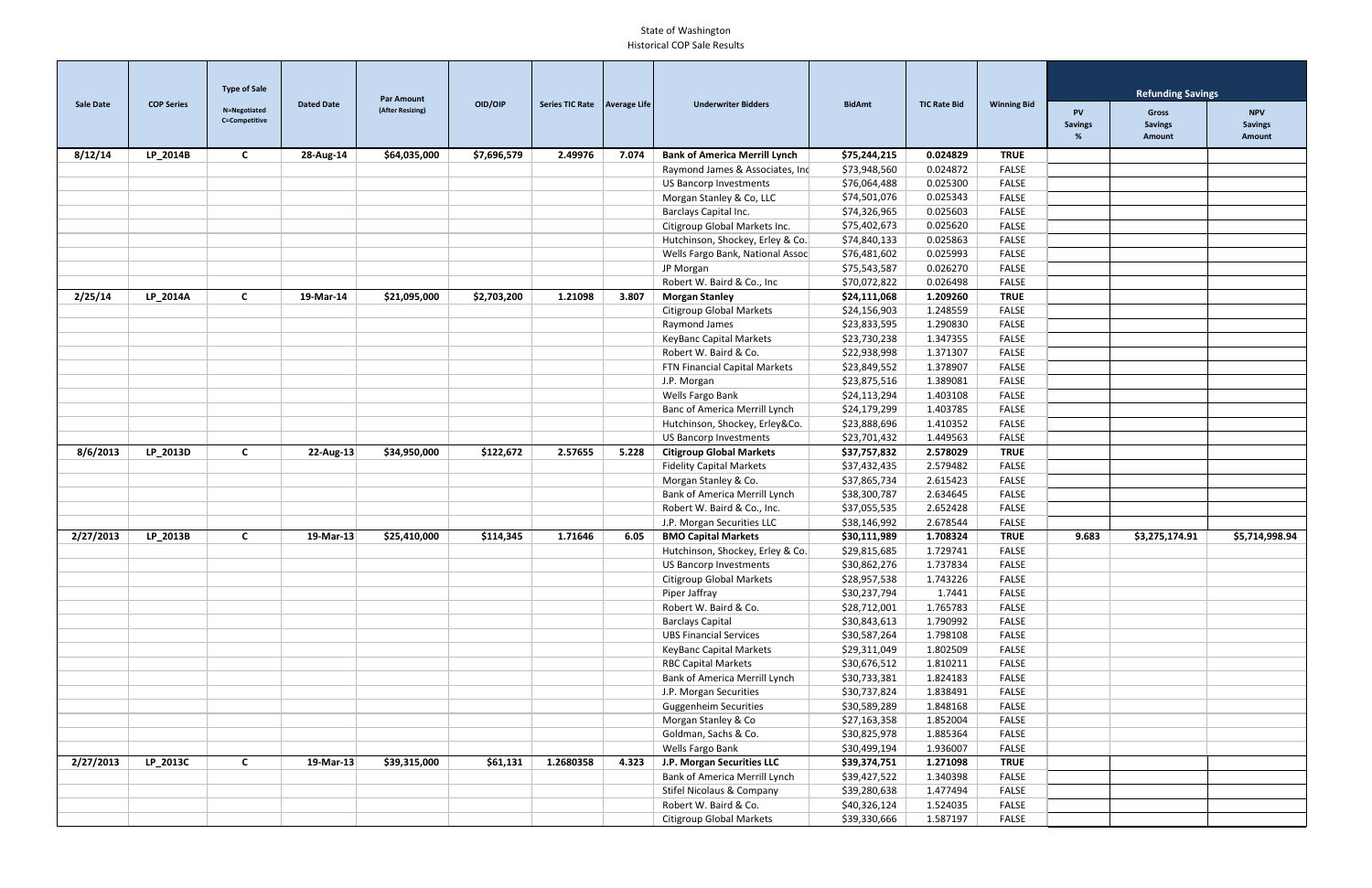| <b>Sale Date</b> | <b>COP Series</b> | <b>Type of Sale</b>           | <b>Dated Date</b> | <b>Par Amount</b> | OID/OIP     | Series TIC Rate   Average Life |       | <b>Underwriter Bidders</b>           | <b>BidAmt</b> | <b>TIC Rate Bid</b> | <b>Winning Bid</b> |                                  | <b>Refunding Savings</b>          |                                        |
|------------------|-------------------|-------------------------------|-------------------|-------------------|-------------|--------------------------------|-------|--------------------------------------|---------------|---------------------|--------------------|----------------------------------|-----------------------------------|----------------------------------------|
|                  |                   | N=Negotiated<br>C=Competitive |                   | (After Resizing)  |             |                                |       |                                      |               |                     |                    | <b>PV</b><br><b>Savings</b><br>% | Gross<br><b>Savings</b><br>Amount | <b>NPV</b><br><b>Savings</b><br>Amount |
| 8/12/14          | LP_2014B          | C                             | 28-Aug-14         | \$64,035,000      | \$7,696,579 | 2.49976                        | 7.074 | <b>Bank of America Merrill Lynch</b> | \$75,244,215  | 0.024829            | <b>TRUE</b>        |                                  |                                   |                                        |
|                  |                   |                               |                   |                   |             |                                |       | Raymond James & Associates, Inc      | \$73,948,560  | 0.024872            | <b>FALSE</b>       |                                  |                                   |                                        |
|                  |                   |                               |                   |                   |             |                                |       | <b>US Bancorp Investments</b>        | \$76,064,488  | 0.025300            | <b>FALSE</b>       |                                  |                                   |                                        |
|                  |                   |                               |                   |                   |             |                                |       | Morgan Stanley & Co, LLC             | \$74,501,076  | 0.025343            | <b>FALSE</b>       |                                  |                                   |                                        |
|                  |                   |                               |                   |                   |             |                                |       | Barclays Capital Inc.                | \$74,326,965  | 0.025603            | <b>FALSE</b>       |                                  |                                   |                                        |
|                  |                   |                               |                   |                   |             |                                |       | Citigroup Global Markets Inc.        | \$75,402,673  | 0.025620            | <b>FALSE</b>       |                                  |                                   |                                        |
|                  |                   |                               |                   |                   |             |                                |       | Hutchinson, Shockey, Erley & Co.     | \$74,840,133  | 0.025863            | <b>FALSE</b>       |                                  |                                   |                                        |
|                  |                   |                               |                   |                   |             |                                |       | Wells Fargo Bank, National Assoc     | \$76,481,602  | 0.025993            | <b>FALSE</b>       |                                  |                                   |                                        |
|                  |                   |                               |                   |                   |             |                                |       | JP Morgan                            | \$75,543,587  | 0.026270            | <b>FALSE</b>       |                                  |                                   |                                        |
|                  |                   |                               |                   |                   |             |                                |       | Robert W. Baird & Co., Inc           | \$70,072,822  | 0.026498            | FALSE              |                                  |                                   |                                        |
| 2/25/14          | LP_2014A          | $\mathsf{C}$                  | 19-Mar-14         | \$21,095,000      | \$2,703,200 | 1.21098                        | 3.807 | <b>Morgan Stanley</b>                | \$24,111,068  | 1.209260            | <b>TRUE</b>        |                                  |                                   |                                        |
|                  |                   |                               |                   |                   |             |                                |       | <b>Citigroup Global Markets</b>      | \$24,156,903  | 1.248559            | FALSE              |                                  |                                   |                                        |
|                  |                   |                               |                   |                   |             |                                |       | Raymond James                        | \$23,833,595  | 1.290830            | <b>FALSE</b>       |                                  |                                   |                                        |
|                  |                   |                               |                   |                   |             |                                |       | <b>KeyBanc Capital Markets</b>       | \$23,730,238  | 1.347355            | FALSE              |                                  |                                   |                                        |
|                  |                   |                               |                   |                   |             |                                |       | Robert W. Baird & Co.                | \$22,938,998  | 1.371307            | <b>FALSE</b>       |                                  |                                   |                                        |
|                  |                   |                               |                   |                   |             |                                |       | FTN Financial Capital Markets        | \$23,849,552  | 1.378907            | FALSE              |                                  |                                   |                                        |
|                  |                   |                               |                   |                   |             |                                |       | J.P. Morgan                          | \$23,875,516  | 1.389081            | <b>FALSE</b>       |                                  |                                   |                                        |
|                  |                   |                               |                   |                   |             |                                |       | Wells Fargo Bank                     | \$24,113,294  | 1.403108            | <b>FALSE</b>       |                                  |                                   |                                        |
|                  |                   |                               |                   |                   |             |                                |       | Banc of America Merrill Lynch        | \$24,179,299  | 1.403785            | <b>FALSE</b>       |                                  |                                   |                                        |
|                  |                   |                               |                   |                   |             |                                |       | Hutchinson, Shockey, Erley&Co.       | \$23,888,696  | 1.410352            | <b>FALSE</b>       |                                  |                                   |                                        |
|                  |                   |                               |                   |                   |             |                                |       | <b>US Bancorp Investments</b>        | \$23,701,432  | 1.449563            | <b>FALSE</b>       |                                  |                                   |                                        |
| 8/6/2013         | LP_2013D          | $\mathbf{C}$                  | $22$ -Aug-13      | \$34,950,000      | \$122,672   | 2.57655                        | 5.228 | <b>Citigroup Global Markets</b>      | \$37,757,832  | 2.578029            | <b>TRUE</b>        |                                  |                                   |                                        |
|                  |                   |                               |                   |                   |             |                                |       | <b>Fidelity Capital Markets</b>      | \$37,432,435  | 2.579482            | <b>FALSE</b>       |                                  |                                   |                                        |
|                  |                   |                               |                   |                   |             |                                |       | Morgan Stanley & Co.                 | \$37,865,734  | 2.615423            | <b>FALSE</b>       |                                  |                                   |                                        |
|                  |                   |                               |                   |                   |             |                                |       | Bank of America Merrill Lynch        | \$38,300,787  | 2.634645            | <b>FALSE</b>       |                                  |                                   |                                        |
|                  |                   |                               |                   |                   |             |                                |       | Robert W. Baird & Co., Inc.          | \$37,055,535  | 2.652428            | <b>FALSE</b>       |                                  |                                   |                                        |
|                  |                   |                               |                   |                   |             |                                |       | J.P. Morgan Securities LLC           | \$38,146,992  | 2.678544            | <b>FALSE</b>       |                                  |                                   |                                        |
| 2/27/2013        | LP_2013B          | $\mathbf{C}$                  | 19-Mar-13         | \$25,410,000      | \$114,345   | 1.71646                        | 6.05  | <b>BMO Capital Markets</b>           | \$30,111,989  | 1.708324            | <b>TRUE</b>        | 9.683                            | \$3,275,174.91                    | \$5,714,998.94                         |
|                  |                   |                               |                   |                   |             |                                |       | Hutchinson, Shockey, Erley & Co.     | \$29,815,685  | 1.729741            | <b>FALSE</b>       |                                  |                                   |                                        |
|                  |                   |                               |                   |                   |             |                                |       | US Bancorp Investments               | \$30,862,276  | 1.737834            | FALSE              |                                  |                                   |                                        |
|                  |                   |                               |                   |                   |             |                                |       | <b>Citigroup Global Markets</b>      | \$28,957,538  | 1.743226            | <b>FALSE</b>       |                                  |                                   |                                        |
|                  |                   |                               |                   |                   |             |                                |       | Piper Jaffray                        | \$30,237,794  | 1.7441              | FALSE              |                                  |                                   |                                        |
|                  |                   |                               |                   |                   |             |                                |       | Robert W. Baird & Co.                | \$28,712,001  | 1.765783            | FALSE              |                                  |                                   |                                        |
|                  |                   |                               |                   |                   |             |                                |       | <b>Barclays Capital</b>              | \$30,843,613  | 1.790992            | FALSE              |                                  |                                   |                                        |
|                  |                   |                               |                   |                   |             |                                |       | <b>UBS Financial Services</b>        | \$30,587,264  | 1.798108            | FALSE              |                                  |                                   |                                        |
|                  |                   |                               |                   |                   |             |                                |       | <b>KeyBanc Capital Markets</b>       | \$29,311,049  | 1.802509            | FALSE              |                                  |                                   |                                        |
|                  |                   |                               |                   |                   |             |                                |       | <b>RBC Capital Markets</b>           | \$30,676,512  | 1.810211            | FALSE              |                                  |                                   |                                        |
|                  |                   |                               |                   |                   |             |                                |       | Bank of America Merrill Lynch        | \$30,733,381  | 1.824183            | <b>FALSE</b>       |                                  |                                   |                                        |
|                  |                   |                               |                   |                   |             |                                |       | J.P. Morgan Securities               | \$30,737,824  | 1.838491            | FALSE              |                                  |                                   |                                        |
|                  |                   |                               |                   |                   |             |                                |       | <b>Guggenheim Securities</b>         | \$30,589,289  | 1.848168            | FALSE              |                                  |                                   |                                        |
|                  |                   |                               |                   |                   |             |                                |       | Morgan Stanley & Co                  | \$27,163,358  | 1.852004            | FALSE              |                                  |                                   |                                        |
|                  |                   |                               |                   |                   |             |                                |       | Goldman, Sachs & Co.                 | \$30,825,978  | 1.885364            | FALSE              |                                  |                                   |                                        |
|                  |                   |                               |                   |                   |             |                                |       | Wells Fargo Bank                     | \$30,499,194  | 1.936007            | FALSE              |                                  |                                   |                                        |
| 2/27/2013        | LP_2013C          | $\mathbf{C}$                  | 19-Mar-13         | \$39,315,000      | \$61,131    | 1.2680358                      | 4.323 | J.P. Morgan Securities LLC           | \$39,374,751  | 1.271098            | <b>TRUE</b>        |                                  |                                   |                                        |
|                  |                   |                               |                   |                   |             |                                |       | Bank of America Merrill Lynch        | \$39,427,522  | 1.340398            | FALSE              |                                  |                                   |                                        |
|                  |                   |                               |                   |                   |             |                                |       | Stifel Nicolaus & Company            | \$39,280,638  | 1.477494            | FALSE              |                                  |                                   |                                        |
|                  |                   |                               |                   |                   |             |                                |       | Robert W. Baird & Co.                | \$40,326,124  | 1.524035            | FALSE              |                                  |                                   |                                        |
|                  |                   |                               |                   |                   |             |                                |       | <b>Citigroup Global Markets</b>      | \$39,330,666  | 1.587197            | FALSE              |                                  |                                   |                                        |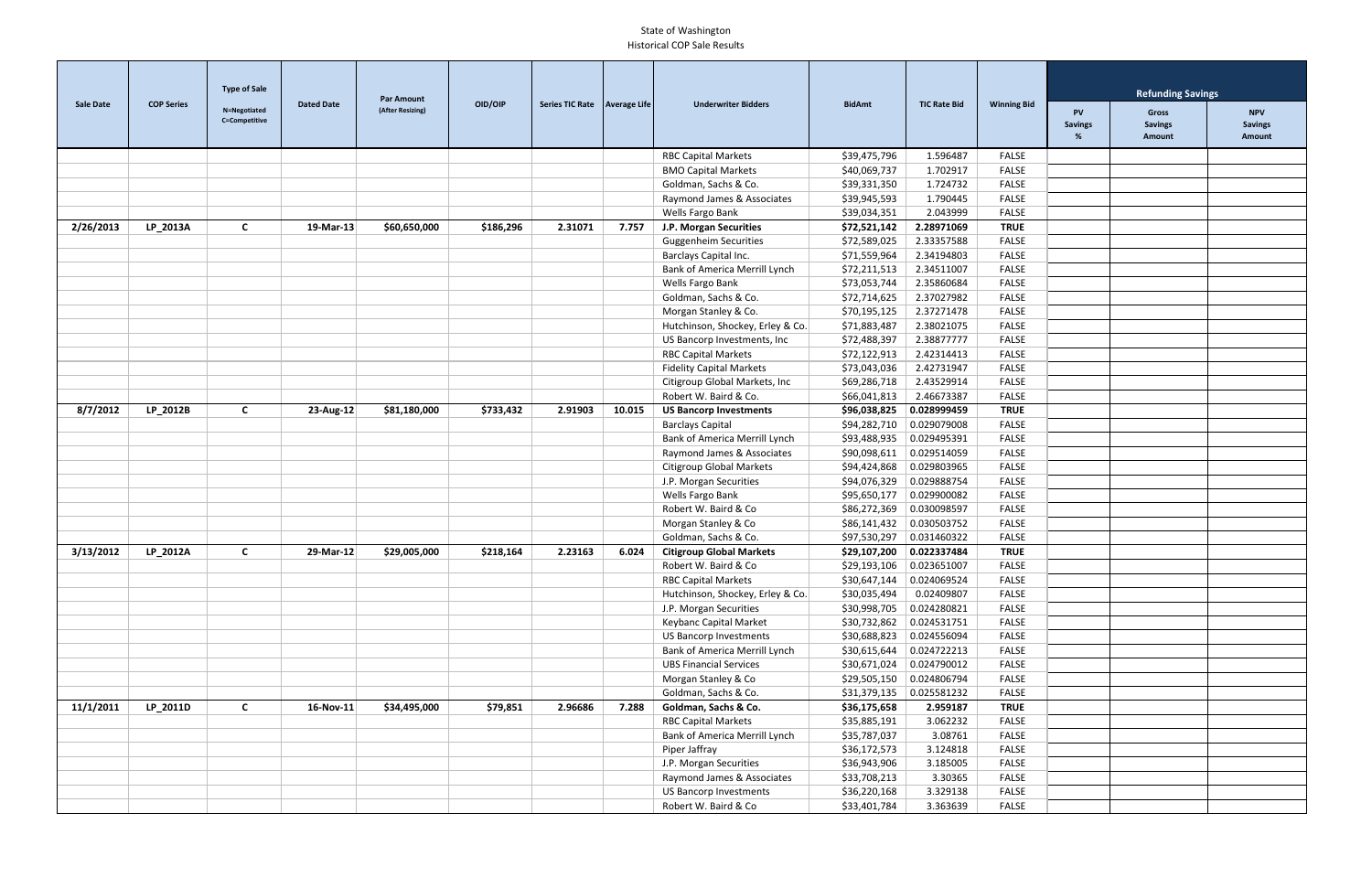|                  |                   | <b>Type of Sale</b>           |                   | <b>Par Amount</b> |           |                                |        |                                  |                                |                           |                    |                                  | <b>Refunding Savings</b>          |                                        |
|------------------|-------------------|-------------------------------|-------------------|-------------------|-----------|--------------------------------|--------|----------------------------------|--------------------------------|---------------------------|--------------------|----------------------------------|-----------------------------------|----------------------------------------|
| <b>Sale Date</b> | <b>COP Series</b> | N=Negotiated<br>C=Competitive | <b>Dated Date</b> | (After Resizing)  | OID/OIP   | Series TIC Rate   Average Life |        | <b>Underwriter Bidders</b>       | <b>BidAmt</b>                  | <b>TIC Rate Bid</b>       | <b>Winning Bid</b> | <b>PV</b><br><b>Savings</b><br>% | Gross<br><b>Savings</b><br>Amount | <b>NPV</b><br><b>Savings</b><br>Amount |
|                  |                   |                               |                   |                   |           |                                |        | <b>RBC Capital Markets</b>       | \$39,475,796                   | 1.596487                  | <b>FALSE</b>       |                                  |                                   |                                        |
|                  |                   |                               |                   |                   |           |                                |        | <b>BMO Capital Markets</b>       | \$40,069,737                   | 1.702917                  | <b>FALSE</b>       |                                  |                                   |                                        |
|                  |                   |                               |                   |                   |           |                                |        | Goldman, Sachs & Co.             | \$39,331,350                   | 1.724732                  | <b>FALSE</b>       |                                  |                                   |                                        |
|                  |                   |                               |                   |                   |           |                                |        | Raymond James & Associates       | \$39,945,593                   | 1.790445                  | <b>FALSE</b>       |                                  |                                   |                                        |
|                  |                   |                               |                   |                   |           |                                |        | Wells Fargo Bank                 | \$39,034,351                   | 2.043999                  | <b>FALSE</b>       |                                  |                                   |                                        |
| 2/26/2013        | LP_2013A          | $\mathsf{C}$                  | 19-Mar-13         | \$60,650,000      | \$186,296 | 2.31071                        | 7.757  | J.P. Morgan Securities           | \$72,521,142                   | 2.28971069                | <b>TRUE</b>        |                                  |                                   |                                        |
|                  |                   |                               |                   |                   |           |                                |        | <b>Guggenheim Securities</b>     | \$72,589,025                   | 2.33357588                | <b>FALSE</b>       |                                  |                                   |                                        |
|                  |                   |                               |                   |                   |           |                                |        | Barclays Capital Inc.            | \$71,559,964                   | 2.34194803                | <b>FALSE</b>       |                                  |                                   |                                        |
|                  |                   |                               |                   |                   |           |                                |        | Bank of America Merrill Lynch    | \$72,211,513                   | 2.34511007                | <b>FALSE</b>       |                                  |                                   |                                        |
|                  |                   |                               |                   |                   |           |                                |        | Wells Fargo Bank                 | \$73,053,744                   | 2.35860684                | <b>FALSE</b>       |                                  |                                   |                                        |
|                  |                   |                               |                   |                   |           |                                |        | Goldman, Sachs & Co.             | \$72,714,625                   | 2.37027982                | <b>FALSE</b>       |                                  |                                   |                                        |
|                  |                   |                               |                   |                   |           |                                |        | Morgan Stanley & Co.             | \$70,195,125                   | 2.37271478                | <b>FALSE</b>       |                                  |                                   |                                        |
|                  |                   |                               |                   |                   |           |                                |        | Hutchinson, Shockey, Erley & Co. | \$71,883,487                   | 2.38021075                | <b>FALSE</b>       |                                  |                                   |                                        |
|                  |                   |                               |                   |                   |           |                                |        | US Bancorp Investments, Inc      | \$72,488,397                   | 2.38877777                | <b>FALSE</b>       |                                  |                                   |                                        |
|                  |                   |                               |                   |                   |           |                                |        | <b>RBC Capital Markets</b>       | \$72,122,913                   | 2.42314413                | <b>FALSE</b>       |                                  |                                   |                                        |
|                  |                   |                               |                   |                   |           |                                |        | <b>Fidelity Capital Markets</b>  | \$73,043,036                   | 2.42731947                | <b>FALSE</b>       |                                  |                                   |                                        |
|                  |                   |                               |                   |                   |           |                                |        | Citigroup Global Markets, Inc    | \$69,286,718                   | 2.43529914                | <b>FALSE</b>       |                                  |                                   |                                        |
|                  |                   |                               |                   |                   |           |                                |        | Robert W. Baird & Co.            | \$66,041,813                   | 2.46673387                | <b>FALSE</b>       |                                  |                                   |                                        |
| 8/7/2012         | LP_2012B          | $\mathsf{C}$                  | $23$ -Aug-12      | \$81,180,000      | \$733,432 | 2.91903                        | 10.015 | <b>US Bancorp Investments</b>    | \$96,038,825                   | 0.028999459               | <b>TRUE</b>        |                                  |                                   |                                        |
|                  |                   |                               |                   |                   |           |                                |        | <b>Barclays Capital</b>          | \$94,282,710                   | 0.029079008               | <b>FALSE</b>       |                                  |                                   |                                        |
|                  |                   |                               |                   |                   |           |                                |        | Bank of America Merrill Lynch    | \$93,488,935                   | 0.029495391               | <b>FALSE</b>       |                                  |                                   |                                        |
|                  |                   |                               |                   |                   |           |                                |        | Raymond James & Associates       | \$90,098,611                   | 0.029514059               | <b>FALSE</b>       |                                  |                                   |                                        |
|                  |                   |                               |                   |                   |           |                                |        | <b>Citigroup Global Markets</b>  | \$94,424,868                   | 0.029803965               | <b>FALSE</b>       |                                  |                                   |                                        |
|                  |                   |                               |                   |                   |           |                                |        | J.P. Morgan Securities           | \$94,076,329                   | 0.029888754               | <b>FALSE</b>       |                                  |                                   |                                        |
|                  |                   |                               |                   |                   |           |                                |        | Wells Fargo Bank                 | \$95,650,177                   | 0.029900082               | <b>FALSE</b>       |                                  |                                   |                                        |
|                  |                   |                               |                   |                   |           |                                |        | Robert W. Baird & Co             | \$86,272,369                   | 0.030098597               | <b>FALSE</b>       |                                  |                                   |                                        |
|                  |                   |                               |                   |                   |           |                                |        | Morgan Stanley & Co              | \$86,141,432                   | 0.030503752               | <b>FALSE</b>       |                                  |                                   |                                        |
|                  |                   |                               |                   |                   |           |                                |        | Goldman, Sachs & Co.             | \$97,530,297                   | 0.031460322               | <b>FALSE</b>       |                                  |                                   |                                        |
| 3/13/2012        | LP_2012A          | $\mathsf{C}$                  | 29-Mar-12         | \$29,005,000      | \$218,164 | 2.23163                        | 6.024  | <b>Citigroup Global Markets</b>  | \$29,107,200                   | 0.022337484               | <b>TRUE</b>        |                                  |                                   |                                        |
|                  |                   |                               |                   |                   |           |                                |        | Robert W. Baird & Co             | \$29,193,106   0.023651007     |                           | FALSE              |                                  |                                   |                                        |
|                  |                   |                               |                   |                   |           |                                |        | <b>RBC Capital Markets</b>       | \$30,647,144   0.024069524     |                           | FALSE              |                                  |                                   |                                        |
|                  |                   |                               |                   |                   |           |                                |        | Hutchinson, Shockey, Erley & Co. | \$30,035,494                   | 0.02409807                | FALSE              |                                  |                                   |                                        |
|                  |                   |                               |                   |                   |           |                                |        | J.P. Morgan Securities           | \$30,998,705 0.024280821       |                           | FALSE              |                                  |                                   |                                        |
|                  |                   |                               |                   |                   |           |                                |        | Keybanc Capital Market           | $$30,732,862 \;   0.024531751$ |                           | FALSE              |                                  |                                   |                                        |
|                  |                   |                               |                   |                   |           |                                |        | <b>US Bancorp Investments</b>    |                                | $$30,688,823$ 0.024556094 | FALSE              |                                  |                                   |                                        |
|                  |                   |                               |                   |                   |           |                                |        | Bank of America Merrill Lynch    |                                | $$30,615,644$ 0.024722213 | FALSE              |                                  |                                   |                                        |
|                  |                   |                               |                   |                   |           |                                |        | <b>UBS Financial Services</b>    | \$30,671,024                   | 0.024790012               | FALSE              |                                  |                                   |                                        |
|                  |                   |                               |                   |                   |           |                                |        | Morgan Stanley & Co              |                                | $$29,505,150$ 0.024806794 | FALSE              |                                  |                                   |                                        |
|                  |                   |                               |                   |                   |           |                                |        | Goldman, Sachs & Co.             | $$31,379,135$ 0.025581232      |                           | FALSE              |                                  |                                   |                                        |
| 11/1/2011        | LP_2011D          | $\mathsf{C}$                  | 16-Nov-11         | \$34,495,000      | \$79,851  | 2.96686                        | 7.288  | Goldman, Sachs & Co.             | \$36,175,658                   | 2.959187                  | <b>TRUE</b>        |                                  |                                   |                                        |
|                  |                   |                               |                   |                   |           |                                |        | <b>RBC Capital Markets</b>       | \$35,885,191                   | 3.062232                  | FALSE              |                                  |                                   |                                        |
|                  |                   |                               |                   |                   |           |                                |        | Bank of America Merrill Lynch    | \$35,787,037                   | 3.08761                   | FALSE              |                                  |                                   |                                        |
|                  |                   |                               |                   |                   |           |                                |        | Piper Jaffray                    | \$36,172,573                   | 3.124818                  | FALSE              |                                  |                                   |                                        |
|                  |                   |                               |                   |                   |           |                                |        | J.P. Morgan Securities           | \$36,943,906                   | 3.185005                  | FALSE              |                                  |                                   |                                        |
|                  |                   |                               |                   |                   |           |                                |        | Raymond James & Associates       | \$33,708,213                   | 3.30365                   | FALSE              |                                  |                                   |                                        |
|                  |                   |                               |                   |                   |           |                                |        | <b>US Bancorp Investments</b>    | \$36,220,168                   | 3.329138                  | FALSE              |                                  |                                   |                                        |
|                  |                   |                               |                   |                   |           |                                |        | Robert W. Baird & Co             | \$33,401,784                   | 3.363639                  | FALSE              |                                  |                                   |                                        |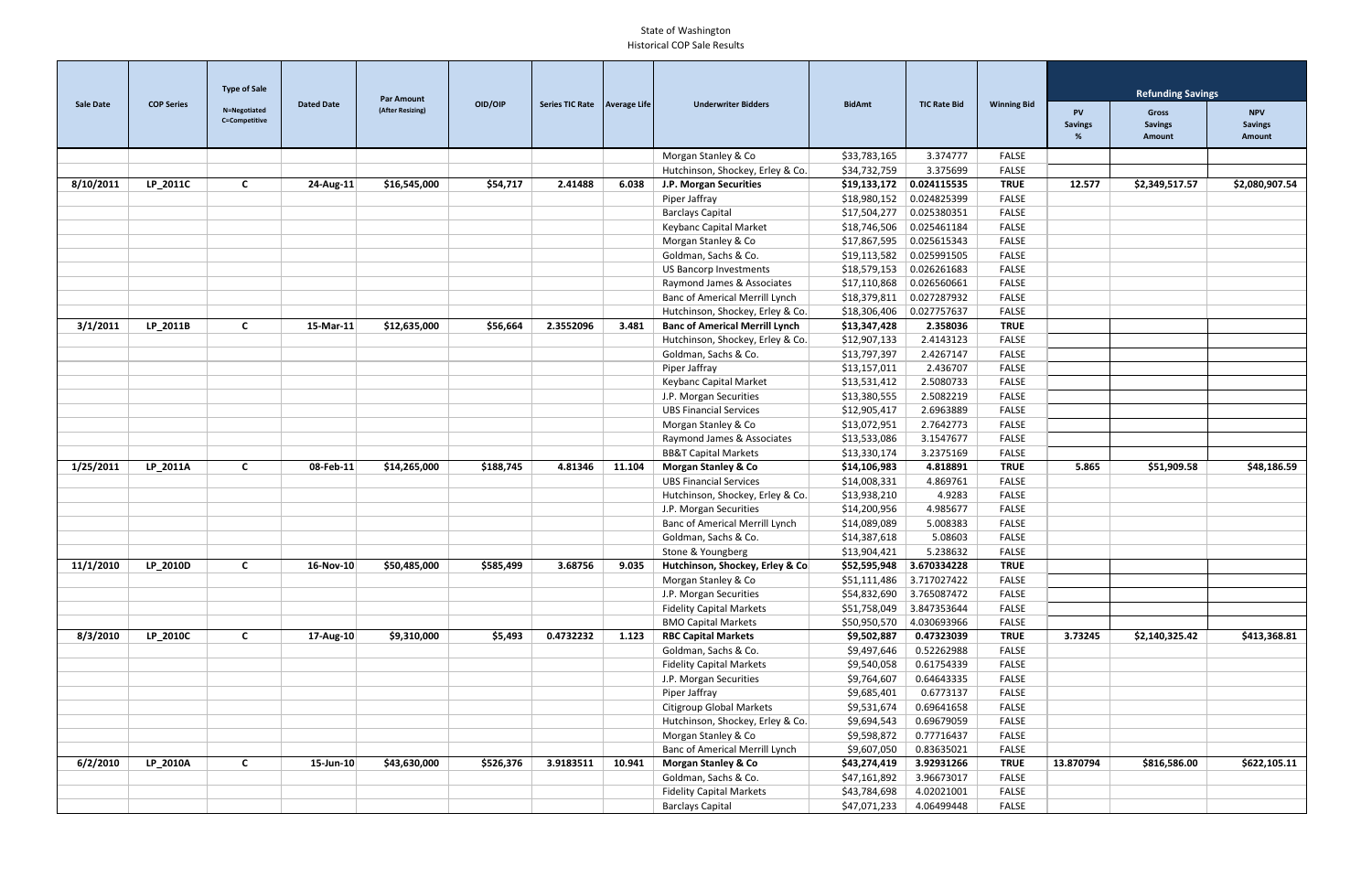|                  |                   | <b>Type of Sale</b>           |                   | <b>Par Amount</b> |           | Series TIC Rate   Average Life |        |                                       |               |                           |                    | <b>Refunding Savings</b>         |                                                 |                                        |
|------------------|-------------------|-------------------------------|-------------------|-------------------|-----------|--------------------------------|--------|---------------------------------------|---------------|---------------------------|--------------------|----------------------------------|-------------------------------------------------|----------------------------------------|
| <b>Sale Date</b> | <b>COP Series</b> | N=Negotiated<br>C=Competitive | <b>Dated Date</b> | (After Resizing)  | OID/OIP   |                                |        | <b>Underwriter Bidders</b>            | <b>BidAmt</b> | <b>TIC Rate Bid</b>       | <b>Winning Bid</b> | <b>PV</b><br><b>Savings</b><br>% | <b>Gross</b><br><b>Savings</b><br><b>Amount</b> | <b>NPV</b><br><b>Savings</b><br>Amount |
|                  |                   |                               |                   |                   |           |                                |        | Morgan Stanley & Co                   | \$33,783,165  | 3.374777                  | <b>FALSE</b>       |                                  |                                                 |                                        |
|                  |                   |                               |                   |                   |           |                                |        | Hutchinson, Shockey, Erley & Co.      | \$34,732,759  | 3.375699                  | <b>FALSE</b>       |                                  |                                                 |                                        |
| 8/10/2011        | LP_2011C          | $\mathsf{C}$                  | 24-Aug-11         | \$16,545,000      | \$54,717  | 2.41488                        | 6.038  | J.P. Morgan Securities                | \$19,133,172  | 0.024115535               | <b>TRUE</b>        | 12.577                           | \$2,349,517.57                                  | \$2,080,907.54                         |
|                  |                   |                               |                   |                   |           |                                |        | Piper Jaffray                         | \$18,980,152  | 0.024825399               | <b>FALSE</b>       |                                  |                                                 |                                        |
|                  |                   |                               |                   |                   |           |                                |        | <b>Barclays Capital</b>               | \$17,504,277  | 0.025380351               | <b>FALSE</b>       |                                  |                                                 |                                        |
|                  |                   |                               |                   |                   |           |                                |        | Keybanc Capital Market                | \$18,746,506  | 0.025461184               | <b>FALSE</b>       |                                  |                                                 |                                        |
|                  |                   |                               |                   |                   |           |                                |        | Morgan Stanley & Co                   | \$17,867,595  | 0.025615343               | <b>FALSE</b>       |                                  |                                                 |                                        |
|                  |                   |                               |                   |                   |           |                                |        | Goldman, Sachs & Co.                  | \$19,113,582  | 0.025991505               | <b>FALSE</b>       |                                  |                                                 |                                        |
|                  |                   |                               |                   |                   |           |                                |        | <b>US Bancorp Investments</b>         | \$18,579,153  | 0.026261683               | <b>FALSE</b>       |                                  |                                                 |                                        |
|                  |                   |                               |                   |                   |           |                                |        | Raymond James & Associates            | \$17,110,868  | 0.026560661               | <b>FALSE</b>       |                                  |                                                 |                                        |
|                  |                   |                               |                   |                   |           |                                |        | Banc of Americal Merrill Lynch        | \$18,379,811  | 0.027287932               | <b>FALSE</b>       |                                  |                                                 |                                        |
|                  |                   |                               |                   |                   |           |                                |        | Hutchinson, Shockey, Erley & Co.      | \$18,306,406  | 0.027757637               | <b>FALSE</b>       |                                  |                                                 |                                        |
| 3/1/2011         | LP_2011B          | $\mathsf{C}$                  | 15-Mar-11         | \$12,635,000      | \$56,664  | 2.3552096                      | 3.481  | <b>Banc of Americal Merrill Lynch</b> | \$13,347,428  | 2.358036                  | <b>TRUE</b>        |                                  |                                                 |                                        |
|                  |                   |                               |                   |                   |           |                                |        | Hutchinson, Shockey, Erley & Co.      | \$12,907,133  | 2.4143123                 | <b>FALSE</b>       |                                  |                                                 |                                        |
|                  |                   |                               |                   |                   |           |                                |        | Goldman, Sachs & Co.                  | \$13,797,397  | 2.4267147                 | <b>FALSE</b>       |                                  |                                                 |                                        |
|                  |                   |                               |                   |                   |           |                                |        | Piper Jaffray                         | \$13,157,011  | 2.436707                  | <b>FALSE</b>       |                                  |                                                 |                                        |
|                  |                   |                               |                   |                   |           |                                |        | Keybanc Capital Market                | \$13,531,412  | 2.5080733                 | <b>FALSE</b>       |                                  |                                                 |                                        |
|                  |                   |                               |                   |                   |           |                                |        | J.P. Morgan Securities                | \$13,380,555  | 2.5082219                 | <b>FALSE</b>       |                                  |                                                 |                                        |
|                  |                   |                               |                   |                   |           |                                |        | <b>UBS Financial Services</b>         | \$12,905,417  | 2.6963889                 | FALSE              |                                  |                                                 |                                        |
|                  |                   |                               |                   |                   |           |                                |        | Morgan Stanley & Co                   | \$13,072,951  | 2.7642773                 | <b>FALSE</b>       |                                  |                                                 |                                        |
|                  |                   |                               |                   |                   |           |                                |        | Raymond James & Associates            | \$13,533,086  | 3.1547677                 | <b>FALSE</b>       |                                  |                                                 |                                        |
|                  |                   |                               |                   |                   |           |                                |        | <b>BB&amp;T Capital Markets</b>       | \$13,330,174  | 3.2375169                 | <b>FALSE</b>       |                                  |                                                 |                                        |
| 1/25/2011        | LP_2011A          | $\mathsf{C}$                  | 08-Feb-11         | \$14,265,000      | \$188,745 | 4.81346                        | 11.104 | <b>Morgan Stanley &amp; Co</b>        | \$14,106,983  | 4.818891                  | <b>TRUE</b>        | 5.865                            | \$51,909.58                                     | \$48,186.59                            |
|                  |                   |                               |                   |                   |           |                                |        | <b>UBS Financial Services</b>         | \$14,008,331  | 4.869761                  | <b>FALSE</b>       |                                  |                                                 |                                        |
|                  |                   |                               |                   |                   |           |                                |        | Hutchinson, Shockey, Erley & Co.      | \$13,938,210  | 4.9283                    | <b>FALSE</b>       |                                  |                                                 |                                        |
|                  |                   |                               |                   |                   |           |                                |        | J.P. Morgan Securities                | \$14,200,956  | 4.985677                  | <b>FALSE</b>       |                                  |                                                 |                                        |
|                  |                   |                               |                   |                   |           |                                |        | Banc of Americal Merrill Lynch        | \$14,089,089  | 5.008383                  | <b>FALSE</b>       |                                  |                                                 |                                        |
|                  |                   |                               |                   |                   |           |                                |        | Goldman, Sachs & Co.                  | \$14,387,618  | 5.08603                   | <b>FALSE</b>       |                                  |                                                 |                                        |
|                  |                   |                               |                   |                   |           |                                |        | Stone & Youngberg                     | \$13,904,421  | 5.238632                  | <b>FALSE</b>       |                                  |                                                 |                                        |
| 11/1/2010        | LP_2010D          | $\mathsf{C}$                  | $16$ -Nov-10      | \$50,485,000      | \$585,499 | 3.68756                        | 9.035  | Hutchinson, Shockey, Erley & Co.      |               | \$52,595,948 3.670334228  | <b>TRUE</b>        |                                  |                                                 |                                        |
|                  |                   |                               |                   |                   |           |                                |        | Morgan Stanley & Co                   |               | \$51,111,486 3.717027422  | FALSE              |                                  |                                                 |                                        |
|                  |                   |                               |                   |                   |           |                                |        | J.P. Morgan Securities                |               | \$54,832,690 3.765087472  | FALSE              |                                  |                                                 |                                        |
|                  |                   |                               |                   |                   |           |                                |        | <b>Fidelity Capital Markets</b>       |               | $$51,758,049$ 3.847353644 | FALSE              |                                  |                                                 |                                        |
|                  |                   |                               |                   |                   |           |                                |        | <b>BMO Capital Markets</b>            | \$50,950,570  | 4.030693966               | FALSE              |                                  |                                                 |                                        |
| 8/3/2010         | LP_2010C          | $\mathsf{C}$                  | 17-Aug-10         | \$9,310,000       | \$5,493   | 0.4732232                      | 1.123  | <b>RBC Capital Markets</b>            | \$9,502,887   | 0.47323039                | <b>TRUE</b>        | 3.73245                          | \$2,140,325.42                                  | \$413,368.81                           |
|                  |                   |                               |                   |                   |           |                                |        | Goldman, Sachs & Co.                  | \$9,497,646   | 0.52262988                | FALSE              |                                  |                                                 |                                        |
|                  |                   |                               |                   |                   |           |                                |        | <b>Fidelity Capital Markets</b>       | \$9,540,058   | 0.61754339                | FALSE              |                                  |                                                 |                                        |
|                  |                   |                               |                   |                   |           |                                |        | J.P. Morgan Securities                | \$9,764,607   | 0.64643335                | FALSE              |                                  |                                                 |                                        |
|                  |                   |                               |                   |                   |           |                                |        | Piper Jaffray                         | \$9,685,401   | 0.6773137                 | FALSE              |                                  |                                                 |                                        |
|                  |                   |                               |                   |                   |           |                                |        | <b>Citigroup Global Markets</b>       | \$9,531,674   | 0.69641658                | FALSE              |                                  |                                                 |                                        |
|                  |                   |                               |                   |                   |           |                                |        | Hutchinson, Shockey, Erley & Co.      | \$9,694,543   | 0.69679059                | FALSE              |                                  |                                                 |                                        |
|                  |                   |                               |                   |                   |           |                                |        | Morgan Stanley & Co                   | \$9,598,872   | 0.77716437                | FALSE              |                                  |                                                 |                                        |
|                  |                   |                               |                   |                   |           |                                |        | Banc of Americal Merrill Lynch        | \$9,607,050   | 0.83635021                | <b>FALSE</b>       |                                  |                                                 |                                        |
| 6/2/2010         | LP_2010A          | $\mathsf{C}$                  | $15$ -Jun-10      | \$43,630,000      | \$526,376 | 3.9183511                      | 10.941 | <b>Morgan Stanley &amp; Co</b>        | \$43,274,419  | 3.92931266                | <b>TRUE</b>        | 13.870794                        | \$816,586.00                                    | \$622,105.11                           |
|                  |                   |                               |                   |                   |           |                                |        | Goldman, Sachs & Co.                  | \$47,161,892  | 3.96673017                | FALSE              |                                  |                                                 |                                        |
|                  |                   |                               |                   |                   |           |                                |        | <b>Fidelity Capital Markets</b>       | \$43,784,698  | 4.02021001                | FALSE              |                                  |                                                 |                                        |
|                  |                   |                               |                   |                   |           |                                |        | <b>Barclays Capital</b>               | \$47,071,233  | 4.06499448                | FALSE              |                                  |                                                 |                                        |
|                  |                   |                               |                   |                   |           |                                |        |                                       |               |                           |                    |                                  |                                                 |                                        |